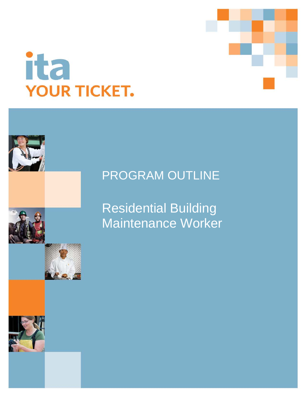

# ita **YOUR TICKET.**

## PROGRAM OUTLINE

Residential Building Maintenance Worker

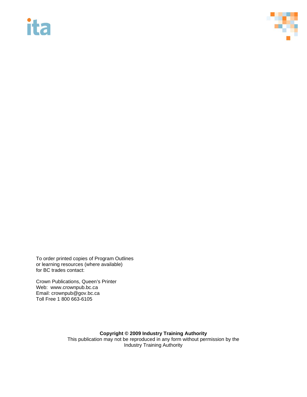# **ita**



To order printed copies of Program Outlines or learning resources (where available) for BC trades contact:

Crown Publications, Queen's Printer Web: www.crownpub.bc.ca Email: crownpub@gov.bc.ca Toll Free 1 800 663-6105

> **Copyright © 2009 Industry Training Authority** This publication may not be reproduced in any form without permission by the Industry Training Authority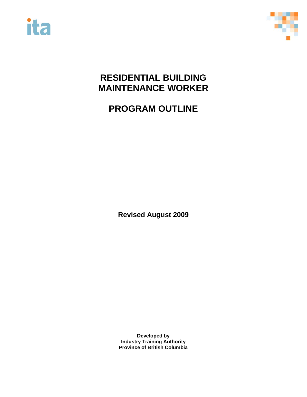



## **RESIDENTIAL BUILDING MAINTENANCE WORKER**

**PROGRAM OUTLINE**

**Revised August 2009**

**Developed by Industry Training Authority Province of British Columbia**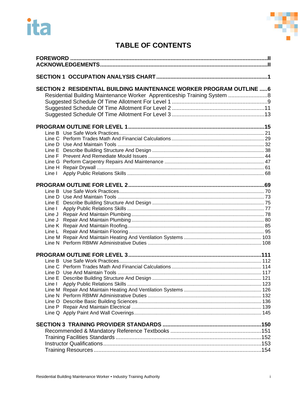



### **TABLE OF CONTENTS**

| SECTION 2 RESIDENTIAL BUILDING MAINTENANCE WORKER PROGRAM OUTLINE  6<br>Residential Building Maintenance Worker Apprenticeship Training System  8 |  |
|---------------------------------------------------------------------------------------------------------------------------------------------------|--|
|                                                                                                                                                   |  |
|                                                                                                                                                   |  |
|                                                                                                                                                   |  |
|                                                                                                                                                   |  |
|                                                                                                                                                   |  |
|                                                                                                                                                   |  |
|                                                                                                                                                   |  |
|                                                                                                                                                   |  |
|                                                                                                                                                   |  |
| Line I                                                                                                                                            |  |
|                                                                                                                                                   |  |
|                                                                                                                                                   |  |
|                                                                                                                                                   |  |
|                                                                                                                                                   |  |
| Line I                                                                                                                                            |  |
| Line J                                                                                                                                            |  |
| Line J                                                                                                                                            |  |
|                                                                                                                                                   |  |
|                                                                                                                                                   |  |
|                                                                                                                                                   |  |
|                                                                                                                                                   |  |
|                                                                                                                                                   |  |
|                                                                                                                                                   |  |
|                                                                                                                                                   |  |
|                                                                                                                                                   |  |
|                                                                                                                                                   |  |
| Line I                                                                                                                                            |  |
|                                                                                                                                                   |  |
|                                                                                                                                                   |  |
|                                                                                                                                                   |  |
|                                                                                                                                                   |  |
|                                                                                                                                                   |  |
|                                                                                                                                                   |  |
|                                                                                                                                                   |  |
|                                                                                                                                                   |  |
|                                                                                                                                                   |  |
|                                                                                                                                                   |  |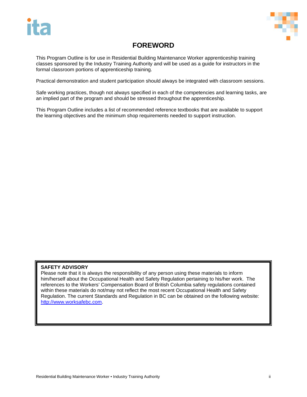

### **FOREWORD**

<span id="page-4-0"></span>This Program Outline is for use in Residential Building Maintenance Worker apprenticeship training classes sponsored by the Industry Training Authority and will be used as a guide for instructors in the formal classroom portions of apprenticeship training.

Practical demonstration and student participation should always be integrated with classroom sessions.

Safe working practices, though not always specified in each of the competencies and learning tasks, are an implied part of the program and should be stressed throughout the apprenticeship.

This Program Outline includes a list of recommended reference textbooks that are available to support the learning objectives and the minimum shop requirements needed to support instruction.

#### <span id="page-4-1"></span>**SAFETY ADVISORY**

Please note that it is always the responsibility of any person using these materials to inform him/herself about the Occupational Health and Safety Regulation pertaining to his/her work. The references to the Workers' Compensation Board of British Columbia safety regulations contained within these materials do not/may not reflect the most recent Occupational Health and Safety Regulation. The current Standards and Regulation in BC can be obtained on the following website: [http://www.worksafebc.com.](http://www.worksafebc.com/)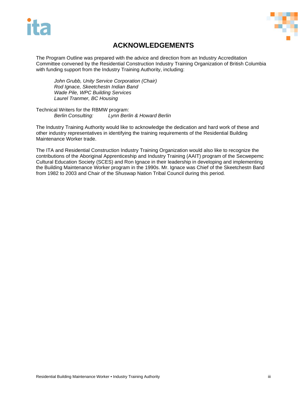



### **ACKNOWLEDGEMENTS**

The Program Outline was prepared with the advice and direction from an Industry Accreditation Committee convened by the Residential Construction Industry Training Organization of British Columbia with funding support from the Industry Training Authority, including:

*John Grubb, Unity Service Corporation (Chair) Rod Ignace, Skeetchestn Indian Band Wade Pile, WPC Building Services Laurel Tranmer, BC Housing*

Technical Writers for the RBMW program:<br>Berlin Consulting: Lynn Berli *Berlin Consulting: Lynn Berlin & Howard Berlin*

The Industry Training Authority would like to acknowledge the dedication and hard work of these and other industry representatives in identifying the training requirements of the Residential Building Maintenance Worker trade.

The ITA and Residential Construction Industry Training Organization would also like to recognize the contributions of the Aboriginal Apprenticeship and Industry Training (AAIT) program of the Secwepemc Cultural Education Society (SCES) and Ron Ignace in their leadership in developing and implementing the Building Maintenance Worker program in the 1990s. Mr. Ignace was Chief of the Skeetchestn Band from 1982 to 2003 and Chair of the Shuswap Nation Tribal Council during this period.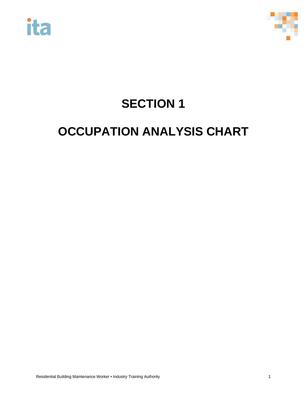



# **SECTION 1**

## <span id="page-6-0"></span>**OCCUPATION ANALYSIS CHART**

Residential Building Maintenance Worker • Industry Training Authority 1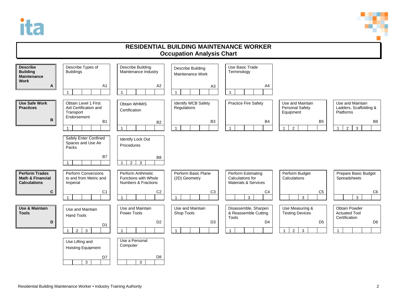



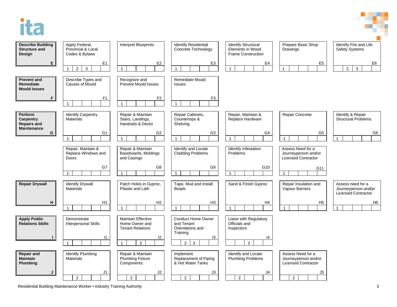



Residential Building Maintenance Worker • Industry Training Authority 3 3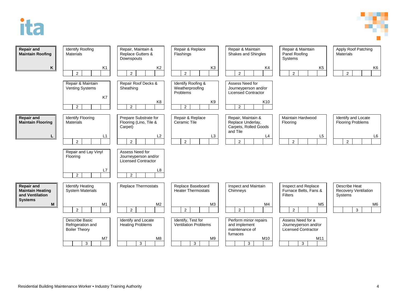



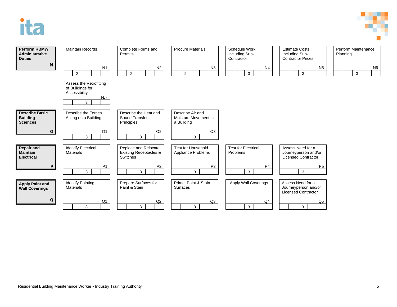

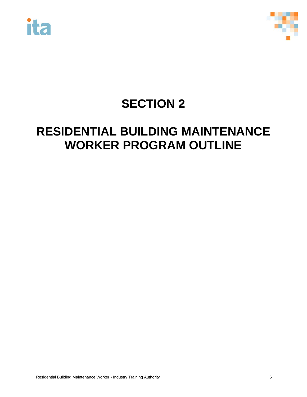



## **SECTION 2**

## <span id="page-11-0"></span>**RESIDENTIAL BUILDING MAINTENANCE WORKER PROGRAM OUTLINE**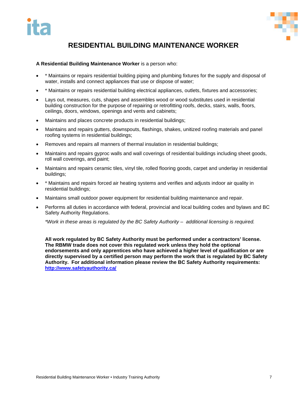

### **RESIDENTIAL BUILDING MAINTENANCE WORKER**

#### **A Residential Building Maintenance Worker** is a person who:

- \* Maintains or repairs residential building piping and plumbing fixtures for the supply and disposal of water, installs and connect appliances that use or dispose of water;
- \* Maintains or repairs residential building electrical appliances, outlets, fixtures and accessories;
- Lays out, measures, cuts, shapes and assembles wood or wood substitutes used in residential building construction for the purpose of repairing or retrofitting roofs, decks, stairs, walls, floors, ceilings, doors, windows, openings and vents and cabinets;
- Maintains and places concrete products in residential buildings;
- Maintains and repairs gutters, downspouts, flashings, shakes, unitized roofing materials and panel roofing systems in residential buildings;
- Removes and repairs all manners of thermal insulation in residential buildings;
- Maintains and repairs gyproc walls and wall coverings of residential buildings including sheet goods, roll wall coverings, and paint;
- Maintains and repairs ceramic tiles, vinyl tile, rolled flooring goods, carpet and underlay in residential buildings;
- \* Maintains and repairs forced air heating systems and verifies and adjusts indoor air quality in residential buildings;
- Maintains small outdoor power equipment for residential building maintenance and repair.
- Performs all duties in accordance with federal, provincial and local building codes and bylaws and BC Safety Authority Regulations.

*\*Work in these areas is regulated by the BC Safety Authority – additional licensing is required.* 

**All work regulated by BC Safety Authority must be performed under a contractors' license. The RBMW trade does not cover this regulated work unless they hold the optional endorsements and only apprentices who have achieved a higher level of qualification or are directly supervised by a certified person may perform the work that is regulated by BC Safety Authority. For additional information please review the BC Safety Authority requirements: <http://www.safetyauthority.ca/>**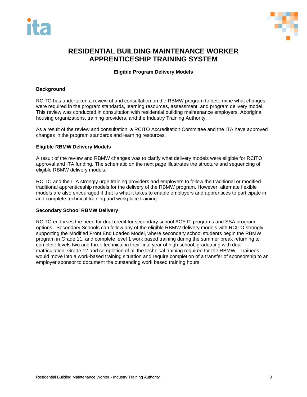



#### <span id="page-13-0"></span>**RESIDENTIAL BUILDING MAINTENANCE WORKER APPRENTICESHIP TRAINING SYSTEM**

#### **Eligible Program Delivery Models**

#### **Background**

RCITO has undertaken a review of and consultation on the RBMW program to determine what changes were required in the program standards, learning resources, assessment, and program delivery model. This review was conducted in consultation with residential building maintenance employers, Aboriginal housing organizations, training providers, and the Industry Training Authority.

As a result of the review and consultation, a RCITO Accreditation Committee and the ITA have approved changes in the program standards and learning resources.

#### **Eligible RBMW Delivery Models**

A result of the review and RBMW changes was to clarify what delivery models were eligible for RCITO approval and ITA funding. The schematic on the next page illustrates the structure and sequencing of eligible RBMW delivery models.

RCITO and the ITA strongly urge training providers and employers to follow the traditional or modified traditional apprenticeship models for the delivery of the RBMW program. However, alternate flexible models are also encouraged if that is what it takes to enable employers and apprentices to participate in and complete technical training and workplace training.

#### **Secondary School RBMW Delivery**

RCITO endorses the need for dual credit for secondary school ACE IT programs and SSA program options. Secondary Schools can follow any of the eligible RBMW delivery models with RCITO strongly supporting the Modified Front End Loaded Model, where secondary school students begin the RBMW program in Grade 11, and complete level 1 work based training during the summer break returning to complete levels two and three technical in their final year of high school, graduating with dual matriculation, Grade 12 and completion of all the technical training required for the RBMW. Trainees would move into a work-based training situation and require completion of a transfer of sponsorship to an employer sponsor to document the outstanding work based training hours.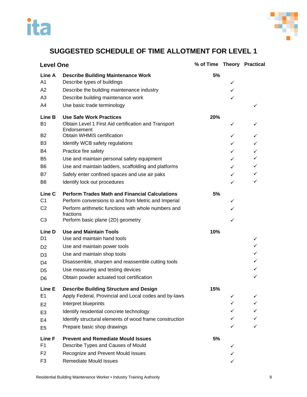



#### **SUGGESTED SCHEDULE OF TIME ALLOTMENT FOR LEVEL 1**

<span id="page-14-0"></span>

| <b>Level One</b>         |                                                                                                            | % of Time Theory Practical |        |              |
|--------------------------|------------------------------------------------------------------------------------------------------------|----------------------------|--------|--------------|
| Line A<br>A <sub>1</sub> | <b>Describe Building Maintenance Work</b><br>Describe types of buildings                                   | 5%                         |        |              |
| A2                       | Describe the building maintenance industry                                                                 |                            | ✓<br>✓ |              |
| A <sub>3</sub>           | Describe building maintenance work                                                                         |                            | ✓      |              |
| A4                       | Use basic trade terminology                                                                                |                            |        | ✓            |
| Line B<br><b>B1</b>      | <b>Use Safe Work Practices</b><br>Obtain Level 1 First Aid certification and Transport                     | 20%                        |        |              |
| <b>B2</b>                | Endorsement<br><b>Obtain WHMIS certification</b>                                                           |                            | ✓<br>✓ | ✓            |
| B <sub>3</sub>           | Identify WCB safety regulations                                                                            |                            | ✓      | $\checkmark$ |
| B <sub>4</sub>           | Practice fire safety                                                                                       |                            | ✓      | $\checkmark$ |
| B <sub>5</sub>           | Use and maintain personal safety equipment                                                                 |                            | ✓      | ✓            |
| B <sub>6</sub>           | Use and maintain ladders, scaffolding and platforms                                                        |                            | ✓      | $\checkmark$ |
| B7                       | Safely enter confined spaces and use air paks                                                              |                            | ✓      | $\checkmark$ |
| B <sub>8</sub>           | Identify lock out procedures                                                                               |                            | ✓      | ✓            |
| Line C<br>C <sub>1</sub> | <b>Perform Trades Math and Financial Calculations</b>                                                      | 5%                         |        |              |
| C <sub>2</sub>           | Perform conversions to and from Metric and Imperial<br>Perform arithmetic functions with whole numbers and |                            | ✓      |              |
|                          | fractions                                                                                                  |                            | ✓      |              |
| C <sub>3</sub>           | Perform basic plane (2D) geometry                                                                          |                            | ✓      |              |
| Line D                   | <b>Use and Maintain Tools</b>                                                                              | 10%                        |        |              |
| D <sub>1</sub>           | Use and maintain hand tools                                                                                |                            |        | ✓            |
| D <sub>2</sub>           | Use and maintain power tools                                                                               |                            |        | $\checkmark$ |
| D <sub>3</sub>           | Use and maintain shop tools                                                                                |                            |        | ✓            |
| D4                       | Disassemble, sharpen and reassemble cutting tools                                                          |                            |        | ✓            |
| D <sub>5</sub>           | Use measuring and testing devices                                                                          |                            |        | ✓            |
| D <sub>6</sub>           | Obtain powder actuated tool certification                                                                  |                            |        | ✓            |
| Line E                   | <b>Describe Building Structure and Design</b>                                                              | 15%                        |        |              |
| E <sub>1</sub>           | Apply Federal, Provincial and Local codes and by-laws                                                      |                            | ✓      |              |
| E <sub>2</sub>           | Interpret blueprints                                                                                       |                            | ✓      |              |
| E <sub>3</sub>           | Identify residential concrete technology                                                                   |                            |        |              |
| E4                       | Identify structural elements of wood frame construction                                                    |                            |        |              |
| E <sub>5</sub>           | Prepare basic shop drawings                                                                                |                            | ✓      | ✓            |
| Line F                   | <b>Prevent and Remediate Mould Issues</b>                                                                  | 5%                         |        |              |
| F <sub>1</sub>           | Describe Types and Causes of Mould                                                                         |                            | ✓      |              |
| F <sub>2</sub>           | Recognize and Prevent Mould Issues                                                                         |                            | ✓      |              |
| F <sub>3</sub>           | <b>Remediate Mould Issues</b>                                                                              |                            | ✓      |              |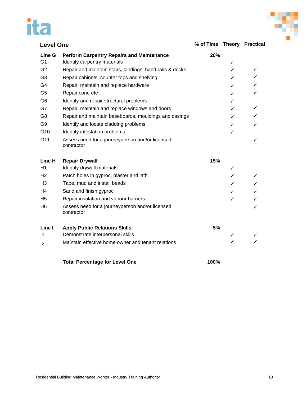# ita



| <b>Level One</b> |                                                               | % of Time Theory Practical |              |              |
|------------------|---------------------------------------------------------------|----------------------------|--------------|--------------|
| Line G           | <b>Perform Carpentry Repairs and Maintenance</b>              | 20%                        |              |              |
| G <sub>1</sub>   | Identify carpentry materials                                  |                            | ✓            |              |
| G <sub>2</sub>   | Repair and maintain stairs, landings, hand rails & decks      |                            | ✓            | ✓            |
| G <sub>3</sub>   | Repair cabinets, counter tops and shelving                    |                            | ✓            | $\checkmark$ |
| G4               | Repair, maintain and replace hardware                         |                            | ✓            | $\checkmark$ |
| G <sub>5</sub>   | Repair concrete                                               |                            | ✓            | ✓            |
| G <sub>6</sub>   | Identify and repair structural problems                       |                            | ✓            |              |
| G7               | Repair, maintain and replace windows and doors                |                            | ✓            | ✓            |
| G <sub>8</sub>   | Repair and maintain baseboards, mouldings and casings         |                            | ✓            | ✓            |
| G9               | Identify and locate cladding problems                         |                            | ✓            | ✓            |
| G10              | Identify infestation problems                                 |                            | $\checkmark$ |              |
| G11              | Assess need for a journeyperson and/or licensed<br>contractor |                            |              | ✓            |
| Line H           | <b>Repair Drywall</b>                                         | 15%                        |              |              |
| H1               | Identify drywall materials                                    |                            | ✓            |              |
| H <sub>2</sub>   | Patch holes in gyproc, plaster and lath                       |                            | ✓            | ✓            |
| H3               | Tape, mud and install beads                                   |                            | ✓            | $\checkmark$ |
| H4               | Sand and finish gyproc                                        |                            | ✓            | $\checkmark$ |
| H <sub>5</sub>   | Repair insulation and vapour barriers                         |                            | ✓            | $\checkmark$ |
| H6               | Assess need for a journeyperson and/or licensed<br>contractor |                            |              | ✓            |
| Line I           | <b>Apply Public Relations Skills</b>                          | 5%                         |              |              |
| $\mathsf{I}$     | Demonstrate interpersonal skills                              |                            | ✓            |              |
| 12               | Maintain effective home owner and tenant relations            |                            | ✓            | ✓            |
|                  | <b>Total Percentage for Level One</b>                         | 100%                       |              |              |

Residential Building Maintenance Worker • Industry Training Authority 10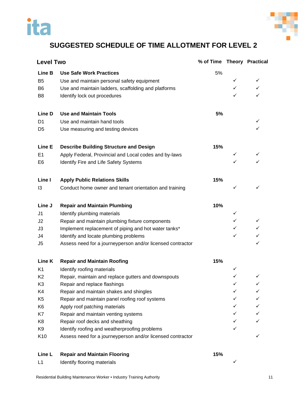

### <span id="page-16-0"></span>**SUGGESTED SCHEDULE OF TIME ALLOTMENT FOR LEVEL 2**

| <b>Level Two</b> |                                                            | % of Time Theory Practical |   |              |
|------------------|------------------------------------------------------------|----------------------------|---|--------------|
| Line B           | <b>Use Safe Work Practices</b>                             | 5%                         |   |              |
| B <sub>5</sub>   | Use and maintain personal safety equipment                 |                            | ✓ | ✓            |
| B <sub>6</sub>   | Use and maintain ladders, scaffolding and platforms        |                            | ✓ | $\checkmark$ |
| B <sub>8</sub>   | Identify lock out procedures                               |                            | ✓ | ✓            |
| <b>Line D</b>    | <b>Use and Maintain Tools</b>                              | 5%                         |   |              |
| D1               | Use and maintain hand tools                                |                            |   | ✓            |
| D5               | Use measuring and testing devices                          |                            |   | ✓            |
| Line E           | <b>Describe Building Structure and Design</b>              | 15%                        |   |              |
| E <sub>1</sub>   | Apply Federal, Provincial and Local codes and by-laws      |                            | ✓ |              |
| E <sub>6</sub>   | Identify Fire and Life Safety Systems                      |                            |   |              |
| Line I           | <b>Apply Public Relations Skills</b>                       | 15%                        |   |              |
| 13               | Conduct home owner and tenant orientation and training     |                            | ✓ | ✓            |
| Line J           | <b>Repair and Maintain Plumbing</b>                        | 10%                        |   |              |
| J1               | Identify plumbing materials                                |                            | ✓ |              |
| J2               | Repair and maintain plumbing fixture components            |                            | ✓ | ✓            |
| J3               | Implement replacement of piping and hot water tanks*       |                            | ✓ | $\checkmark$ |
| J4               | Identify and locate plumbing problems                      |                            | ✓ |              |
| J5               | Assess need for a journeyperson and/or licensed contractor |                            |   | ✓            |
| Line K           | <b>Repair and Maintain Roofing</b>                         | 15%                        |   |              |
| K <sub>1</sub>   | Identify roofing materials                                 |                            | ✓ |              |
| K <sub>2</sub>   | Repair, maintain and replace gutters and downspouts        |                            | ✓ |              |
| K <sub>3</sub>   | Repair and replace flashings                               |                            | ✓ | ✓            |
| K4               | Repair and maintain shakes and shingles                    |                            |   |              |
| K <sub>5</sub>   | Repair and maintain panel roofing roof systems             |                            |   | ✓            |
| K <sub>6</sub>   | Apply roof patching materials                              |                            | ✓ | ✓            |
| K7               | Repair and maintain venting systems                        |                            | ✓ | ✓            |
| K <sub>8</sub>   | Repair roof decks and sheathing                            |                            | ✓ | ✓            |
| K9               | Identify roofing and weatherproofing problems              |                            |   |              |
| K10              | Assess need for a journeyperson and/or licensed contractor |                            |   | ✓            |
| Line L           | <b>Repair and Maintain Flooring</b>                        | 15%                        |   |              |

L1 Identify flooring materials and the state of the state of the state of the state of the state of the state of the state of the state of the state of the state of the state of the state of the state of the state of the s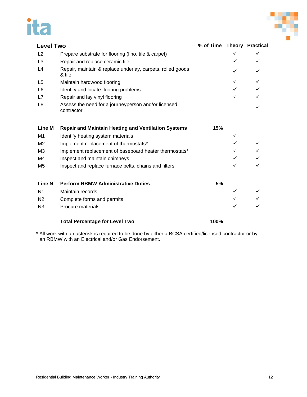# ita



| <b>Level Two</b> |                                                                      | % of Time Theory Practical |   |              |
|------------------|----------------------------------------------------------------------|----------------------------|---|--------------|
| L2               | Prepare substrate for flooring (lino, tile & carpet)                 |                            | ✓ | $\checkmark$ |
| L <sub>3</sub>   | Repair and replace ceramic tile                                      |                            | ✓ | ✓            |
| L4               | Repair, maintain & replace underlay, carpets, rolled goods<br>& tile |                            | ✓ | ✓            |
| L <sub>5</sub>   | Maintain hardwood flooring                                           |                            | ✓ | $\checkmark$ |
| L <sub>6</sub>   | Identify and locate flooring problems                                |                            | ✓ | $\checkmark$ |
| L7               | Repair and lay vinyl flooring                                        |                            | ✓ | ✓            |
| L <sub>8</sub>   | Assess the need for a journeyperson and/or licensed<br>contractor    |                            |   |              |
| <b>Line M</b>    | <b>Repair and Maintain Heating and Ventilation Systems</b>           | 15%                        |   |              |
| M1               | Identify heating system materials                                    |                            | ✓ |              |
| M <sub>2</sub>   | Implement replacement of thermostats*                                |                            | ✓ | $\checkmark$ |
| M <sub>3</sub>   | Implement replacement of baseboard heater thermostats*               |                            | ✓ | $\checkmark$ |
| M4               | Inspect and maintain chimneys                                        |                            | ✓ |              |
| M5               | Inspect and replace furnace belts, chains and filters                |                            | ✓ |              |
| <b>Line N</b>    | <b>Perform RBMW Administrative Duties</b>                            | 5%                         |   |              |
| N <sub>1</sub>   | Maintain records                                                     |                            | ✓ |              |
| N <sub>2</sub>   | Complete forms and permits                                           |                            |   |              |
| N <sub>3</sub>   | Procure materials                                                    |                            | ✓ |              |
|                  | <b>Total Percentage for Level Two</b>                                | 100%                       |   |              |

\* All work with an asterisk is required to be done by either a BCSA certified/licensed contractor or by an RBMW with an Electrical and/or Gas Endorsement.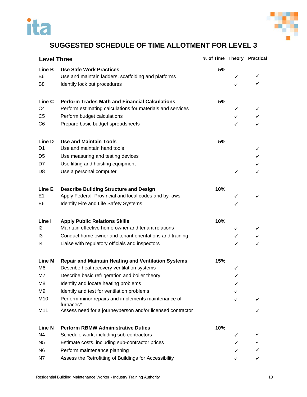



## <span id="page-18-0"></span>**SUGGESTED SCHEDULE OF TIME ALLOTMENT FOR LEVEL 3**

| <b>Level Three</b> |                                                                  | % of Time Theory Practical |              |              |
|--------------------|------------------------------------------------------------------|----------------------------|--------------|--------------|
| Line B             | <b>Use Safe Work Practices</b>                                   | 5%                         |              |              |
| B <sub>6</sub>     | Use and maintain ladders, scaffolding and platforms              |                            | ✓            | ✓            |
| B <sub>8</sub>     | Identify lock out procedures                                     |                            | ✓            | ✓            |
| Line C             | <b>Perform Trades Math and Financial Calculations</b>            | 5%                         |              |              |
| C <sub>4</sub>     | Perform estimating calculations for materials and services       |                            | ✓            | ✓            |
| C <sub>5</sub>     | Perform budget calculations                                      |                            | $\checkmark$ | $\checkmark$ |
| C <sub>6</sub>     | Prepare basic budget spreadsheets                                |                            | $\checkmark$ | ✓            |
| Line D             | <b>Use and Maintain Tools</b>                                    | 5%                         |              |              |
| D <sub>1</sub>     | Use and maintain hand tools                                      |                            |              | ✓            |
| D <sub>5</sub>     | Use measuring and testing devices                                |                            |              |              |
| D7                 | Use lifting and hoisting equipment                               |                            |              |              |
| D <sub>8</sub>     | Use a personal computer                                          |                            | $\checkmark$ | ✓            |
| Line E             | <b>Describe Building Structure and Design</b>                    | 10%                        |              |              |
| E1                 | Apply Federal, Provincial and local codes and by-laws            |                            | ✓            | ✓            |
| E6                 | Identify Fire and Life Safety Systems                            |                            | ✓            |              |
| Line I             | <b>Apply Public Relations Skills</b>                             | 10%                        |              |              |
| 12                 | Maintain effective home owner and tenant relations               |                            | ✓            |              |
| 13                 | Conduct home owner and tenant orientations and training          |                            | $\checkmark$ | $\checkmark$ |
| 14                 | Liaise with regulatory officials and inspectors                  |                            | ✓            | ✓            |
| <b>Line M</b>      | <b>Repair and Maintain Heating and Ventilation Systems</b>       | 15%                        |              |              |
| M <sub>6</sub>     | Describe heat recovery ventilation systems                       |                            | ✓            |              |
| M7                 | Describe basic refrigeration and boiler theory                   |                            | ✓            |              |
| M8                 | Identify and locate heating problems                             |                            | ✓            |              |
| M <sub>9</sub>     | Identify and test for ventilation problems                       |                            |              |              |
| M10                | Perform minor repairs and implements maintenance of<br>furnaces* |                            | ✓            |              |
| M11                | Assess need for a journeyperson and/or licensed contractor       |                            |              |              |
| <b>Line N</b>      | <b>Perform RBMW Administrative Duties</b>                        | 10%                        |              |              |
| N <sub>4</sub>     | Schedule work, including sub-contractors                         |                            | ✓            |              |
| N <sub>5</sub>     | Estimate costs, including sub-contractor prices                  |                            |              |              |
| N <sub>6</sub>     | Perform maintenance planning                                     |                            |              |              |
| N7                 | Assess the Retrofitting of Buildings for Accessibility           |                            | ✓            |              |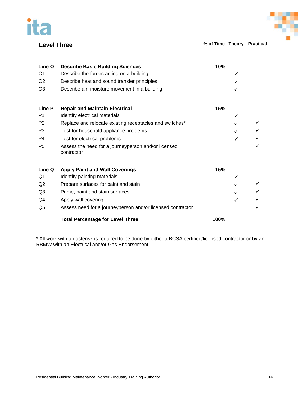



**Level Three % of Time Theory Practical**

| Line O         | <b>Describe Basic Building Sciences</b>                           | 10%  |   |  |
|----------------|-------------------------------------------------------------------|------|---|--|
| O <sub>1</sub> | Describe the forces acting on a building                          |      |   |  |
| O <sub>2</sub> | Describe heat and sound transfer principles                       |      |   |  |
| O <sub>3</sub> | Describe air, moisture movement in a building                     |      |   |  |
| Line P         | <b>Repair and Maintain Electrical</b>                             | 15%  |   |  |
| P <sub>1</sub> | Identify electrical materials                                     |      |   |  |
| P <sub>2</sub> | Replace and relocate existing receptacles and switches*           |      |   |  |
| P3             | Test for household appliance problems                             |      |   |  |
| P <sub>4</sub> | Test for electrical problems                                      |      | ✓ |  |
| P <sub>5</sub> | Assess the need for a journeyperson and/or licensed<br>contractor |      |   |  |
| Line Q         | <b>Apply Paint and Wall Coverings</b>                             | 15%  |   |  |
| Q1             | Identify painting materials                                       |      |   |  |
| Q2             | Prepare surfaces for paint and stain                              |      |   |  |
| Q <sub>3</sub> | Prime, paint and stain surfaces                                   |      |   |  |
| Q4             | Apply wall covering                                               |      |   |  |
| Q <sub>5</sub> | Assess need for a journeyperson and/or licensed contractor        |      |   |  |
|                | <b>Total Percentage for Level Three</b>                           | 100% |   |  |

\* All work with an asterisk is required to be done by either a BCSA certified/licensed contractor or by an RBMW with an Electrical and/or Gas Endorsement.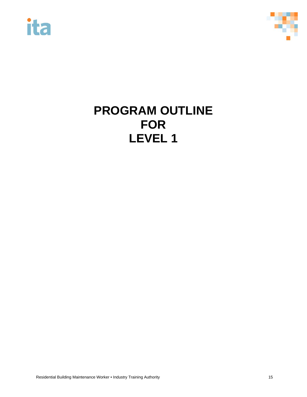



## <span id="page-20-0"></span>**PROGRAM OUTLINE FOR LEVEL 1**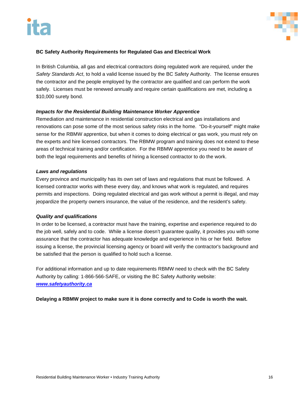

#### **BC Safety Authority Requirements for Regulated Gas and Electrical Work**

In British Columbia, all gas and electrical contractors doing regulated work are required, under the *Safety Standards Act*, to hold a valid license issued by the BC Safety Authority. The license ensures the contractor and the people employed by the contractor are qualified and can perform the work safely. Licenses must be renewed annually and require certain qualifications are met, including a \$10,000 surety bond.

#### *Impacts for the Residential Building Maintenance Worker Apprentice*

Remediation and maintenance in residential construction electrical and gas installations and renovations can pose some of the most serious safety risks in the home. "Do-it-yourself" might make sense for the RBMW apprentice, but when it comes to doing electrical or gas work, you must rely on the experts and hire licensed contractors. The RBMW program and training does not extend to these areas of technical training and/or certification. For the RBMW apprentice you need to be aware of both the legal requirements and benefits of hiring a licensed contractor to do the work.

#### *Laws and regulations*

Every province and municipality has its own set of laws and regulations that must be followed. A licensed contractor works with these every day, and knows what work is regulated, and requires permits and inspections. Doing regulated electrical and gas work without a permit is illegal, and may jeopardize the property owners insurance, the value of the residence, and the resident's safety.

#### *Quality and qualifications*

In order to be licensed, a contractor must have the training, expertise and experience required to do the job well, safely and to code. While a license doesn't guarantee quality, it provides you with some assurance that the contractor has adequate knowledge and experience in his or her field. Before issuing a license, the provincial licensing agency or board will verify the contractor's background and be satisfied that the person is qualified to hold such a license.

For additional information and up to date requirements RBMW need to check with the BC Safety Authority by calling: 1-866-566-SAFE, or visiting the BC Safety Authority website: *[www.safetyauthority.ca](http://www.safetyauthority.ca/)*

**Delaying a RBMW project to make sure it is done correctly and to Code is worth the wait.**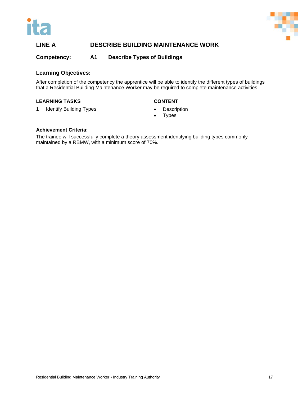



#### **LINE A DESCRIBE BUILDING MAINTENANCE WORK**

#### **Competency: A1 Describe Types of Buildings**

#### **Learning Objectives:**

After completion of the competency the apprentice will be able to identify the different types of buildings that a Residential Building Maintenance Worker may be required to complete maintenance activities.

#### **LEARNING TASKS CONTENT**

- 1 Identify Building Types **•** Description
	- **Types**

#### **Achievement Criteria:**

The trainee will successfully complete a theory assessment identifying building types commonly maintained by a RBMW, with a minimum score of 70%.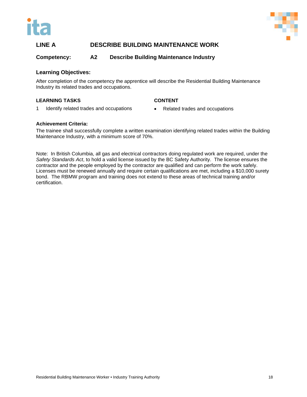



#### **LINE A DESCRIBE BUILDING MAINTENANCE WORK**

#### **Competency: A2 Describe Building Maintenance Industry**

#### **Learning Objectives:**

After completion of the competency the apprentice will describe the Residential Building Maintenance Industry its related trades and occupations.

#### **LEARNING TASKS CONTENT**

1 Identify related trades and occupations • Related trades and occupations

#### **Achievement Criteria:**

The trainee shall successfully complete a written examination identifying related trades within the Building Maintenance Industry, with a minimum score of 70%.

Note: In British Columbia, all gas and electrical contractors doing regulated work are required, under the *Safety Standards Act*, to hold a valid license issued by the BC Safety Authority. The license ensures the contractor and the people employed by the contractor are qualified and can perform the work safely. Licenses must be renewed annually and require certain qualifications are met, including a \$10,000 surety bond. The RBMW program and training does not extend to these areas of technical training and/or certification.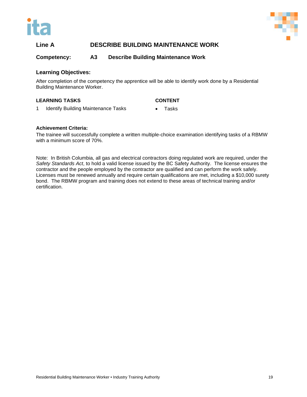



#### **Line A DESCRIBE BUILDING MAINTENANCE WORK**

#### **Competency: A3 Describe Building Maintenance Work**

#### **Learning Objectives:**

After completion of the competency the apprentice will be able to identify work done by a Residential Building Maintenance Worker.

#### **LEARNING TASKS CONTENT**

- 1 Identify Building Maintenance Tasks Tasks
	-

#### **Achievement Criteria:**

The trainee will successfully complete a written multiple-choice examination identifying tasks of a RBMW with a minimum score of 70%.

Note: In British Columbia, all gas and electrical contractors doing regulated work are required, under the *Safety Standards Act*, to hold a valid license issued by the BC Safety Authority. The license ensures the contractor and the people employed by the contractor are qualified and can perform the work safely. Licenses must be renewed annually and require certain qualifications are met, including a \$10,000 surety bond. The RBMW program and training does not extend to these areas of technical training and/or certification.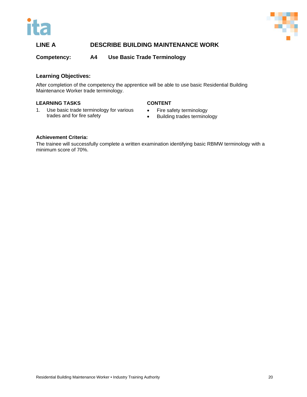



#### **LINE A DESCRIBE BUILDING MAINTENANCE WORK**

**Competency: A4 Use Basic Trade Terminology**

#### **Learning Objectives:**

After completion of the competency the apprentice will be able to use basic Residential Building Maintenance Worker trade terminology.

#### **LEARNING TASKS**

#### **CONTENT**

- 1. Use basic trade terminology for various trades and for fire safety
- Fire safety terminology
- Building trades terminology

#### **Achievement Criteria:**

The trainee will successfully complete a written examination identifying basic RBMW terminology with a minimum score of 70%.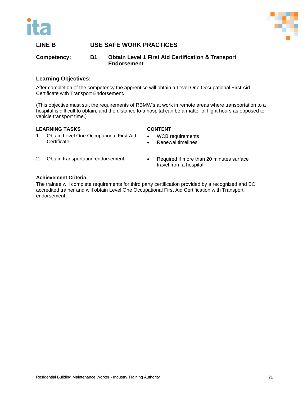



#### <span id="page-26-0"></span>**Competency: B1 Obtain Level 1 First Aid Certification & Transport Endorsement**

#### **Learning Objectives:**

After completion of the competency the apprentice will obtain a Level One Occupational First Aid Certificate with Transport Endorsement**.** 

(This objective must suit the requirements of RBMW's at work in remote areas where transportation to a hospital is difficult to obtain, and the distance to a hospital can be a matter of flight hours as opposed to vehicle transport time.)

#### **LEARNING TASKS**

#### **CONTENT**

- 1. Obtain Level One Occupational First Aid Certificate.
- WCB requirements
- Renewal timelines
- 2. Obtain transportation endorsement
- Required if more than 20 minutes surface travel from a hospital

#### **Achievement Criteria:**

The trainee will complete requirements for third party certification provided by a recognized and BC accredited trainer and will obtain Level One Occupational First Aid Certification with Transport endorsement.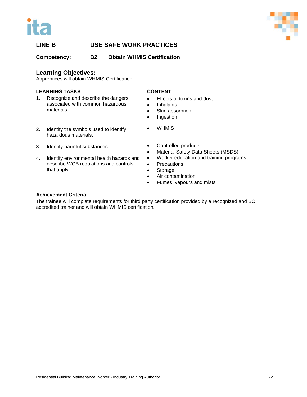



**Competency: B2 Obtain WHMIS Certification**

#### **Learning Objectives:**

Apprentices will obtain WHMIS Certification.

#### **LEARNING TASKS**

- 1. Recognize and describe the dangers associated with common hazardous materials.
- 2. Identify the symbols used to identify hazardous materials.
- 3. Identify harmful substances
- 4. Identify environmental health hazards and describe WCB regulations and controls that apply
- **CONTENT**
- Effects of toxins and dust
- Inhalants
- Skin absorption
- Ingestion
- WHMIS
- Controlled products
- Material Safety Data Sheets (MSDS)
- Worker education and training programs
- Precautions
- Storage
- Air contamination
- Fumes, vapours and mists

#### **Achievement Criteria:**

The trainee will complete requirements for third party certification provided by a recognized and BC accredited trainer and will obtain WHMIS certification.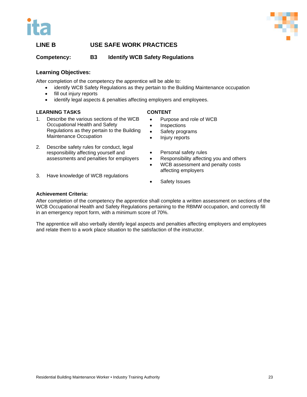



**Competency: B3 Identify WCB Safety Regulations**

#### **Learning Objectives:**

After completion of the competency the apprentice will be able to:

- identify WCB Safety Regulations as they pertain to the Building Maintenance occupation
- fill out injury reports
- identify legal aspects & penalties affecting employers and employees.

#### **LEARNING TASKS**

#### **CONTENT**

- 1. Describe the various sections of the WCB Occupational Health and Safety Regulations as they pertain to the Building Maintenance Occupation
- 2. Describe safety rules for conduct, legal responsibility affecting yourself and assessments and penalties for employers
- Purpose and role of WCB
- **Inspections**
- Safety programs
- Injury reports
- Personal safety rules
- Responsibility affecting you and others
- WCB assessment and penalty costs affecting employers
- 3. Have knowledge of WCB regulations
- Safety Issues

#### **Achievement Criteria:**

After completion of the competency the apprentice shall complete a written assessment on sections of the WCB Occupational Health and Safety Regulations pertaining to the RBMW occupation, and correctly fill in an emergency report form, with a minimum score of 70%.

The apprentice will also verbally identify legal aspects and penalties affecting employers and employees and relate them to a work place situation to the satisfaction of the instructor.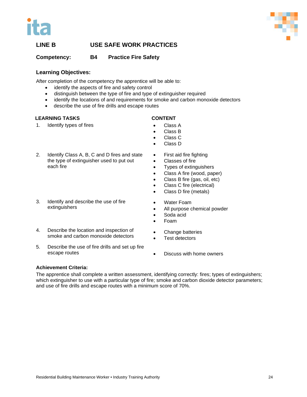

#### **Competency: B4 Practice Fire Safety**

#### **Learning Objectives:**

After completion of the competency the apprentice will be able to:

- identify the aspects of fire and safety control
- distinguish between the type of fire and type of extinguisher required
- identify the locations of and requirements for smoke and carbon monoxide detectors
- describe the use of fire drills and escape routes

#### **LEARNING TASKS**

1. Identify types of fires

#### **CONTENT**

- Class A
- Class B
- Class C
- Class D
- 2. Identify Class A, B, C and D fires and state the type of extinguisher used to put out each fire
- 3. Identify and describe the use of fire extinguishers
- 4. Describe the location and inspection of smoke and carbon monoxide detectors
- 5. Describe the use of fire drills and set up fire escape routes
- First aid fire fighting
- Classes of fire
- Types of extinguishers
- Class A fire (wood, paper)
- Class B fire (gas, oil, etc)
- Class C fire (electrical)
- Class D fire (metals)
- Water Foam
- All purpose chemical powder
- Soda acid
- Foam
- Change batteries
- Test detectors
- Discuss with home owners

#### **Achievement Criteria:**

The apprentice shall complete a written assessment, identifying correctly: fires; types of extinguishers; which extinguisher to use with a particular type of fire; smoke and carbon dioxide detector parameters; and use of fire drills and escape routes with a minimum score of 70%.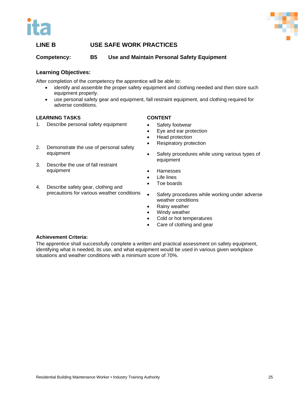



**Competency: B5 Use and Maintain Personal Safety Equipment**

#### **Learning Objectives:**

After completion of the competency the apprentice will be able to:

- identify and assemble the proper safety equipment and clothing needed and then store such equipment properly.
- use personal safety gear and equipment, fall restraint equipment, and clothing required for adverse conditions.

#### **LEARNING TASKS**

1. Describe personal safety equipment

#### **CONTENT**

- Safety footwear
- Eye and ear protection
- Head protection
- Respiratory protection
- 2. Demonstrate the use of personal safety equipment
- 3. Describe the use of fall restraint equipment
- 4. Describe safety gear, clothing and precautions for various weather conditions
- Safety procedures while using various types of equipment
- Harnesses
- **Life lines**
- Toe boards
- Safety procedures while working under adverse weather conditions
- Rainy weather
- Windy weather
- Cold or hot temperatures
- Care of clothing and gear

#### **Achievement Criteria:**

The apprentice shall successfully complete a written and practical assessment on safety equipment, identifying what is needed, its use, and what equipment would be used in various given workplace situations and weather conditions with a minimum score of 70%.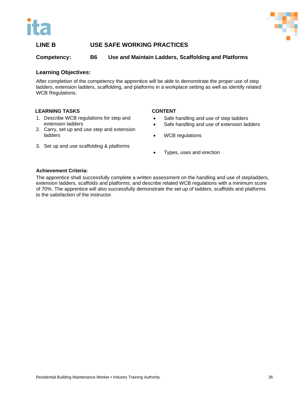



#### **Competency: B6 Use and Maintain Ladders, Scaffolding and Platforms**

#### **Learning Objectives:**

After completion of the competency the apprentice will be able to demonstrate the proper use of step ladders, extension ladders, scaffolding, and platforms in a workplace setting as well as identify related WCB Regulations.

#### **LEARNING TASKS**

extension ladders

#### **CONTENT**

- Safe handling and use of step ladders
	- Safe handling and use of extension ladders
- 2. Carry, set up and use step and extension ladders

1. Describe WCB regulations for step and

- 3. Set up and use scaffolding & platforms
- WCB regulations
- Types, uses and erection

#### **Achievement Criteria:**

The apprentice shall successfully complete a written assessment on the handling and use of stepladders, extension ladders, scaffolds and platforms; and describe related WCB regulations with a minimum score of 70%. The apprentice will also successfully demonstrate the set up of ladders, scaffolds and platforms to the satisfaction of the instructor.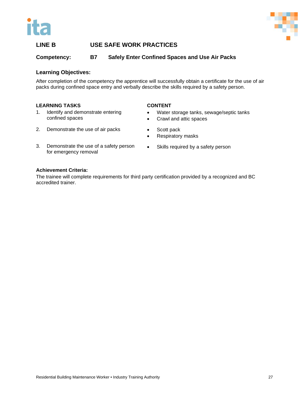



**Competency: B7 Safely Enter Confined Spaces and Use Air Packs**

#### **Learning Objectives:**

After completion of the competency the apprentice will successfully obtain a certificate for the use of air packs during confined space entry and verbally describe the skills required by a safety person.

#### **LEARNING TASKS**

1. Identify and demonstrate entering confined spaces

#### **CONTENT**

• Scott pack

- Water storage tanks, sewage/septic tanks
- Crawl and attic spaces
- 2. Demonstrate the use of air packs
- 3. Demonstrate the use of a safety person for emergency removal
- Respiratory masks
- Skills required by a safety person

#### **Achievement Criteria:**

The trainee will complete requirements for third party certification provided by a recognized and BC accredited trainer.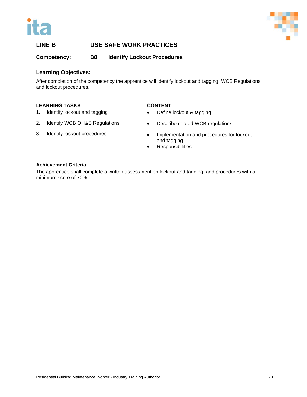



**Competency: B8 Identify Lockout Procedures**

#### **Learning Objectives:**

After completion of the competency the apprentice will identify lockout and tagging, WCB Regulations, and lockout procedures.

#### **LEARNING TASKS**

- 1. Identify lockout and tagging
- 2. Identify WCB OH&S Regulations
- 3. Identify lockout procedures

#### **CONTENT**

- Define lockout & tagging
- Describe related WCB regulations
- Implementation and procedures for lockout and tagging
- Responsibilities

#### **Achievement Criteria:**

The apprentice shall complete a written assessment on lockout and tagging, and procedures with a minimum score of 70%.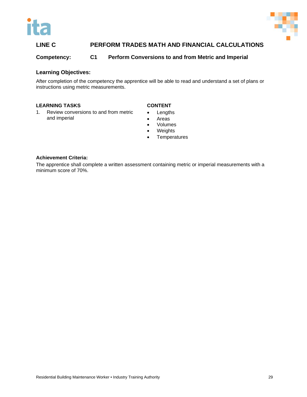



#### <span id="page-34-0"></span>**LINE C PERFORM TRADES MATH AND FINANCIAL CALCULATIONS**

#### **Competency: C1 Perform Conversions to and from Metric and Imperial**

#### **Learning Objectives:**

After completion of the competency the apprentice will be able to read and understand a set of plans or instructions using metric measurements.

#### **LEARNING TASKS**

1. Review conversions to and from metric and imperial

#### **CONTENT**

- Lengths
- Areas
- Volumes
- Weights
- Temperatures

#### **Achievement Criteria:**

The apprentice shall complete a written assessment containing metric or imperial measurements with a minimum score of 70%.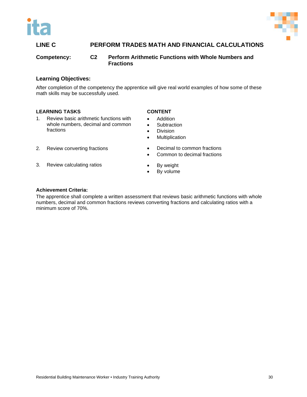



#### **LINE C PERFORM TRADES MATH AND FINANCIAL CALCULATIONS**

**Competency: C2 Perform Arithmetic Functions with Whole Numbers and Fractions**

#### **Learning Objectives:**

After completion of the competency the apprentice will give real world examples of how some of these math skills may be successfully used.

#### **LEARNING TASKS**

1. Review basic arithmetic functions with whole numbers, decimal and common fractions

2. Review converting fractions

3. Review calculating ratios

- **CONTENT**
- Addition
- Subtraction
- **Division**
- Multiplication
- Decimal to common fractions
	- Common to decimal fractions
	- By weight
	- By volume

#### **Achievement Criteria:**

The apprentice shall complete a written assessment that reviews basic arithmetic functions with whole numbers, decimal and common fractions reviews converting fractions and calculating ratios with a minimum score of 70%.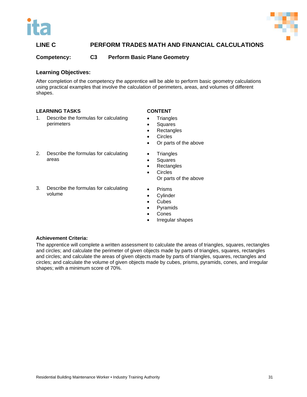



# **LINE C PERFORM TRADES MATH AND FINANCIAL CALCULATIONS**

**Competency: C3 Perform Basic Plane Geometry**

# **Learning Objectives:**

After completion of the competency the apprentice will be able to perform basic geometry calculations using practical examples that involve the calculation of perimeters, areas, and volumes of different shapes.

# **LEARNING TASKS**

- 1. Describe the formulas for calculating perimeters
- 2. Describe the formulas for calculating areas
- 3. Describe the formulas for calculating volume

# **CONTENT**

- Triangles
- Squares
- Rectangles
- Circles
- Or parts of the above
- Triangles
- **Squares**
- Rectangles
- Circles
	- Or parts of the above
- Prisms
- **Cylinder**
- Cubes
- **Pyramids**
- Cones
- Irregular shapes

# **Achievement Criteria:**

The apprentice will complete a written assessment to calculate the areas of triangles, squares, rectangles and circles; and calculate the perimeter of given objects made by parts of triangles, squares, rectangles and circles; and calculate the areas of given objects made by parts of triangles, squares, rectangles and circles; and calculate the volume of given objects made by cubes, prisms, pyramids, cones, and irregular shapes; with a minimum score of 70%.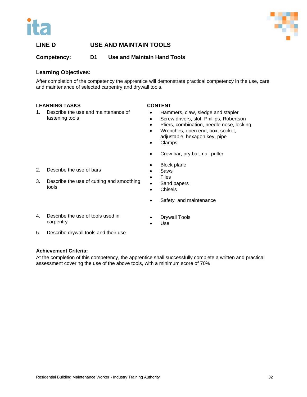



**Competency: D1 Use and Maintain Hand Tools**

# **Learning Objectives:**

After completion of the competency the apprentice will demonstrate practical competency in the use, care and maintenance of selected carpentry and drywall tools.

# **LEARNING TASKS**

1. Describe the use and maintenance of fastening tools

# **CONTENT**

- Hammers, claw, sledge and stapler
- Screw drivers, slot, Phillips, Robertson
- Pliers, combination, needle nose, locking
- Wrenches, open end, box, socket, adjustable, hexagon key, pipe
- Clamps
- Crow bar, pry bar, nail puller
- **Block plane**
- **Saws**
- Files
- Sand papers
- Chisels
- Safety and maintenance
- 4. Describe the use of tools used in

3. Describe the use of cutting and smoothing

2. Describe the use of bars

tools

- Drywall Tools
	- Use
- 5. Describe drywall tools and their use

# **Achievement Criteria:**

carpentry

At the completion of this competency, the apprentice shall successfully complete a written and practical assessment covering the use of the above tools, with a minimum score of 70%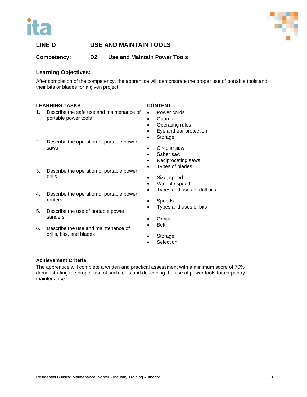



**Competency: D2 Use and Maintain Power Tools**

# **Learning Objectives:**

After completion of the competency, the apprentice will demonstrate the proper use of portable tools and their bits or blades for a given project.

# **LEARNING TASKS**

- 1. Describe the safe use and maintenance of portable power tools
- 2. Describe the operation of portable power saws
- 3. Describe the operation of portable power drills
- 4. Describe the operation of portable power routers
- 5. Describe the use of portable power sanders
- 6. Describe the use and maintenance of drills, bits, and blades

# **CONTENT**

- Power cords
- **Guards**
- Operating rules
- Eye and ear protection
- Storage
- Circular saw
- Saber saw
- Reciprocating saws
- Types of blades
- Size, speed
- Variable speed
- Types and uses of drill bits
- Speeds
- Types and uses of bits
- Orbital
- Belt
- **Storage**
- **Selection**

# **Achievement Criteria:**

The apprentice will complete a written and practical assessment with a minimum score of 70% demonstrating the proper use of such tools and describing the use of power tools for carpentry maintenance.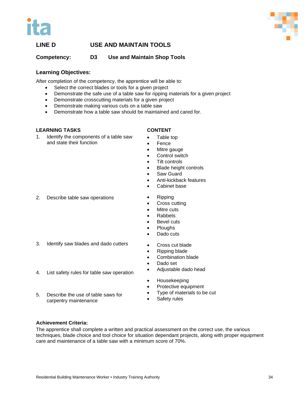



**Competency: D3 Use and Maintain Shop Tools**

# **Learning Objectives:**

After completion of the competency, the apprentice will be able to:

- Select the correct blades or tools for a given project
- Demonstrate the safe use of a table saw for ripping materials for a given project
- Demonstrate crosscutting materials for a given project
- Demonstrate making various cuts on a table saw
- Demonstrate how a table saw should be maintained and cared for.

# **LEARNING TASKS**

1. Identify the components of a table saw and state their function

# **CONTENT**

- Table top
- **Fence**
- Mitre gauge
- Control switch
- Tilt controls
- Blade height controls
- Saw Guard
- Anti-kickback features
- Cabinet base
- 2. Describe table saw operations
- Ripping
- Cross cutting
- Mitre cuts
- Rabbets
- Bevel cuts
- Ploughs
- Dado cuts
- 3. Identify saw blades and dado cutters

4. List safety rules for table saw operation

5. Describe the use of table saws for carpentry maintenance

- Ripping blade
- Combination blade

• Cross cut blade

- Dado set
- Adjustable dado head
- Housekeeping
- Protective equipment
- Type of materials to be cut
- Safety rules

**Achievement Criteria:** 

The apprentice shall complete a written and practical assessment on the correct use, the various techniques, blade choice and tool choice for situation dependant projects, along with proper equipment care and maintenance of a table saw with a minimum score of 70%.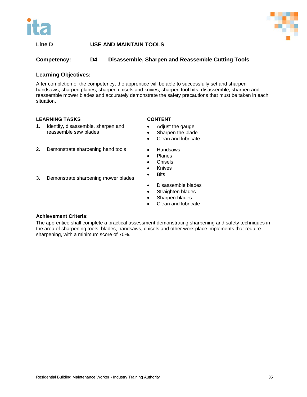



# **Line D USE AND MAINTAIN TOOLS**

# **Competency: D4 Disassemble, Sharpen and Reassemble Cutting Tools**

# **Learning Objectives:**

After completion of the competency, the apprentice will be able to successfully set and sharpen handsaws, sharpen planes, sharpen chisels and knives, sharpen tool bits, disassemble, sharpen and reassemble mower blades and accurately demonstrate the safety precautions that must be taken in each situation.

# **LEARNING TASKS**

- 1. Identify, disassemble, sharpen and reassemble saw blades
- 2. Demonstrate sharpening hand tools
- Handsaws

**CONTENT**

• Adjust the gauge • Sharpen the blade • Clean and lubricate

- Planes
- Chisels
- Knives
- Bits
- Disassemble blades
- Straighten blades
- Sharpen blades
- Clean and lubricate

#### **Achievement Criteria:**

The apprentice shall complete a practical assessment demonstrating sharpening and safety techniques in the area of sharpening tools, blades, handsaws, chisels and other work place implements that require sharpening, with a minimum score of 70%.

3. Demonstrate sharpening mower blades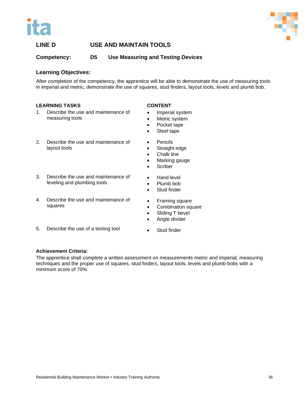



**Competency: D5 Use Measuring and Testing Devices**

# **Learning Objectives:**

After completion of the competency, the apprentice will be able to demonstrate the use of measuring tools in imperial and metric, demonstrate the use of squares, stud finders, layout tools, levels and plumb bob.

# **LEARNING TASKS**

- 1. Describe the use and maintenance of measuring tools
- 2. Describe the use and maintenance of layout tools
- 3. Describe the use and maintenance of leveling and plumbing tools
- 4. Describe the use and maintenance of squares
- 5. Describe the use of a testing tool

# **CONTENT**

- Imperial system
- Metric system
- Pocket tape
- Steel tape
- Pencils
- Straight edge
- Chalk line
- Marking gauge
- Scriber
- Hand level
- Plumb bob
- Stud finder
- Framing square
- Combination square
- Sliding T bevel
- Angle divider
- Stud finder

# **Achievement Criteria:**

The apprentice shall complete a written assessment on measurements metric and imperial, measuring techniques and the proper use of squares, stud finders, layout tools, levels and plumb bobs with a minimum score of 70%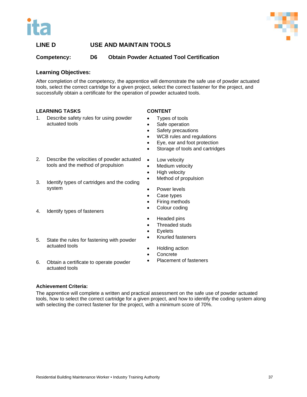



**Competency: D6 Obtain Powder Actuated Tool Certification**

# **Learning Objectives:**

After completion of the competency, the apprentice will demonstrate the safe use of powder actuated tools, select the correct cartridge for a given project, select the correct fastener for the project, and successfully obtain a certificate for the operation of powder actuated tools.

# **LEARNING TASKS**

# **CONTENT**

- 1. Describe safety rules for using powder actuated tools
- Types of tools
- Safe operation

• Low velocity • Medium velocity • High velocity

• Power levels Case types • Firing methods Colour coding

• Headed pins • Threaded studs

• Eyelets

- Safety precautions
- WCB rules and regulations

• Method of propulsion

- Eye, ear and foot protection
- Storage of tools and cartridges
- 2. Describe the velocities of powder actuated tools and the method of propulsion
- 3. Identify types of cartridges and the coding system
- 4. Identify types of fasteners
- 5. State the rules for fastening with powder actuated tools
- Holding action
- **Concrete**
- 6. Obtain a certificate to operate powder actuated tools
- Placement of fasteners

• Knurled fasteners

# **Achievement Criteria:**

The apprentice will complete a written and practical assessment on the safe use of powder actuated tools, how to select the correct cartridge for a given project, and how to identify the coding system along with selecting the correct fastener for the project, with a minimum score of 70%.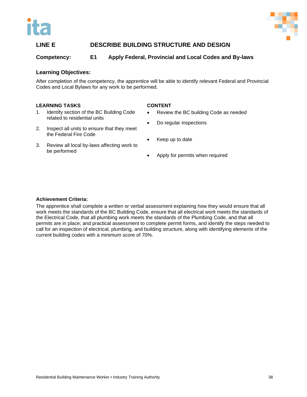



# **LINE E DESCRIBE BUILDING STRUCTURE AND DESIGN**

# **Competency: E1 Apply Federal, Provincial and Local Codes and By-laws**

# **Learning Objectives:**

After completion of the competency, the apprentice will be able to identify relevant Federal and Provincial Codes and Local Bylaws for any work to be performed.

# **LEARNING TASKS**

1. Identify section of the BC Building Code related to residential units

#### **CONTENT**

- Review the BC building Code as needed
- Do regular inspections
- 2. Inspect all units to ensure that they meet the Federal Fire Code
- 3. Review all local by-laws affecting work to be performed
- Keep up to date
- Apply for permits when required

#### **Achievement Criteria:**

The apprentice shall complete a written or verbal assessment explaining how they would ensure that all work meets the standards of the BC Building Code, ensure that all electrical work meets the standards of the Electrical Code, that all plumbing work meets the standards of the Plumbing Code, and that all permits are in place; and practical assessment to complete permit forms, and identify the steps needed to call for an inspection of electrical, plumbing, and building structure, along with identifying elements of the current building codes with a minimum score of 70%.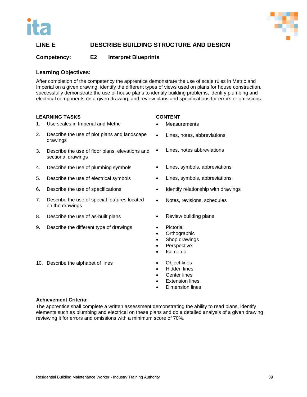



# **LINE E DESCRIBE BUILDING STRUCTURE AND DESIGN**

# **Competency: E2 Interpret Blueprints**

# **Learning Objectives:**

After completion of the competency the apprentice demonstrate the use of scale rules in Metric and Imperial on a given drawing, identify the different types of views used on plans for house construction, successfully demonstrate the use of house plans to identify building problems, identify plumbing and electrical components on a given drawing, and review plans and specifications for errors or omissions.

# **LEARNING TASKS**

- 1. Use scales in Imperial and Metric
- 2. Describe the use of plot plans and landscape drawings
- 3. Describe the use of floor plans, elevations and sectional drawings
- 4. Describe the use of plumbing symbols
- 5. Describe the use of electrical symbols
- 6. Describe the use of specifications
- 7. Describe the use of special features located on the drawings
- 8. Describe the use of as-built plans

10. Describe the alphabet of lines

9. Describe the different type of drawings

# **CONTENT**

- **Measurements**
- Lines, notes, abbreviations
- Lines, notes abbreviations
- Lines, symbols, abbreviations
- Lines, symbols, abbreviations
- Identify relationship with drawings
- Notes, revisions, schedules
- Review building plans
- **Pictorial**
- Orthographic
- Shop drawings
- **Perspective**
- **Isometric**
- Object lines
- Hidden lines
- Center lines
- **Extension lines**
- Dimension lines

# **Achievement Criteria:**

The apprentice shall complete a written assessment demonstrating the ability to read plans, identify elements such as plumbing and electrical on these plans and do a detailed analysis of a given drawing reviewing it for errors and omissions with a minimum score of 70%.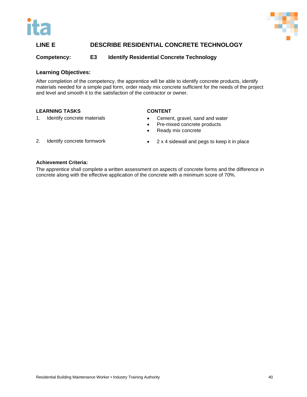



# **LINE E DESCRIBE RESIDENTIAL CONCRETE TECHNOLOGY**

# **Competency: E3 Identify Residential Concrete Technology**

# **Learning Objectives:**

After completion of the competency, the apprentice will be able to identify concrete products, identify materials needed for a simple pad form, order ready mix concrete sufficient for the needs of the project and level and smooth it to the satisfaction of the contractor or owner.

# **LEARNING TASKS**

1. Identify concrete materials

# **CONTENT**

- Cement, gravel, sand and water
- Pre-mixed concrete products
- Ready mix concrete

- 2. Identify concrete formwork
- 2 x 4 sidewall and pegs to keep it in place

# **Achievement Criteria:**

The apprentice shall complete a written assessment on aspects of concrete forms and the difference in concrete along with the effective application of the concrete with a minimum score of 70%.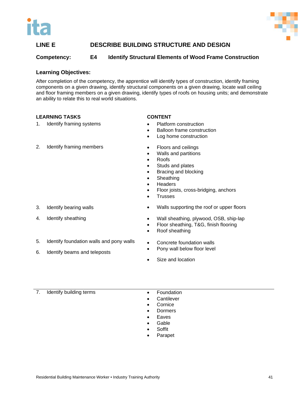



# **LINE E DESCRIBE BUILDING STRUCTURE AND DESIGN**

# **Competency: E4 Identify Structural Elements of Wood Frame Construction**

# **Learning Objectives:**

After completion of the competency, the apprentice will identify types of construction, identify framing components on a given drawing, identify structural components on a given drawing, locate wall ceiling and floor framing members on a given drawing, identify types of roofs on housing units; and demonstrate an ability to relate this to real world situations.

# **LEARNING TASKS**

1. Identify framing systems

# **CONTENT**

- Platform construction
- Balloon frame construction
- Log home construction

- 2. Identify framing members
- 

- 3. Identify bearing walls
- 4. Identify sheathing
- 5. Identify foundation walls and pony walls
- 6. Identify beams and teleposts
- Floors and ceilings
- Walls and partitions
- Roofs
- Studs and plates
- Bracing and blocking
- Sheathing
- **Headers**
- Floor joists, cross-bridging, anchors
- **Trusses**
- Walls supporting the roof or upper floors
- Wall sheathing, plywood, OSB, ship-lap
- Floor sheathing, T&G, finish flooring
- Roof sheathing
- Concrete foundation walls
- Pony wall below floor level
- Size and location

# 7. Identify building terms • Foundation

- 
- Cantilever
- Cornice
- Dormers
- **Eaves**
- **Gable**
- **Soffit**
- Parapet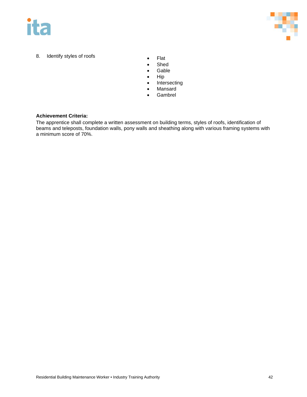



- 8. Identify styles of roofs **•** Flat
	-
	- Shed
	- Gable
	- Hip
	- **Intersecting**
	- Mansard
	- Gambrel

# **Achievement Criteria:**

The apprentice shall complete a written assessment on building terms, styles of roofs, identification of beams and teleposts, foundation walls, pony walls and sheathing along with various framing systems with a minimum score of 70%.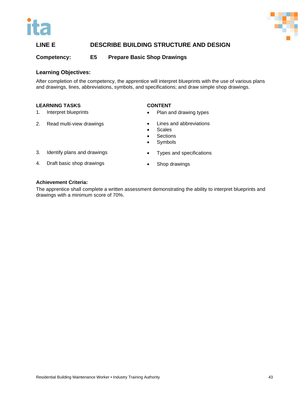



# **LINE E DESCRIBE BUILDING STRUCTURE AND DESIGN**

**Competency: E5 Prepare Basic Shop Drawings**

# **Learning Objectives:**

After completion of the competency, the apprentice will interpret blueprints with the use of various plans and drawings, lines, abbreviations, symbols, and specifications; and draw simple shop drawings.

# **LEARNING TASKS**

- 1. Interpret blueprints
- 2. Read multi-view drawings
- **CONTENT**
- Plan and drawing types
- Lines and abbreviations
- Scales
- Sections
- Symbols
- 3. Identify plans and drawings
- 4. Draft basic shop drawings
- Types and specifications
- Shop drawings

#### **Achievement Criteria:**

The apprentice shall complete a written assessment demonstrating the ability to interpret blueprints and drawings with a minimum score of 70%.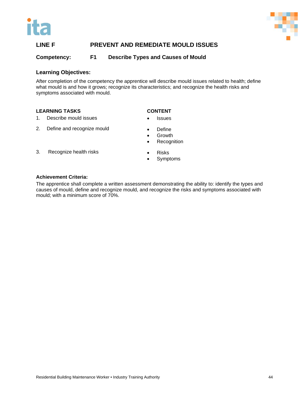



# **LINE F PREVENT AND REMEDIATE MOULD ISSUES**

**Competency: F1 Describe Types and Causes of Mould**

# **Learning Objectives:**

After completion of the competency the apprentice will describe mould issues related to health; define what mould is and how it grows; recognize its characteristics; and recognize the health risks and symptoms associated with mould.

# **LEARNING TASKS**

# **CONTENT**

- 1. Describe mould issues
- 2. Define and recognize mould
- **Define**
- Growth
- Recognition

**Issues** 

3. Recognize health risks

- Risks
- **Symptoms**

# **Achievement Criteria:**

The apprentice shall complete a written assessment demonstrating the ability to: identify the types and causes of mould, define and recognize mould, and recognize the risks and symptoms associated with mould; with a minimum score of 70%.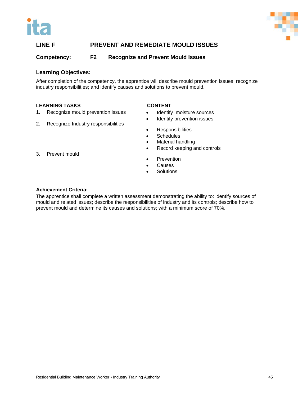



# **LINE F PREVENT AND REMEDIATE MOULD ISSUES**

**Competency: F2 Recognize and Prevent Mould Issues**

# **Learning Objectives:**

After completion of the competency, the apprentice will describe mould prevention issues; recognize industry responsibilities; and identify causes and solutions to prevent mould.

# **LEARNING TASKS**

#### **CONTENT**

- 1. Recognize mould prevention issues
- 2. Recognize Industry responsibilities
- Identify moisture sources • Identify prevention issues
- 
- Responsibilities
- Schedules
- Material handling
- Record keeping and controls
- **Prevention**
- Causes
- **Solutions**

#### **Achievement Criteria:**

The apprentice shall complete a written assessment demonstrating the ability to: identify sources of mould and related issues; describe the responsibilities of industry and its controls; describe how to prevent mould and determine its causes and solutions; with a minimum score of 70%.

3. Prevent mould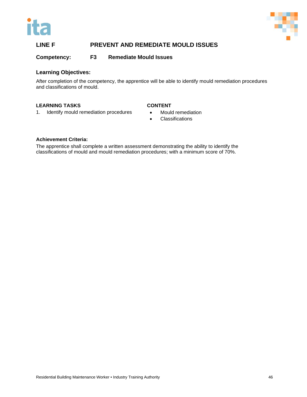



# **LINE F PREVENT AND REMEDIATE MOULD ISSUES**

**Competency: F3 Remediate Mould Issues**

# **Learning Objectives:**

After completion of the competency, the apprentice will be able to identify mould remediation procedures and classifications of mould.

# **LEARNING TASKS**

# **CONTENT**

- 1. Identify mould remediation procedures
- Mould remediation
- Classifications

# **Achievement Criteria:**

The apprentice shall complete a written assessment demonstrating the ability to identify the classifications of mould and mould remediation procedures; with a minimum score of 70%.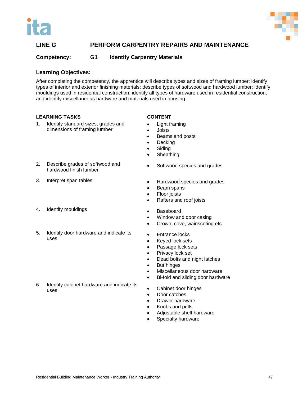



**Competency: G1 Identify Carpentry Materials**

# **Learning Objectives:**

After completing the competency, the apprentice will describe types and sizes of framing lumber; identify types of interior and exterior finishing materials; describe types of softwood and hardwood lumber; identify mouldings used in residential construction; identify all types of hardware used in residential construction; and identify miscellaneous hardware and materials used in housing.

# **LEARNING TASKS**

- 1. Identify standard sizes, grades and dimensions of framing lumber
- 2. Describe grades of softwood and hardwood finish lumber
- 3. Interpret span tables
- 4. Identify mouldings
- 5. Identify door hardware and indicate its uses

6. Identify cabinet hardware and indicate its uses

- **CONTENT**
- Light framing
- Joists
- Beams and posts
- Decking
- Siding
- **Sheathing**
- Softwood species and grades
- Hardwood species and grades
- Beam spans
- Floor joists
- Rafters and roof joists
- Baseboard
- Window and door casing
- Crown, cove, wainscoting etc.
- Entrance locks
- Keyed lock sets
- Passage lock sets
- Privacy lock set
- Dead bolts and night latches
- But hinges
- Miscellaneous door hardware
- Bi-fold and sliding door hardware
- Cabinet door hinges
- Door catches
- Drawer hardware
- Knobs and pulls
- Adjustable shelf hardware
- Specialty hardware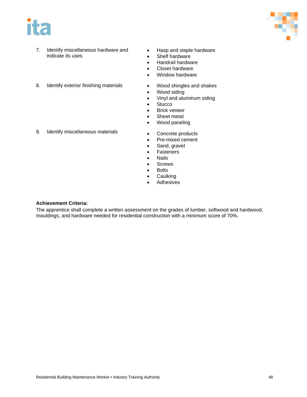



- 7. Identify miscellaneous hardware and indicate its uses
- Hasp and staple hardware
- Shelf hardware
- Handrail hardware
- Closet hardware
- Window hardware
- 8. Identify exterior finishing materials
- Wood shingles and shakes • Wood siding
- Vinyl and aluminum siding
- Stucco
- Brick veneer
- Sheet metal
- Wood paneling
- 9. Identify miscellaneous materials
- Concrete products
- Pre-mixed cement
- Sand, gravel
- Fasteners
- Nails
- Screws
- Bolts
- Caulking
- **Adhesives**

# **Achievement Criteria:**

The apprentice shall complete a written assessment on the grades of lumber, softwood and hardwood, mouldings, and hardware needed for residential construction with a minimum score of 70%.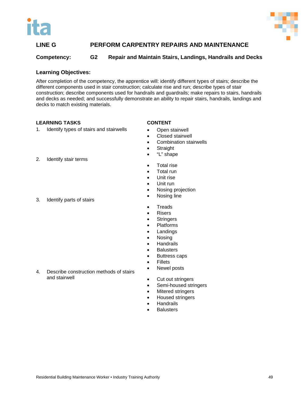



# **Competency: G2 Repair and Maintain Stairs, Landings, Handrails and Decks**

# **Learning Objectives:**

After completion of the competency, the apprentice will: identify different types of stairs; describe the different components used in stair construction; calculate rise and run; describe types of stair construction; describe components used for handrails and guardrails; make repairs to stairs, handrails and decks as needed; and successfully demonstrate an ability to repair stairs, handrails, landings and decks to match existing materials.

# **LEARNING TASKS**

2. Identify stair terms

# 1. Identify types of stairs and stairwells

4. Describe construction methods of stairs

# **CONTENT**

- Open stairwell
- Closed stairwell
- Combination stairwells
- Straight
- "L" shape
- Total rise
- Total run
- Unit rise
- Unit run
- Nosing projection
- Nosing line
- Treads
- Risers
- Stringers
- Platforms
- Landings
- Nosing
- Handrails
- **Balusters**
- Buttress caps
- **Fillets**
- Newel posts
- Cut out stringers
- Semi-housed stringers
- Mitered stringers
- Housed stringers
- **Handrails**
- **Balusters**

3. Identify parts of stairs

and stairwell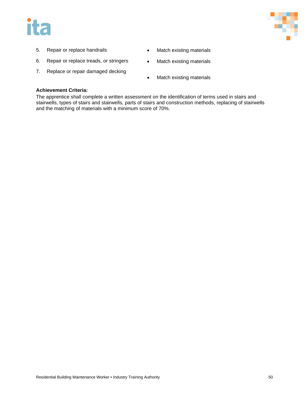# ita



- 5. Repair or replace handrails
- 6. Repair or replace treads, or stringers
- 7. Replace or repair damaged decking
- Match existing materials
- Match existing materials
- Match existing materials

# **Achievement Criteria:**

The apprentice shall complete a written assessment on the identification of terms used in stairs and stairwells, types of stairs and stairwells, parts of stairs and construction methods, replacing of stairwells and the matching of materials with a minimum score of 70%.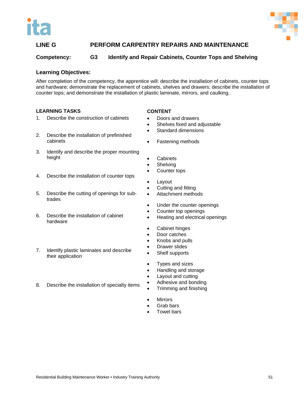



# **Competency: G3 Identify and Repair Cabinets, Counter Tops and Shelving**

# **Learning Objectives:**

After completion of the competency, the apprentice will: describe the installation of cabinets, counter tops and hardware; demonstrate the replacement of cabinets, shelves and drawers; describe the installation of counter tops; and demonstrate the installation of plastic laminate, mirrors, and caulking.

# **LEARNING TASKS**

- 1. Describe the construction of cabinets
- 2. Describe the installation of prefinished cabinets
- 3. Identify and describe the proper mounting height
- 4. Describe the installation of counter tops
- 5. Describe the cutting of openings for subtrades
- 6. Describe the installation of cabinet hardware
- 7. Identify plastic laminates and describe their application
- 8. Describe the installation of specialty items

# **CONTENT**

- Doors and drawers
- Shelves fixed and adjustable
	- Standard dimensions
- Fastening methods
- Cabinets
- **Shelving**
- Counter tops
- Layout
- Cutting and fitting
- Attachment methods
- Under the counter openings
- Counter top openings
- Heating and electrical openings
- Cabinet hinges
- Door catches
- Knobs and pulls
- Drawer slides
- Shelf supports
- Types and sizes
- Handling and storage
- Layout and cutting
- Adhesive and bonding
- Trimming and finishing
- Mirrors
- Grab bars
- **Towel bars**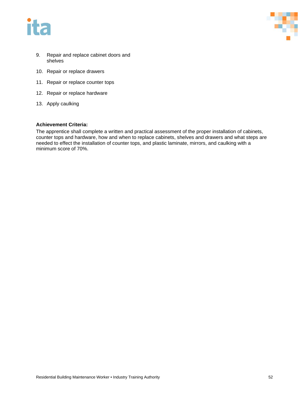



- 9. Repair and replace cabinet doors and shelves
- 10. Repair or replace drawers
- 11. Repair or replace counter tops
- 12. Repair or replace hardware
- 13. Apply caulking

# **Achievement Criteria:**

The apprentice shall complete a written and practical assessment of the proper installation of cabinets, counter tops and hardware, how and when to replace cabinets, shelves and drawers and what steps are needed to effect the installation of counter tops, and plastic laminate, mirrors, and caulking with a minimum score of 70%.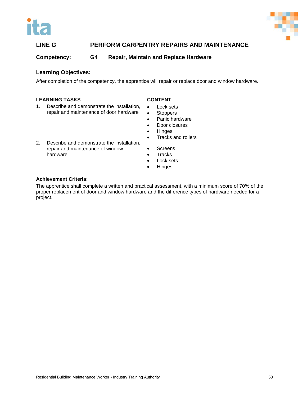



**Competency: G4 Repair, Maintain and Replace Hardware**

# **Learning Objectives:**

After completion of the competency, the apprentice will repair or replace door and window hardware.

# **LEARNING TASKS**

- 1. Describe and demonstrate the installation, repair and maintenance of door hardware
- **CONTENT**
- Lock sets
- Stoppers
- Panic hardware
- Door closures
- Hinges • Tracks and rollers
- 2. Describe and demonstrate the installation, repair and maintenance of window
	- **Screens**
	- **Tracks**
	- Lock sets
	- Hinges

# **Achievement Criteria:**

hardware

The apprentice shall complete a written and practical assessment, with a minimum score of 70% of the proper replacement of door and window hardware and the difference types of hardware needed for a project.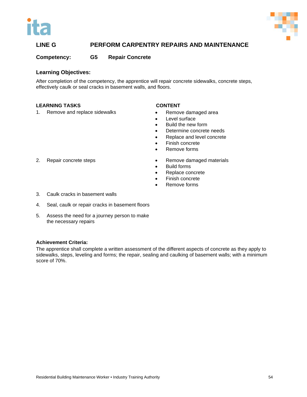



**Competency: G5 Repair Concrete** 

# **Learning Objectives:**

After completion of the competency, the apprentice will repair concrete sidewalks, concrete steps, effectively caulk or seal cracks in basement walls, and floors.

# **LEARNING TASKS**

1. Remove and replace sidewalks

# **CONTENT**

- Remove damaged area
- Level surface
- Build the new form
- Determine concrete needs
- Replace and level concrete
- Finish concrete
- Remove forms
- Remove damaged materials
- Build forms
- Replace concrete
- Finish concrete
- Remove forms
- 3. Caulk cracks in basement walls

2. Repair concrete steps

- 4. Seal, caulk or repair cracks in basement floors
- 5. Assess the need for a journey person to make the necessary repairs

# **Achievement Criteria:**

The apprentice shall complete a written assessment of the different aspects of concrete as they apply to sidewalks, steps, leveling and forms; the repair, sealing and caulking of basement walls; with a minimum score of 70%.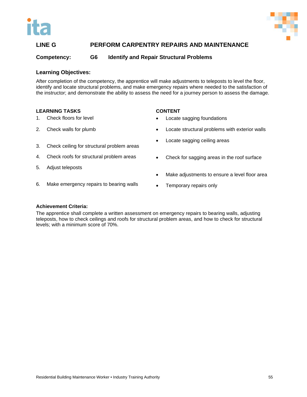



# **Competency: G6 Identify and Repair Structural Problems**

# **Learning Objectives:**

After completion of the competency, the apprentice will make adjustments to teleposts to level the floor, identify and locate structural problems, and make emergency repairs where needed to the satisfaction of the instructor; and demonstrate the ability to assess the need for a journey person to assess the damage.

# **LEARNING TASKS**

- 1. Check floors for level
- 2. Check walls for plumb

# **CONTENT**

- Locate sagging foundations
- Locate structural problems with exterior walls
- Locate sagging ceiling areas
- 3. Check ceiling for structural problem areas
- 4. Check roofs for structural problem areas

6. Make emergency repairs to bearing walls

5. Adjust teleposts

- Check for sagging areas in the roof surface
- Make adjustments to ensure a level floor area
- Temporary repairs only

# **Achievement Criteria:**

The apprentice shall complete a written assessment on emergency repairs to bearing walls, adjusting teleposts, how to check ceilings and roofs for structural problem areas, and how to check for structural levels; with a minimum score of 70%.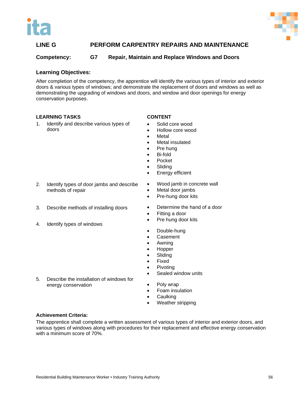



# **Competency: G7 Repair, Maintain and Replace Windows and Doors**

# **Learning Objectives:**

After completion of the competency, the apprentice will identify the various types of interior and exterior doors & various types of windows; and demonstrate the replacement of doors and windows as well as demonstrating the upgrading of windows and doors, and window and door openings for energy conservation purposes.

# **LEARNING TASKS**

1. Identify and describe various types of doors

- 2. Identify types of door jambs and describe methods of repair
- 3. Describe methods of installing doors
- 4. Identify types of windows
- 
- 5. Describe the installation of windows for energy conservation
- **CONTENT**
- Solid core wood
- Hollow core wood
- **Metal**
- Metal insulated
- Pre hung
- Bi-fold
- Pocket
- **Sliding**
- Energy efficient
- Wood jamb in concrete wall
- Metal door jambs
- Pre-hung door kits
- Determine the hand of a door
- Fitting a door
- Pre hung door kits
- Double-hung
- Casement
- Awning
- Hopper
- **Sliding**
- Fixed
- Pivoting
- Sealed window units
- Poly wrap
- Foam insulation
- **Caulking**
- Weather stripping

# **Achievement Criteria:**

The apprentice shall complete a written assessment of various types of interior and exterior doors, and various types of windows along with procedures for their replacement and effective energy conservation with a minimum score of 70%.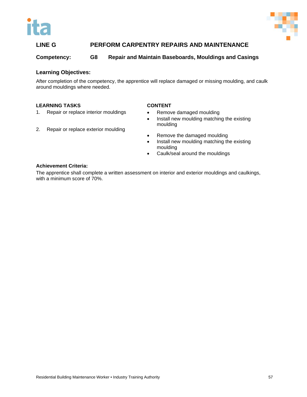



**Competency: G8 Repair and Maintain Baseboards, Mouldings and Casings**

# **Learning Objectives:**

After completion of the competency, the apprentice will replace damaged or missing moulding, and caulk around mouldings where needed.

# **LEARNING TASKS**

- 1. Repair or replace interior mouldings
- 2. Repair or replace exterior moulding

# **CONTENT**

- Remove damaged moulding
- Install new moulding matching the existing moulding
- Remove the damaged moulding
- Install new moulding matching the existing moulding
- Caulk/seal around the mouldings

# **Achievement Criteria:**

The apprentice shall complete a written assessment on interior and exterior mouldings and caulkings, with a minimum score of 70%.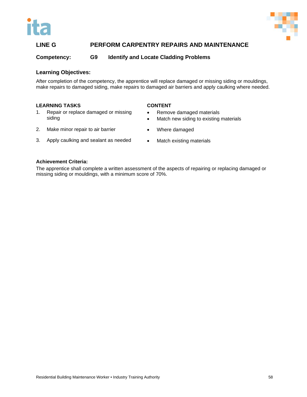



**Competency: G9 Identify and Locate Cladding Problems**

# **Learning Objectives:**

After completion of the competency, the apprentice will replace damaged or missing siding or mouldings, make repairs to damaged siding, make repairs to damaged air barriers and apply caulking where needed.

# **LEARNING TASKS**

1. Repair or replace damaged or missing siding

#### **CONTENT**

- Remove damaged materials
- Match new siding to existing materials
- 2. Make minor repair to air barrier
- Where damaged
- 3. Apply caulking and sealant as needed
- Match existing materials

#### **Achievement Criteria:**

The apprentice shall complete a written assessment of the aspects of repairing or replacing damaged or missing siding or mouldings, with a minimum score of 70%.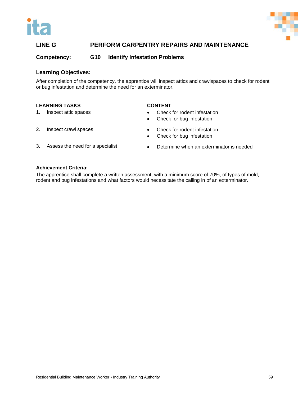



**Competency: G10 Identify Infestation Problems**

# **Learning Objectives:**

After completion of the competency, the apprentice will inspect attics and crawlspaces to check for rodent or bug infestation and determine the need for an exterminator.

# **LEARNING TASKS**

1. Inspect attic spaces

# **CONTENT**

- Check for rodent infestation
- Check for bug infestation

2. Inspect crawl spaces

- Check for rodent infestation
- Check for bug infestation
- 3. Assess the need for a specialist
- Determine when an exterminator is needed

#### **Achievement Criteria:**

The apprentice shall complete a written assessment, with a minimum score of 70%, of types of mold, rodent and bug infestations and what factors would necessitate the calling in of an exterminator.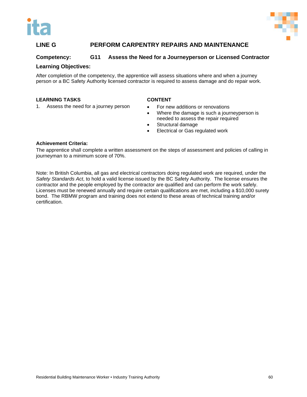



# **Competency: G11 Assess the Need for a Journeyperson or Licensed Contractor**

# **Learning Objectives:**

After completion of the competency, the apprentice will assess situations where and when a journey person or a BC Safety Authority licensed contractor is required to assess damage and do repair work.

# **LEARNING TASKS**

1. Assess the need for a journey person

# **CONTENT**

- For new additions or renovations
- Where the damage is such a journeyperson is needed to assess the repair required
- Structural damage
- Electrical or Gas regulated work

# **Achievement Criteria:**

The apprentice shall complete a written assessment on the steps of assessment and policies of calling in journeyman to a minimum score of 70%.

Note: In British Columbia, all gas and electrical contractors doing regulated work are required, under the *Safety Standards Act*, to hold a valid license issued by the BC Safety Authority. The license ensures the contractor and the people employed by the contractor are qualified and can perform the work safely. Licenses must be renewed annually and require certain qualifications are met, including a \$10,000 surety bond. The RBMW program and training does not extend to these areas of technical training and/or certification.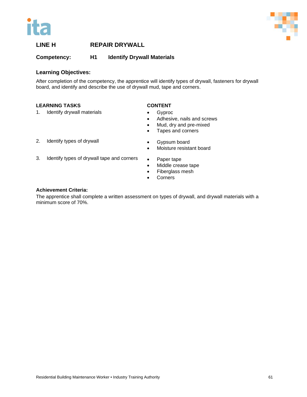



# **Competency: H1 Identify Drywall Materials**

# **Learning Objectives:**

After completion of the competency, the apprentice will identify types of drywall, fasteners for drywall board, and identify and describe the use of drywall mud, tape and corners.

# **LEARNING TASKS**

1. Identify drywall materials

# **CONTENT**

- Gyproc
- Adhesive, nails and screws
- Mud, dry and pre-mixed
- Tapes and corners

2. Identify types of drywall

- Gypsum board
- Moisture resistant board
- 3. Identify types of drywall tape and corners
- Paper tape
- Middle crease tape
- Fiberglass mesh
- Corners

# **Achievement Criteria:**

The apprentice shall complete a written assessment on types of drywall, and drywall materials with a minimum score of 70%.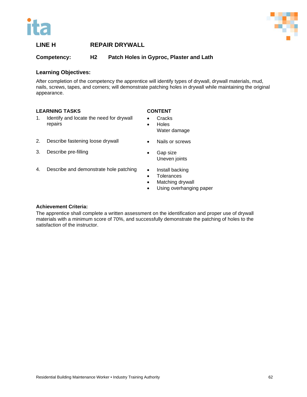



**Competency: H2 Patch Holes in Gyproc, Plaster and Lath**

# **Learning Objectives:**

After completion of the competency the apprentice will identify types of drywall, drywall materials, mud, nails, screws, tapes, and corners; will demonstrate patching holes in drywall while maintaining the original appearance.

# **LEARNING TASKS**

- **CONTENT**
- 1. Identify and locate the need for drywall repairs
- 2. Describe fastening loose drywall
- 3. Describe pre-filling
- 4. Describe and demonstrate hole patching
- Cracks • Holes Water damage
	- Nails or screws
- Gap size Uneven joints
- Install backing
- Tolerances
- Matching drywall
- Using overhanging paper

# **Achievement Criteria:**

The apprentice shall complete a written assessment on the identification and proper use of drywall materials with a minimum score of 70%, and successfully demonstrate the patching of holes to the satisfaction of the instructor.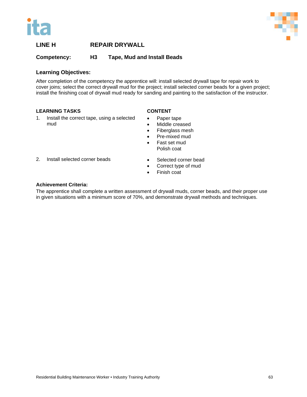



**Competency: H3 Tape, Mud and Install Beads**

# **Learning Objectives:**

After completion of the competency the apprentice will: install selected drywall tape for repair work to cover joins; select the correct drywall mud for the project; install selected corner beads for a given project; install the finishing coat of drywall mud ready for sanding and painting to the satisfaction of the instructor.

# **LEARNING TASKS**

mud

1. Install the correct tape, using a selected

# **CONTENT**

- Paper tape
- Middle creased
- Fiberglass mesh
- Pre-mixed mud
- Fast set mud Polish coat
- 2. Install selected corner beads
- Selected corner bead
- Correct type of mud
- Finish coat

# **Achievement Criteria:**

The apprentice shall complete a written assessment of drywall muds, corner beads, and their proper use in given situations with a minimum score of 70%, and demonstrate drywall methods and techniques.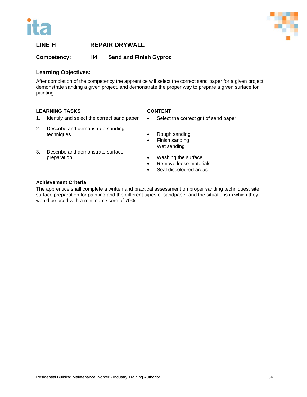



# **Competency: H4 Sand and Finish Gyproc**

# **Learning Objectives:**

After completion of the competency the apprentice will select the correct sand paper for a given project, demonstrate sanding a given project, and demonstrate the proper way to prepare a given surface for painting.

# **LEARNING TASKS**

# **CONTENT**

- 1. Identify and select the correct sand paper
- 2. Describe and demonstrate sanding techniques
- 3. Describe and demonstrate surface preparation
- Select the correct grit of sand paper
- Rough sanding
- Finish sanding Wet sanding
- Washing the surface
- Remove loose materials
- Seal discoloured areas

# **Achievement Criteria:**

The apprentice shall complete a written and practical assessment on proper sanding techniques, site surface preparation for painting and the different types of sandpaper and the situations in which they would be used with a minimum score of 70%.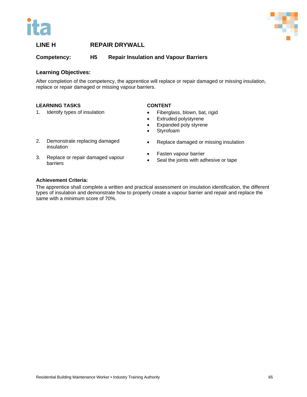



**Competency: H5 Repair Insulation and Vapour Barriers**

# **Learning Objectives:**

After completion of the competency, the apprentice will replace or repair damaged or missing insulation, replace or repair damaged or missing vapour barriers.

# **LEARNING TASKS**

1. Identify types of insulation

# **CONTENT**

- Fiberglass, blown, bat, rigid
- Extruded polystyrene
- Expanded poly styrene
- Styrofoam
- 2. Demonstrate replacing damaged insulation
- 3. Replace or repair damaged vapour Fasten vapour barrier
	- Seal the joints with adhesive or tape

• Replace damaged or missing insulation

# **Achievement Criteria:**

barriers

The apprentice shall complete a written and practical assessment on insulation identification, the different types of insulation and demonstrate how to properly create a vapour barrier and repair and replace the same with a minimum score of 70%.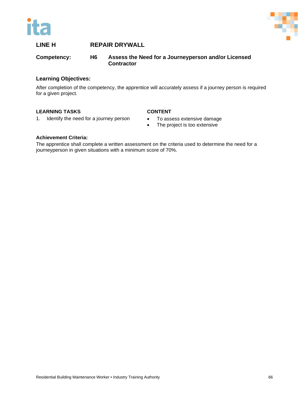



**Competency: H6 Assess the Need for a Journeyperson and/or Licensed Contractor**

# **Learning Objectives:**

After completion of the competency, the apprentice will accurately assess if a journey person is required for a given project.

# **LEARNING TASKS**

# **CONTENT**

- 1. Identify the need for a journey person
- To assess extensive damage
- The project is too extensive

# **Achievement Criteria:**

The apprentice shall complete a written assessment on the criteria used to determine the need for a journeyperson in given situations with a minimum score of 70%.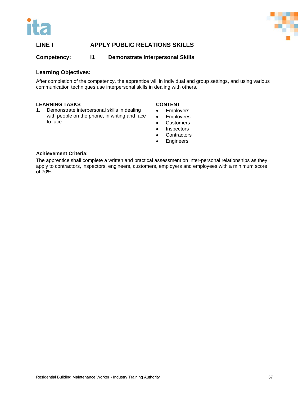



# **LINE I APPLY PUBLIC RELATIONS SKILLS**

**Competency: I1 Demonstrate Interpersonal Skills**

## **Learning Objectives:**

After completion of the competency, the apprentice will in individual and group settings, and using various communication techniques use interpersonal skills in dealing with others.

#### **LEARNING TASKS**

1. Demonstrate interpersonal skills in dealing with people on the phone, in writing and face to face

#### **CONTENT**

- Employers
- Employees
- **Customers**
- **Inspectors**
- **Contractors**
- **Engineers**

## **Achievement Criteria:**

The apprentice shall complete a written and practical assessment on inter-personal relationships as they apply to contractors, inspectors, engineers, customers, employers and employees with a minimum score of 70%.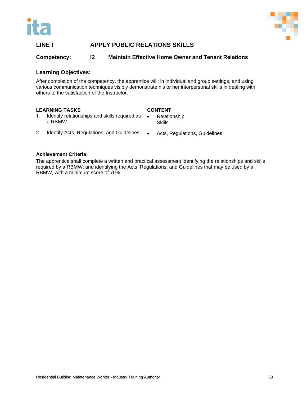



# **LINE I APPLY PUBLIC RELATIONS SKILLS**

## **Competency: I2 Maintain Effective Home Owner and Tenant Relations**

#### **Learning Objectives:**

After completion of the competency, the apprentice will: in individual and group settings, and using various communication techniques visibly demonstrate his or her interpersonal skills in dealing with others to the satisfaction of the Instructor.

#### **LEARNING TASKS**

#### **CONTENT**

**Skills** 

- 1. Identify relationships and skills required as a RBMW • Relationship
- 2. Identify Acts, Regulations, and Guidelines
- Acts, Regulations, Guidelines

#### **Achievement Criteria:**

The apprentice shall complete a written and practical assessment identifying the relationships and skills required by a RBMW; and identifying the Acts, Regulations, and Guidelines that may be used by a RBMW, with a minimum score of 70%.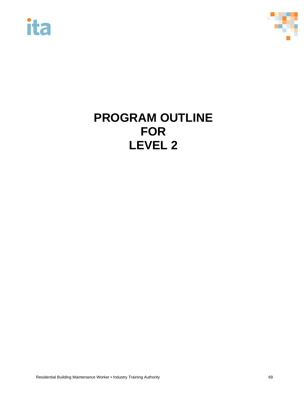



# **PROGRAM OUTLINE FOR LEVEL 2**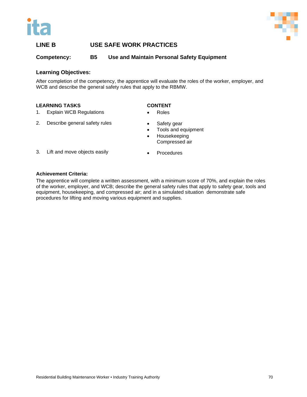



# **LINE B USE SAFE WORK PRACTICES**

**Competency: B5 Use and Maintain Personal Safety Equipment**

## **Learning Objectives:**

After completion of the competency, the apprentice will evaluate the roles of the worker, employer, and WCB and describe the general safety rules that apply to the RBMW.

#### **LEARNING TASKS**

#### **CONTENT**

- 1. Explain WCB Regulations
- 2. Describe general safety rules
- Roles
- Safety gear
- Tools and equipment
- Housekeeping Compressed air
- 3. Lift and move objects easily
- **Procedures**

## **Achievement Criteria:**

The apprentice will complete a written assessment, with a minimum score of 70%, and explain the roles of the worker, employer, and WCB; describe the general safety rules that apply to safety gear, tools and equipment, housekeeping, and compressed air; and in a simulated situation demonstrate safe procedures for lifting and moving various equipment and supplies.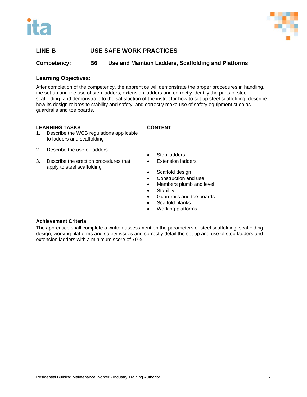



# **LINE B USE SAFE WORK PRACTICES**

**Competency: B6 Use and Maintain Ladders, Scaffolding and Platforms** 

## **Learning Objectives:**

After completion of the competency, the apprentice will demonstrate the proper procedures in handling, the set up and the use of step ladders, extension ladders and correctly identify the parts of steel scaffolding; and demonstrate to the satisfaction of the instructor how to set up steel scaffolding, describe how its design relates to stability and safety, and correctly make use of safety equipment such as guardrails and toe boards.

#### **LEARNING TASKS**

1. Describe the WCB regulations applicable to ladders and scaffolding

- 2. Describe the use of ladders
- 3. Describe the erection procedures that apply to steel scaffolding
- **CONTENT**
- Step ladders
- **Extension ladders**
- Scaffold design
- Construction and use
- Members plumb and level
- Stability
- Guardrails and toe boards
- Scaffold planks
- Working platforms

#### **Achievement Criteria:**

The apprentice shall complete a written assessment on the parameters of steel scaffolding, scaffolding design, working platforms and safety issues and correctly detail the set up and use of step ladders and extension ladders with a minimum score of 70%.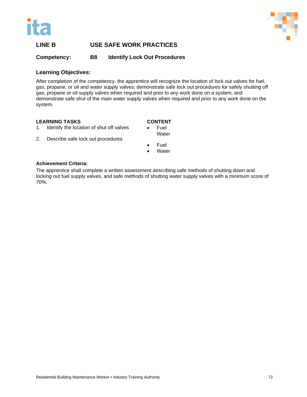



# **LINE B USE SAFE WORK PRACTICES**

**Competency: B8 Identify Lock Out Procedures**

## **Learning Objectives:**

After completion of the competency, the apprentice will recognize the location of lock out valves for fuel, gas, propane, or oil and water supply valves; demonstrate safe lock out procedures for safely shutting off gas, propane or oil supply valves when required and prior to any work done on a system; and demonstrate safe shut of the main water supply valves when required and prior to any work done on the system.

## **LEARNING TASKS**

# **CONTENT**

- 1. Identify the location of shut off valves
- **Fuel Water**
- 2. Describe safe lock out procedures
- Fuel
- **Water**

#### **Achievement Criteria:**

The apprentice shall complete a written assessment describing safe methods of shutting down and locking out fuel supply valves, and safe methods of shutting water supply valves with a minimum score of 70%.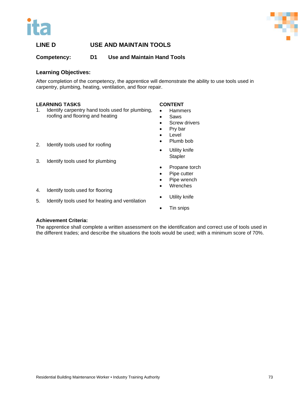



# **LINE D USE AND MAINTAIN TOOLS**

**Competency: D1 Use and Maintain Hand Tools**

## **Learning Objectives:**

After completion of the competency, the apprentice will demonstrate the ability to use tools used in carpentry, plumbing, heating, ventilation, and floor repair.

#### **LEARNING TASKS**

1. Identify carpentry hand tools used for plumbing, roofing and flooring and heating

## **CONTENT**

- Hammers
- **Saws**
- Screw drivers
- Pry bar
- Level
- Plumb bob
- Utility knife **Stapler**
- Propane torch
- Pipe cutter
- Pipe wrench
- Wrenches
- Utility knife
- Tin snips

## 2. Identify tools used for roofing

3. Identify tools used for plumbing

4. Identify tools used for flooring

5. Identify tools used for heating and ventilation

## **Achievement Criteria:**

The apprentice shall complete a written assessment on the identification and correct use of tools used in the different trades; and describe the situations the tools would be used; with a minimum score of 70%.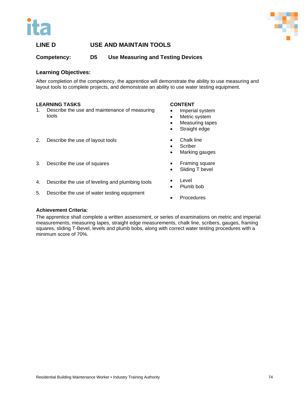



# **LINE D USE AND MAINTAIN TOOLS**

**Competency: D5 Use Measuring and Testing Devices**

## **Learning Objectives:**

After completion of the competency, the apprentice will demonstrate the ability to use measuring and layout tools to complete projects, and demonstrate an ability to use water testing equipment.

#### **LEARNING TASKS**

1. Describe the use and maintenance of measuring tools

#### **CONTENT**

- Imperial system
- Metric system
- Measuring tapes
- Straight edge
- **Chalk line** 
	- **Scriber**
	- Marking gauges
	- Framing square
	- Sliding T bevel
- 4. Describe the use of leveling and plumbing tools
- 5. Describe the use of water testing equipment

2. Describe the use of layout tools

3. Describe the use of squares

- **Level** Plumb bob
- **Procedures**

#### **Achievement Criteria:**

The apprentice shall complete a written assessment, or series of examinations on metric and imperial measurements, measuring tapes, straight edge measurements, chalk line, scribers, gauges, framing squares, sliding T-Bevel, levels and plumb bobs, along with correct water testing procedures with a minimum score of 70%.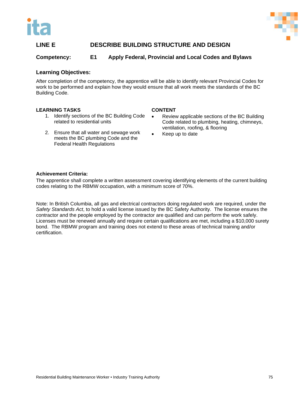



# **LINE E DESCRIBE BUILDING STRUCTURE AND DESIGN**

## **Competency: E1 Apply Federal, Provincial and Local Codes and Bylaws**

#### **Learning Objectives:**

After completion of the competency, the apprentice will be able to identify relevant Provincial Codes for work to be performed and explain how they would ensure that all work meets the standards of the BC Building Code.

#### **LEARNING TASKS**

- 1. Identify sections of the BC Building Code related to residential units
- 2. Ensure that all water and sewage work meets the BC plumbing Code and the Federal Health Regulations

#### **CONTENT**

- Review applicable sections of the BC Building Code related to plumbing, heating, chimneys, ventilation, roofing, & flooring
- Keep up to date

#### **Achievement Criteria:**

The apprentice shall complete a written assessment covering identifying elements of the current building codes relating to the RBMW occupation, with a minimum score of 70%.

Note: In British Columbia, all gas and electrical contractors doing regulated work are required, under the *Safety Standards Act*, to hold a valid license issued by the BC Safety Authority. The license ensures the contractor and the people employed by the contractor are qualified and can perform the work safely. Licenses must be renewed annually and require certain qualifications are met, including a \$10,000 surety bond. The RBMW program and training does not extend to these areas of technical training and/or certification.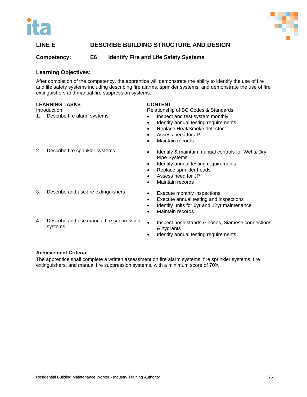



# **LINE E DESCRIBE BUILDING STRUCTURE AND DESIGN**

## **Competency: E6 Identify Fire and Life Safety Systems**

#### **Learning Objectives:**

After completion of the competency, the apprentice will demonstrate the ability to identify the use of fire and life safety systems including describing fire alarms, sprinkler systems, and demonstrate the use of fire extinguishers and manual fire suppression systems.

#### **LEARNING TASKS**

**Introduction** 

1. Describe fire alarm systems

#### **CONTENT**

Relationship of BC Codes & Standards

- Inspect and test system monthly
- Identify annual testing requirements
- Replace Heat/Smoke detector
- Assess need for JP
- Maintain records
- 2. Describe fire sprinkler systems
- 3. Describe and use fire extinguishers
- 4. Describe and use manual fire suppression systems
- Identify & maintain manual controls for Wet & Dry Pipe Systems
- Identify annual testing requirements
- Replace sprinkler heads
- Assess need for JP
- Maintain records
- Execute monthly inspections
- Execute annual testing and inspections
- Identify units for 6yr and 12yr maintenance
- Maintain records
- Inspect hose stands & hoses, Siamese connections & hydrants
- Identify annual testing requirements

#### **Achievement Criteria:**

The apprentice shall complete a written assessment on fire alarm systems, fire sprinkler systems, fire extinguishers, and manual fire suppression systems, with a minimum score of 70%.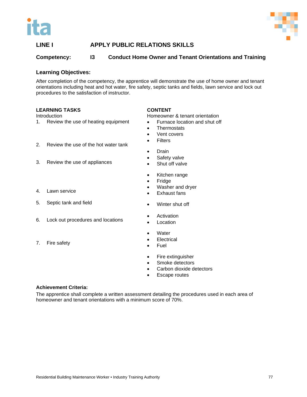



# **LINE I APPLY PUBLIC RELATIONS SKILLS**

# **Competency: I3 Conduct Home Owner and Tenant Orientations and Training**

#### **Learning Objectives:**

After completion of the competency, the apprentice will demonstrate the use of home owner and tenant orientations including heat and hot water, fire safety, septic tanks and fields, lawn service and lock out procedures to the satisfaction of instructor.

#### **LEARNING TASKS**

**Introduction** 

- 1. Review the use of heating equipment
- 2. Review the use of the hot water tank
- 3. Review the use of appliances
- 4. Lawn service
- 5. Septic tank and field
- 6. Lock out procedures and locations
- 7. Fire safety

**CONTENT**

Homeowner & tenant orientation

- Furnace location and shut off
- **Thermostats**
- Vent covers
- Filters
- Drain
- Safety valve
- Shut off valve
- Kitchen range
- Fridge
- Washer and dryer
- Exhaust fans
- Winter shut off
- Activation
- **Location**
- **Water**
- **Electrical**
- Fuel
- Fire extinguisher
- Smoke detectors
- Carbon dioxide detectors
- Escape routes

#### **Achievement Criteria:**

The apprentice shall complete a written assessment detailing the procedures used in each area of homeowner and tenant orientations with a minimum score of 70%.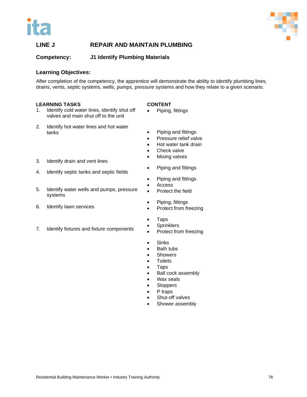



# **LINE J REPAIR AND MAINTAIN PLUMBING**

**Competency: J1 Identify Plumbing Materials**

#### **Learning Objectives:**

After completion of the competency, the apprentice will demonstrate the ability to identify plumbing lines, drains, vents, septic systems, wells, pumps, pressure systems and how they relate to a given scenario.

#### **LEARNING TASKS**

- 1. Identify cold water lines, identify shut off valves and main shut off to the unit
- 2. Identify hot water lines and hot water tanks
- 3. Identify drain and vent lines
- 4. Identify septic tanks and septic fields
- 5. Identify water wells and pumps, pressure systems
- 6. Identify lawn services
- 7. Identify fixtures and fixture components

#### **CONTENT**

- Piping, fittings
- Piping and fittings
- Pressure relief valve
- Hot water tank drain
- Check valve
- Mixing valves
- Piping and fittings
- Piping and fittings
- **Access**
- Protect the field
- Piping, fittings
- Protect from freezing
- Taps
- Sprinklers
- Protect from freezing
- Sinks
- **Bath tubs**
- **Showers**
- Toilets
- Taps
- Ball cock assembly
- Wax seals
- **Stoppers**
- P traps
- Shut-off valves
- Shower assembly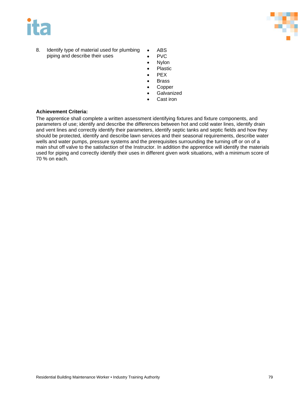



- 8. Identify type of material used for plumbing piping and describe their uses
- ABS
- PVC
- Nylon
- Plastic • PEX
- **Brass**
- **Copper**
- **Galvanized**
- Cast iron

## **Achievement Criteria:**

The apprentice shall complete a written assessment identifying fixtures and fixture components, and parameters of use; identify and describe the differences between hot and cold water lines, identify drain and vent lines and correctly identify their parameters, identify septic tanks and septic fields and how they should be protected, identify and describe lawn services and their seasonal requirements, describe water wells and water pumps, pressure systems and the prerequisites surrounding the turning off or on of a main shut off valve to the satisfaction of the Instructor. In addition the apprentice will identify the materials used for piping and correctly identify their uses in different given work situations, with a minimum score of 70 % on each.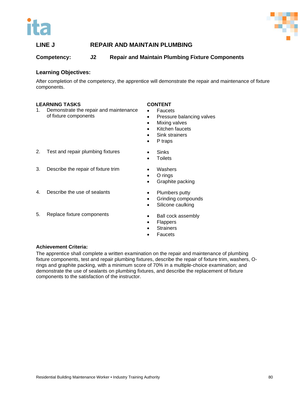



# **LINE J REPAIR AND MAINTAIN PLUMBING**

# **Competency: J2 Repair and Maintain Plumbing Fixture Components**

## **Learning Objectives:**

After completion of the competency, the apprentice will demonstrate the repair and maintenance of fixture components.

#### **LEARNING TASKS**

1. Demonstrate the repair and maintenance of fixture components

#### **CONTENT**

- Faucets
- Pressure balancing valves
- Mixing valves
- Kitchen faucets
- Sink strainers
- P traps
- 2. Test and repair plumbing fixtures
- Sinks
- **Toilets**
- 3. Describe the repair of fixture trim

4. Describe the use of sealants

5. Replace fixture components

- Washers • O rings
- Graphite packing
- Plumbers putty
	- Grinding compounds
	- Silicone caulking
	- Ball cock assembly
	- Flappers
	- **Strainers**
	- **Faucets**

#### **Achievement Criteria:**

The apprentice shall complete a written examination on the repair and maintenance of plumbing fixture components, test and repair plumbing fixtures, describe the repair of fixture trim, washers, Orings and graphite packing, with a minimum score of 70% in a multiple-choice examination; and demonstrate the use of sealants on plumbing fixtures, and describe the replacement of fixture components to the satisfaction of the instructor.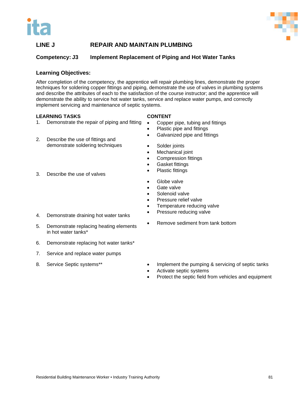



# **LINE J REPAIR AND MAINTAIN PLUMBING**

## **Competency: J3 Implement Replacement of Piping and Hot Water Tanks**

#### **Learning Objectives:**

After completion of the competency, the apprentice will repair plumbing lines, demonstrate the proper techniques for soldering copper fittings and piping, demonstrate the use of valves in plumbing systems and describe the attributes of each to the satisfaction of the course instructor; and the apprentice will demonstrate the ability to service hot water tanks, service and replace water pumps, and correctly implement servicing and maintenance of septic systems.

#### **LEARNING TASKS**

- 1. Demonstrate the repair of piping and fitting
- 2. Describe the use of fittings and demonstrate soldering techniques
- 3. Describe the use of valves
	-
- 
- 4. Demonstrate draining hot water tanks
- 5. Demonstrate replacing heating elements in hot water tanks\*
- 6. Demonstrate replacing hot water tanks\*
- 7. Service and replace water pumps
- 8. Service Septic systems\*\*
- Copper pipe, tubing and fittings • Plastic pipe and fittings
- Galvanized pipe and fittings
- Solder joints

**CONTENT**

- Mechanical joint
- Compression fittings
- Gasket fittings
- Plastic fittings
- Globe valve
- Gate valve
- Solenoid valve
- Pressure relief valve
- Temperature reducing valve
- Pressure reducing valve
- Remove sediment from tank bottom
- Implement the pumping & servicing of septic tanks
- Activate septic systems
- Protect the septic field from vehicles and equipment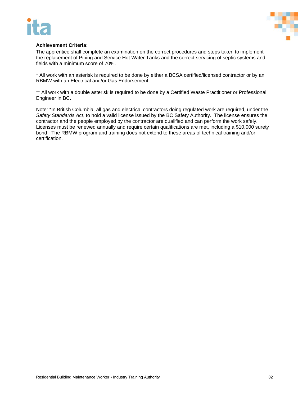



#### **Achievement Criteria:**

The apprentice shall complete an examination on the correct procedures and steps taken to implement the replacement of Piping and Service Hot Water Tanks and the correct servicing of septic systems and fields with a minimum score of 70%.

\* All work with an asterisk is required to be done by either a BCSA certified/licensed contractor or by an RBMW with an Electrical and/or Gas Endorsement.

\*\* All work with a double asterisk is required to be done by a Certified Waste Practitioner or Professional Engineer in BC.

Note: \*In British Columbia, all gas and electrical contractors doing regulated work are required, under the *Safety Standards Act*, to hold a valid license issued by the BC Safety Authority. The license ensures the contractor and the people employed by the contractor are qualified and can perform the work safely. Licenses must be renewed annually and require certain qualifications are met, including a \$10,000 surety bond. The RBMW program and training does not extend to these areas of technical training and/or certification.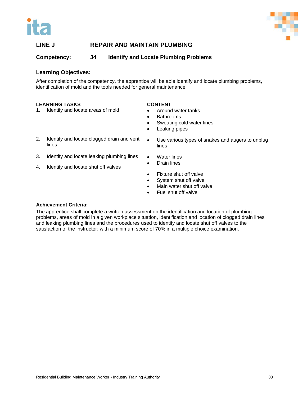



# **LINE J REPAIR AND MAINTAIN PLUMBING**

**Competency: J4 Identify and Locate Plumbing Problems**

## **Learning Objectives:**

After completion of the competency, the apprentice will be able identify and locate plumbing problems, identification of mold and the tools needed for general maintenance.

#### **LEARNING TASKS**

1. Identify and locate areas of mold

## **CONTENT**

- Around water tanks
- **Bathrooms**
- Sweating cold water lines
- Leaking pipes
- 2. Identify and locate clogged drain and vent lines
- 3. Identify and locate leaking plumbing lines
- 4. Identify and locate shut off valves
- Use various types of snakes and augers to unplug lines
- Water lines
- Drain lines
- Fixture shut off valve
- System shut off valve
- Main water shut off valve
- Fuel shut off valve

## **Achievement Criteria:**

The apprentice shall complete a written assessment on the identification and location of plumbing problems, areas of mold in a given workplace situation, identification and location of clogged drain lines and leaking plumbing lines and the procedures used to identify and locate shut off valves to the satisfaction of the instructor; with a minimum score of 70% in a multiple choice examination.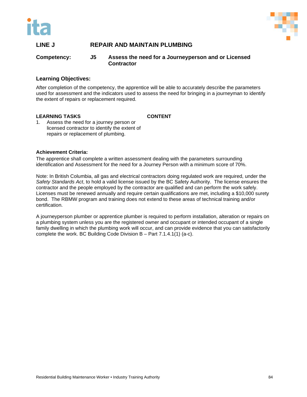



# **LINE J REPAIR AND MAINTAIN PLUMBING**

#### **Competency: J5 Assess the need for a Journeyperson and or Licensed Contractor**

## **Learning Objectives:**

After completion of the competency, the apprentice will be able to accurately describe the parameters used for assessment and the indicators used to assess the need for bringing in a journeyman to identify the extent of repairs or replacement required.

#### **LEARNING TASKS**

**CONTENT**

1. Assess the need for a journey person or licensed contractor to identify the extent of repairs or replacement of plumbing.

#### **Achievement Criteria:**

The apprentice shall complete a written assessment dealing with the parameters surrounding identification and Assessment for the need for a Journey Person with a minimum score of 70%.

Note: In British Columbia, all gas and electrical contractors doing regulated work are required, under the *Safety Standards Act*, to hold a valid license issued by the BC Safety Authority. The license ensures the contractor and the people employed by the contractor are qualified and can perform the work safely. Licenses must be renewed annually and require certain qualifications are met, including a \$10,000 surety bond. The RBMW program and training does not extend to these areas of technical training and/or certification.

A journeyperson plumber or apprentice plumber is required to perform installation, alteration or repairs on a plumbing system unless you are the registered owner and occupant or intended occupant of a single family dwelling in which the plumbing work will occur, and can provide evidence that you can satisfactorily complete the work. BC Building Code Division B – Part 7.1.4.1(1) (a-c).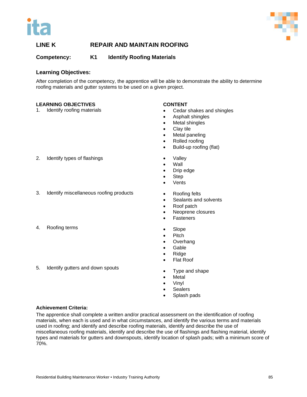



# **Competency: K1 Identify Roofing Materials**

#### **Learning Objectives:**

After completion of the competency, the apprentice will be able to demonstrate the ability to determine roofing materials and gutter systems to be used on a given project.

#### **LEARNING OBJECTIVES**

1. Identify roofing materials

#### **CONTENT**

- Cedar shakes and shingles
- Asphalt shingles
- Metal shingles
- Clay tile
- Metal paneling
- Rolled roofing
- Build-up roofing (flat)
- Valley
- Wall
- Drip edge
- Step
- Vents
- Roofing felts
- Sealants and solvents
- Roof patch
- Neoprene closures
- **Fasteners**
- Slope
- Pitch
- Overhang
- Gable
- Ridge
- Flat Roof
- Type and shape
- Metal
- Vinyl
- **Sealers**
- Splash pads

**Achievement Criteria:** 

5. Identify gutters and down spouts

The apprentice shall complete a written and/or practical assessment on the identification of roofing materials, when each is used and in what circumstances, and identify the various terms and materials used in roofing; and identify and describe roofing materials, identify and describe the use of miscellaneous roofing materials, identify and describe the use of flashings and flashing material, identify types and materials for gutters and downspouts, identify location of splash pads; with a minimum score of 70%.

2. Identify types of flashings

- 3. Identify miscellaneous roofing products
- 4. Roofing terms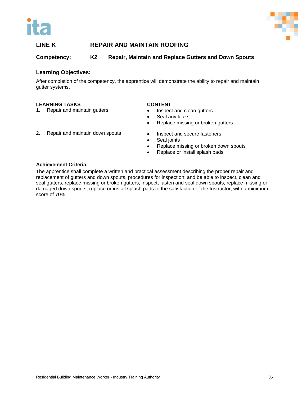



# **Competency: K2 Repair, Maintain and Replace Gutters and Down Spouts**

#### **Learning Objectives:**

After completion of the competency, the apprentice will demonstrate the ability to repair and maintain gutter systems.

#### **LEARNING TASKS**

1. Repair and maintain gutters

#### **CONTENT**

- Inspect and clean gutters
- Seal any leaks
- Replace missing or broken gutters
- 2. Repair and maintain down spouts
- Inspect and secure fasteners • Seal joints
- Replace missing or broken down spouts
- Replace or install splash pads

#### **Achievement Criteria:**

The apprentice shall complete a written and practical assessment describing the proper repair and replacement of gutters and down spouts, procedures for inspection; and be able to inspect, clean and seal gutters, replace missing or broken gutters, inspect, fasten and seal down spouts, replace missing or damaged down spouts, replace or install splash pads to the satisfaction of the Instructor, with a minimum score of 70%.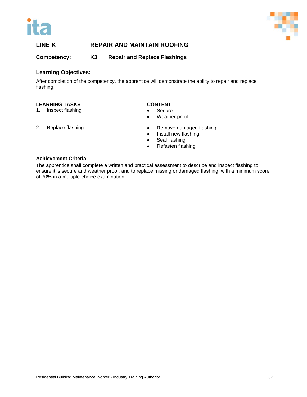



**Competency: K3 Repair and Replace Flashings**

## **Learning Objectives:**

After completion of the competency, the apprentice will demonstrate the ability to repair and replace flashing.

#### **LEARNING TASKS**

1. Inspect flashing

#### **CONTENT**

- Secure
- Weather proof

2. Replace flashing

- Remove damaged flashing
- Install new flashing
- Seal flashing
- Refasten flashing

#### **Achievement Criteria:**

The apprentice shall complete a written and practical assessment to describe and inspect flashing to ensure it is secure and weather proof, and to replace missing or damaged flashing, with a minimum score of 70% in a multiple-choice examination.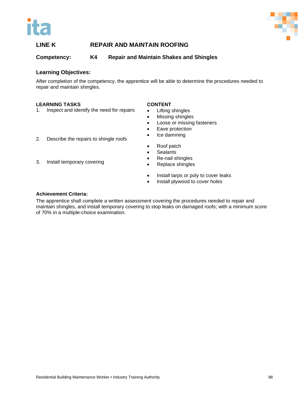



# **Competency: K4 Repair and Maintain Shakes and Shingles**

## **Learning Objectives:**

After completion of the competency, the apprentice will be able to determine the procedures needed to repair and maintain shingles.

#### **LEARNING TASKS**

1. Inspect and identify the need for repairs

#### **CONTENT**

- Lifting shingles
- Missing shingles
- Loose or missing fasteners
- Eave protection
- Ice damming
- 2. Describe the repairs to shingle roofs
- Roof patch
- Sealants
- Re-nail shingles
- Replace shingles
- Install tarps or poly to cover leaks
- Install plywood to cover holes

## **Achievement Criteria:**

3. Install temporary covering

The apprentice shall complete a written assessment covering the procedures needed to repair and maintain shingles, and install temporary covering to stop leaks on damaged roofs; with a minimum score of 70% in a multiple-choice examination.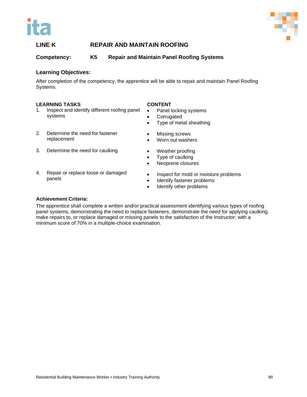



**Competency: K5 Repair and Maintain Panel Roofing Systems**

## **Learning Objectives:**

After completion of the competency, the apprentice will be able to repair and maintain Panel Roofing Systems.

#### **LEARNING TASKS**

- 1. Inspect and identify different roofing panel systems
- 2. Determine the need for fastener replacement
- 3. Determine the need for caulking
- 4. Repair or replace loose or damaged panels
- **CONTENT**
- Panel locking systems
- **Corrugated**
- Type of metal sheathing
- Missing screws
- Worn out washers
- Weather proofing
- Type of caulking
- Neoprene closures
- Inspect for mold or moisture problems
- Identify fastener problems
- Identify other problems

#### **Achievement Criteria:**

The apprentice shall complete a written and/or practical assessment identifying various types of roofing panel systems, demonstrating the need to replace fasteners, demonstrate the need for applying caulking, make repairs to, or replace damaged or missing panels to the satisfaction of the Instructor; with a minimum score of 70% in a multiple-choice examination.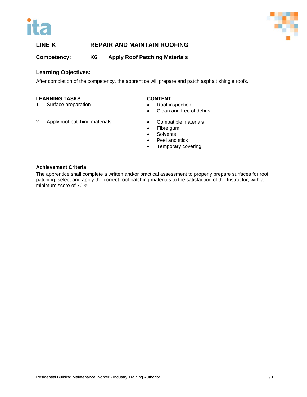



**Competency: K6 Apply Roof Patching Materials**

# **Learning Objectives:**

After completion of the competency, the apprentice will prepare and patch asphalt shingle roofs.

#### **LEARNING TASKS**

- 1. Surface preparation
- 2. Apply roof patching materials

## **CONTENT**

- Roof inspection
- Clean and free of debris
- Compatible materials
- Fibre gum
- Solvents
- Peel and stick
- Temporary covering

#### **Achievement Criteria:**

The apprentice shall complete a written and/or practical assessment to properly prepare surfaces for roof patching, select and apply the correct roof patching materials to the satisfaction of the Instructor, with a minimum score of 70 %.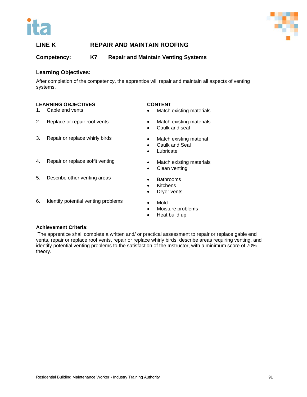



# **Competency: K7 Repair and Maintain Venting Systems**

#### **Learning Objectives:**

After completion of the competency, the apprentice will repair and maintain all aspects of venting systems.

#### **LEARNING OBJECTIVES**

- 1. Gable end vents
- 2. Replace or repair roof vents
- 3. Repair or replace whirly birds
- **CONTENT**
- Match existing materials
- **Match existing materials**
- Caulk and seal
- Match existing material

• Match existing materials

• Caulk and Seal

• Clean venting

• Bathrooms • Kitchens • Dryer vents

- Lubricate
- 4. Repair or replace soffit venting
- 5. Describe other venting areas
- 6. Identify potential venting problems
- Mold
- Moisture problems
- Heat build up

#### **Achievement Criteria:**

The apprentice shall complete a written and/ or practical assessment to repair or replace gable end vents, repair or replace roof vents, repair or replace whirly birds, describe areas requiring venting, and identify potential venting problems to the satisfaction of the Instructor, with a minimum score of 70% theory.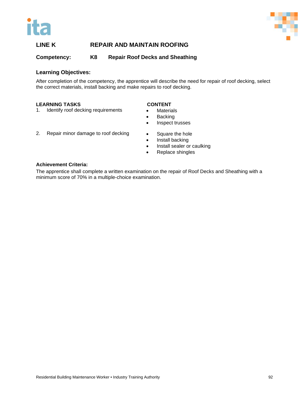



**Competency: K8 Repair Roof Decks and Sheathing**

## **Learning Objectives:**

After completion of the competency, the apprentice will describe the need for repair of roof decking, select the correct materials, install backing and make repairs to roof decking.

#### **LEARNING TASKS**

## **CONTENT**

- 1. Identify roof decking requirements
- Materials • Backing
- Inspect trusses
- 2. Repair minor damage to roof decking
- Square the hole • Install backing
- Install sealer or caulking
- Replace shingles

#### **Achievement Criteria:**

The apprentice shall complete a written examination on the repair of Roof Decks and Sheathing with a minimum score of 70% in a multiple-choice examination.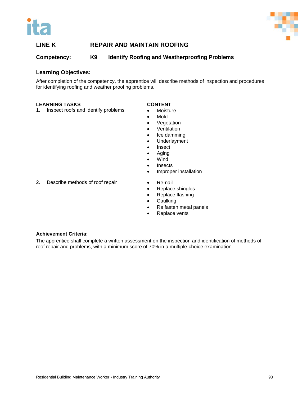



**Competency: K9 Identify Roofing and Weatherproofing Problems**

## **Learning Objectives:**

After completion of the competency, the apprentice will describe methods of inspection and procedures for identifying roofing and weather proofing problems.

#### **LEARNING TASKS**

#### **CONTENT**

- 1. Inspect roofs and identify problems
- Moisture • Mold
- Vegetation
- Ventilation
- Ice damming
- Underlayment
- Insect
- Aging
- Wind
- Insects
- Improper installation
- 2. Describe methods of roof repair
- Re-nail
- Replace shingles
- Replace flashing
- Caulking
- Re fasten metal panels
- Replace vents

#### **Achievement Criteria:**

The apprentice shall complete a written assessment on the inspection and identification of methods of roof repair and problems, with a minimum score of 70% in a multiple-choice examination.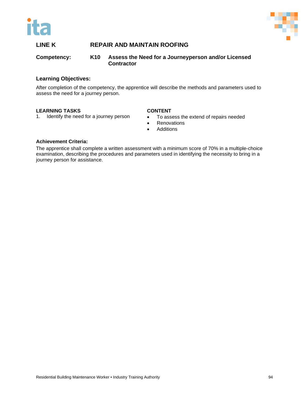



## **Competency: K10 Assess the Need for a Journeyperson and/or Licensed Contractor**

## **Learning Objectives:**

After completion of the competency, the apprentice will describe the methods and parameters used to assess the need for a journey person.

## **LEARNING TASKS**

#### 1. Identify the need for a journey person

#### **CONTENT**

- To assess the extend of repairs needed
- Renovations
- Additions

#### **Achievement Criteria:**

The apprentice shall complete a written assessment with a minimum score of 70% in a multiple-choice examination, describing the procedures and parameters used in identifying the necessity to bring in a journey person for assistance.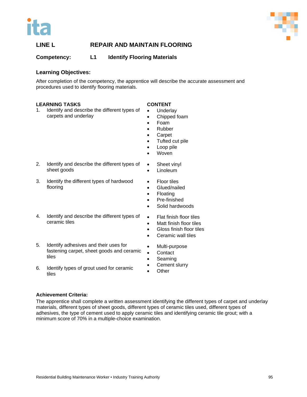



# **Competency: L1 Identify Flooring Materials**

## **Learning Objectives:**

After completion of the competency, the apprentice will describe the accurate assessment and procedures used to identify flooring materials.

#### **LEARNING TASKS**

## **CONTENT**

- 1. Identify and describe the different types of carpets and underlay
- **Underlay**
- Chipped foam
- Foam • Rubber
- 
- Carpet
- Tufted cut pile
- Loop pile
- Woven

• Sheet vinyl **Linoleum** 

• Floor tiles • Glued/nailed

• Floating

- 2. Identify and describe the different types of sheet goods
- 3. Identify the different types of hardwood flooring
- 4. Identify and describe the different types of ceramic tiles
- 5. Identify adhesives and their uses for fastening carpet, sheet goods and ceramic tiles
- 6. Identify types of grout used for ceramic tiles

• Flat finish floor tiles

• Pre-finished Solid hardwoods

- Matt finish floor tiles
- Gloss finish floor tiles
- Ceramic wall tiles
- Multi-purpose
- **Contact**
- **Seaming**
- Cement slurry
	- **Other**

## **Achievement Criteria:**

The apprentice shall complete a written assessment identifying the different types of carpet and underlay materials, different types of sheet goods, different types of ceramic tiles used, different types of adhesives, the type of cement used to apply ceramic tiles and identifying ceramic tile grout; with a minimum score of 70% in a multiple-choice examination.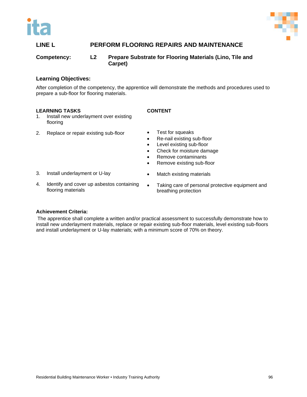



# **LINE L PERFORM FLOORING REPAIRS AND MAINTENANCE**

# **Competency: L2 Prepare Substrate for Flooring Materials (Lino, Tile and Carpet)**

## **Learning Objectives:**

After completion of the competency, the apprentice will demonstrate the methods and procedures used to prepare a sub-floor for flooring materials.

#### **LEARNING TASKS**

#### **CONTENT**

- 1. Install new underlayment over existing flooring
- 2. Replace or repair existing sub-floor
- Test for squeaks
- Re-nail existing sub-floor
- Level existing sub-floor
- Check for moisture damage
- Remove contaminants
- Remove existing sub-floor

• Match existing materials

- 3. Install underlayment or U-lay
- 4. Identify and cover up asbestos containing flooring materials
- Taking care of personal protective equipment and breathing protection

#### **Achievement Criteria:**

The apprentice shall complete a written and/or practical assessment to successfully demonstrate how to install new underlayment materials, replace or repair existing sub-floor materials, level existing sub-floors and install underlayment or U-lay materials; with a minimum score of 70% on theory.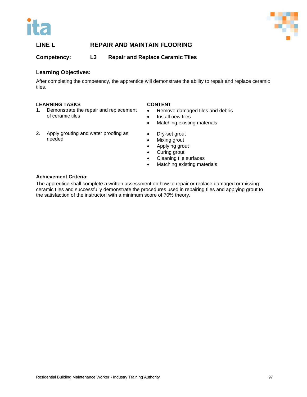



# **Competency: L3 Repair and Replace Ceramic Tiles**

## **Learning Objectives:**

After completing the competency, the apprentice will demonstrate the ability to repair and replace ceramic tiles.

#### **LEARNING TASKS**

- 1. Demonstrate the repair and replacement of ceramic tiles
- 2. Apply grouting and water proofing as needed

#### **CONTENT**

- Remove damaged tiles and debris
- Install new tiles
- Matching existing materials
- Dry-set grout
- Mixing grout
- Applying grout
- Curing grout
- Cleaning tile surfaces
- Matching existing materials

#### **Achievement Criteria:**

The apprentice shall complete a written assessment on how to repair or replace damaged or missing ceramic tiles and successfully demonstrate the procedures used in repairing tiles and applying grout to the satisfaction of the instructor; with a minimum score of 70% theory.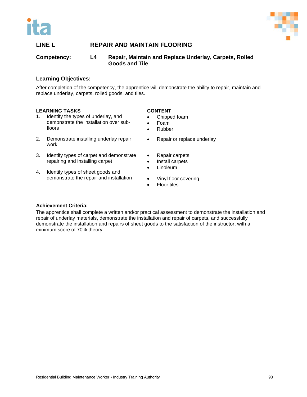



**Competency: L4 Repair, Maintain and Replace Underlay, Carpets, Rolled Goods and Tile**

## **Learning Objectives:**

After completion of the competency, the apprentice will demonstrate the ability to repair, maintain and replace underlay, carpets, rolled goods, and tiles.

#### **LEARNING TASKS**

- 1. Identify the types of underlay, and demonstrate the installation over subfloors
- 2. Demonstrate installing underlay repair work
- 3. Identify types of carpet and demonstrate repairing and installing carpet
- 4. Identify types of sheet goods and demonstrate the repair and installation

## **CONTENT**

- Chipped foam
- Foam
- Rubber
- Repair or replace underlay
- Repair carpets
- Install carpets
- Linoleum
- Vinyl floor covering
- Floor tiles

#### **Achievement Criteria:**

The apprentice shall complete a written and/or practical assessment to demonstrate the installation and repair of underlay materials, demonstrate the installation and repair of carpets, and successfully demonstrate the installation and repairs of sheet goods to the satisfaction of the instructor; with a minimum score of 70% theory.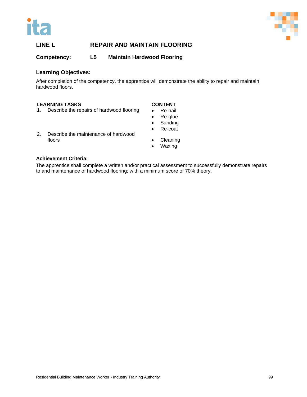



## **Competency: L5 Maintain Hardwood Flooring**

# **Learning Objectives:**

After completion of the competency, the apprentice will demonstrate the ability to repair and maintain hardwood floors.

#### **LEARNING TASKS**

1. Describe the repairs of hardwood flooring

#### **CONTENT**

- Re-nail
- Re-glue
- Sanding
- Re-coat
- 2. Describe the maintenance of hardwood floors
- **Cleaning**
- Waxing

#### **Achievement Criteria:**

The apprentice shall complete a written and/or practical assessment to successfully demonstrate repairs to and maintenance of hardwood flooring; with a minimum score of 70% theory.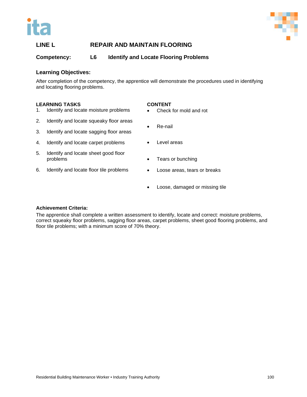



## **Competency: L6 Identify and Locate Flooring Problems**

#### **Learning Objectives:**

After completion of the competency, the apprentice will demonstrate the procedures used in identifying and locating flooring problems.

#### **LEARNING TASKS**

#### **CONTENT**

- 1. Identify and locate moisture problems
- 2. Identify and locate squeaky floor areas
- 3. Identify and locate sagging floor areas
- 4. Identify and locate carpet problems
- 5. Identify and locate sheet good floor problems
- 6. Identify and locate floor tile problems
- Check for mold and rot
- Re-nail
- Level areas
- Tears or bunching
- Loose areas, tears or breaks
- Loose, damaged or missing tile

#### **Achievement Criteria:**

The apprentice shall complete a written assessment to identify, locate and correct: moisture problems, correct squeaky floor problems, sagging floor areas, carpet problems, sheet good flooring problems, and floor tile problems; with a minimum score of 70% theory.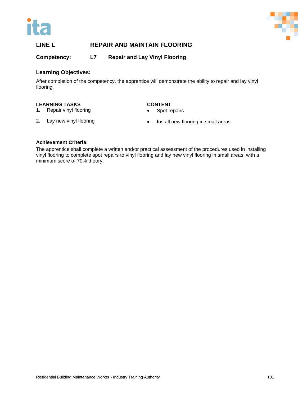



**Competency: L7 Repair and Lay Vinyl Flooring**

## **Learning Objectives:**

After completion of the competency, the apprentice will demonstrate the ability to repair and lay vinyl flooring.

#### **LEARNING TASKS**

## **CONTENT**

1. Repair vinyl flooring

Spot repairs

2. Lay new vinyl flooring

• Install new flooring in small areas

#### **Achievement Criteria:**

The apprentice shall complete a written and/or practical assessment of the procedures used in installing vinyl flooring to complete spot repairs to vinyl flooring and lay new vinyl flooring in small areas; with a minimum score of 70% theory.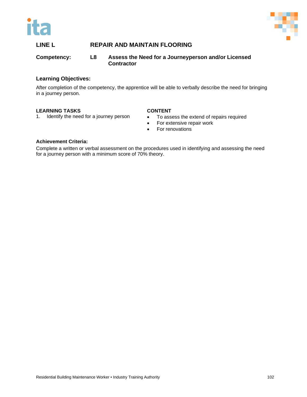



## **Competency: L8 Assess the Need for a Journeyperson and/or Licensed Contractor**

## **Learning Objectives:**

After completion of the competency, the apprentice will be able to verbally describe the need for bringing in a journey person.

## **LEARNING TASKS**

#### 1. Identify the need for a journey person **CONTENT**

- To assess the extend of repairs required
	- For extensive repair work
	- For renovations

#### **Achievement Criteria:**

Complete a written or verbal assessment on the procedures used in identifying and assessing the need for a journey person with a minimum score of 70% theory.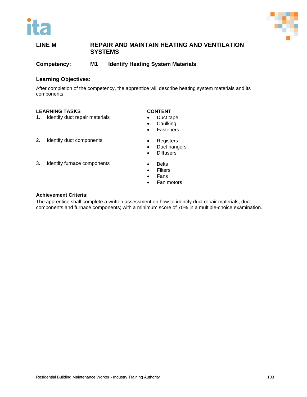

**Competency: M1 Identify Heating System Materials**

#### **Learning Objectives:**

After completion of the competency, the apprentice will describe heating system materials and its components.

#### **LEARNING TASKS**

1. Identify duct repair materials

#### **CONTENT**

- Duct tape
- Caulking
- Fasteners

2. Identify duct components

3. Identify furnace components

- Registers • Duct hangers
- Diffusers
- 
- Belts • Filters
- Fans
- 
- Fan motors

#### **Achievement Criteria:**

The apprentice shall complete a written assessment on how to identify duct repair materials, duct components and furnace components; with a minimum score of 70% in a multiple-choice examination.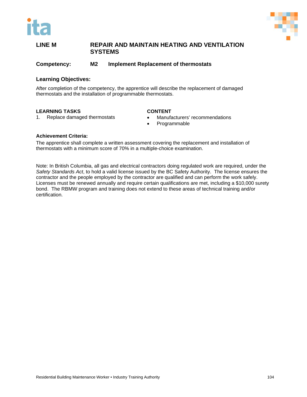

**Competency: M2 Implement Replacement of thermostats**

#### **Learning Objectives:**

After completion of the competency, the apprentice will describe the replacement of damaged thermostats and the installation of programmable thermostats.

#### **LEARNING TASKS**

1. Replace damaged thermostats

#### **CONTENT**

- Manufacturers' recommendations
- Programmable

#### **Achievement Criteria:**

The apprentice shall complete a written assessment covering the replacement and installation of thermostats with a minimum score of 70% in a multiple-choice examination.

Note: In British Columbia, all gas and electrical contractors doing regulated work are required, under the *Safety Standards Act*, to hold a valid license issued by the BC Safety Authority. The license ensures the contractor and the people employed by the contractor are qualified and can perform the work safely. Licenses must be renewed annually and require certain qualifications are met, including a \$10,000 surety bond. The RBMW program and training does not extend to these areas of technical training and/or certification.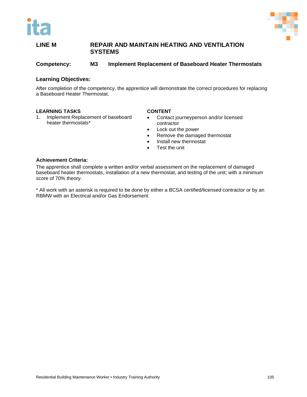

**Competency: M3 Implement Replacement of Baseboard Heater Thermostats**

#### **Learning Objectives:**

After completion of the competency, the apprentice will demonstrate the correct procedures for replacing a Baseboard Heater Thermostat.

#### **LEARNING TASKS**

1. Implement Replacement of baseboard heater thermostats\*

#### **CONTENT**

- Contact journeyperson and/or licensed contractor
- Lock out the power
- Remove the damaged thermostat
- Install new thermostat
- Test the unit

#### **Achievement Criteria:**

The apprentice shall complete a written and/or verbal assessment on the replacement of damaged baseboard heater thermostats, installation of a new thermostat, and testing of the unit; with a minimum score of 70% theory.

\* All work with an asterisk is required to be done by either a BCSA certified/licensed contractor or by an RBMW with an Electrical and/or Gas Endorsement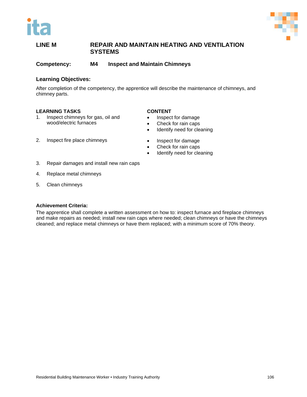

**Competency: M4 Inspect and Maintain Chimneys**

#### **Learning Objectives:**

After completion of the competency, the apprentice will describe the maintenance of chimneys, and chimney parts.

#### **LEARNING TASKS**

1. Inspect chimneys for gas, oil and wood/electric furnaces

#### **CONTENT**

- Inspect for damage
- Check for rain caps
- Identify need for cleaning
- Inspect for damage
	- Check for rain caps
	- Identify need for cleaning
- 2. Inspect fire place chimneys
- 3. Repair damages and install new rain caps
- 4. Replace metal chimneys
- 5. Clean chimneys

#### **Achievement Criteria:**

The apprentice shall complete a written assessment on how to: inspect furnace and fireplace chimneys and make repairs as needed; install new rain caps where needed; clean chimneys or have the chimneys cleaned; and replace metal chimneys or have them replaced; with a minimum score of 70% theory.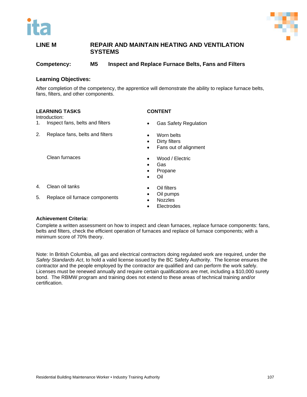

**Competency: M5 Inspect and Replace Furnace Belts, Fans and Filters**

#### **Learning Objectives:**

After completion of the competency, the apprentice will demonstrate the ability to replace furnace belts, fans, filters, and other components.

#### **LEARNING TASKS**

Introduction:

- 1. Inspect fans, belts and filters
- 2. Replace fans, belts and filters
	- Clean furnaces
- 4. Clean oil tanks
- 5. Replace oil furnace components
- Gas Safety Regulation
- Worn belts

**CONTENT**

- Dirty filters
- Fans out of alignment
- Wood / Electric
- Gas
- Propane
- Oil
- **Oil filters**
- Oil pumps
- Nozzles
- **Electrodes**

#### **Achievement Criteria:**

Complete a written assessment on how to inspect and clean furnaces, replace furnace components: fans, belts and filters, check the efficient operation of furnaces and replace oil furnace components; with a minimum score of 70% theory.

Note: In British Columbia, all gas and electrical contractors doing regulated work are required, under the *Safety Standards Act*, to hold a valid license issued by the BC Safety Authority. The license ensures the contractor and the people employed by the contractor are qualified and can perform the work safely. Licenses must be renewed annually and require certain qualifications are met, including a \$10,000 surety bond. The RBMW program and training does not extend to these areas of technical training and/or certification.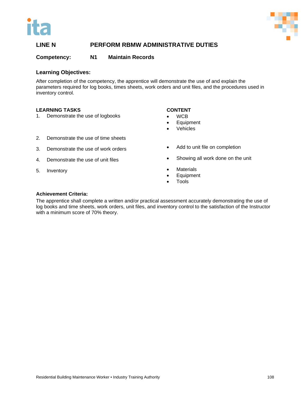



#### **Competency: N1 Maintain Records**

#### **Learning Objectives:**

After completion of the competency, the apprentice will demonstrate the use of and explain the parameters required for log books, times sheets, work orders and unit files, and the procedures used in inventory control.

#### **LEARNING TASKS**

1. Demonstrate the use of logbooks

#### **CONTENT**

- WCB
- Equipment
- **Vehicles**
- 2. Demonstrate the use of time sheets
- 3. Demonstrate the use of work orders
- 4. Demonstrate the use of unit files
- 5. Inventory
- Add to unit file on completion
- Showing all work done on the unit
- **Materials**
- Equipment
- Tools

#### **Achievement Criteria:**

The apprentice shall complete a written and/or practical assessment accurately demonstrating the use of log books and time sheets, work orders, unit files, and inventory control to the satisfaction of the Instructor with a minimum score of 70% theory.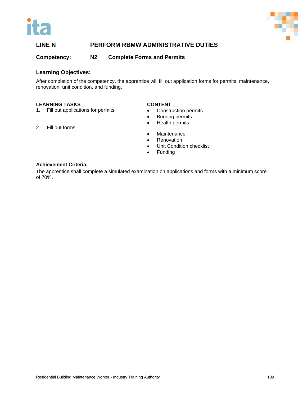



**Competency: N2 Complete Forms and Permits**

#### **Learning Objectives:**

After completion of the competency, the apprentice will fill out application forms for permits, maintenance, renovation, unit condition, and funding.

#### **LEARNING TASKS**

2. Fill out forms

1. Fill out applications for permits

#### **CONTENT**

- Construction permits
- Burning permits
- Health permits
- Maintenance
- Renovation
- Unit Condition checklist
- Funding

#### **Achievement Criteria:**

The apprentice shall complete a simulated examination on applications and forms with a minimum score of 70%.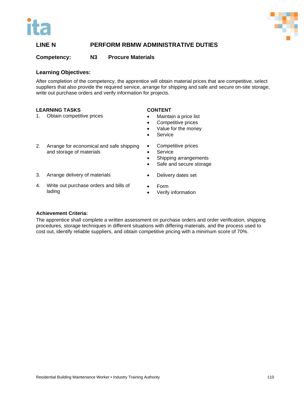



#### **Competency: N3 Procure Materials**

#### **Learning Objectives:**

After completion of the competency, the apprentice will obtain material prices that are competitive, select suppliers that also provide the required service, arrange for shipping and safe and secure on-site storage, write out purchase orders and verify information for projects.

#### **LEARNING TASKS**

1. Obtain competitive prices

#### **CONTENT**

- Maintain a price list
	- Competitive prices
	- Value for the money
	- **Service**
- 2. Arrange for economical and safe shipping and storage of materials
- Competitive prices
- Service
- Shipping arrangements
- Safe and secure storage
- 3. Arrange delivery of materials
- 4. Write out purchase orders and bills of lading
- Form
- Verify information

• Delivery dates set

#### **Achievement Criteria:**

The apprentice shall complete a written assessment on purchase orders and order verification, shipping procedures, storage techniques in different situations with differing materials, and the process used to cost out, identify reliable suppliers, and obtain competitive pricing with a minimum score of 70%.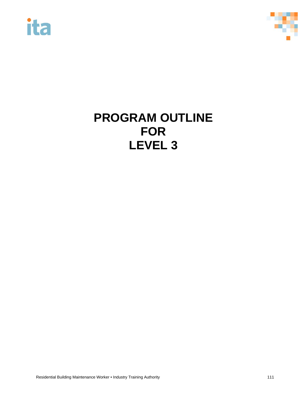



# **PROGRAM OUTLINE FOR LEVEL 3**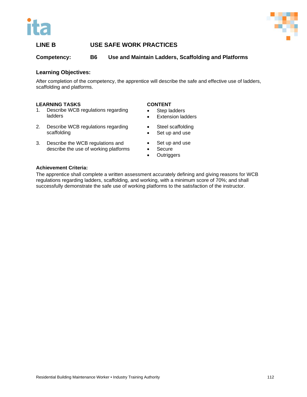



### **LINE B USE SAFE WORK PRACTICES**

**Competency: B6 Use and Maintain Ladders, Scaffolding and Platforms** 

#### **Learning Objectives:**

After completion of the competency, the apprentice will describe the safe and effective use of ladders, scaffolding and platforms.

#### **LEARNING TASKS**

- 1. Describe WCB regulations regarding ladders
- 2. Describe WCB regulations regarding scaffolding
- 3. Describe the WCB regulations and describe the use of working platforms
- Secure • Outriggers

**CONTENT** • Step ladders

**Extension ladders** 

• Steel scaffolding • Set up and use

• Set up and use

#### **Achievement Criteria:**

The apprentice shall complete a written assessment accurately defining and giving reasons for WCB regulations regarding ladders, scaffolding, and working, with a minimum score of 70%; and shall successfully demonstrate the safe use of working platforms to the satisfaction of the instructor.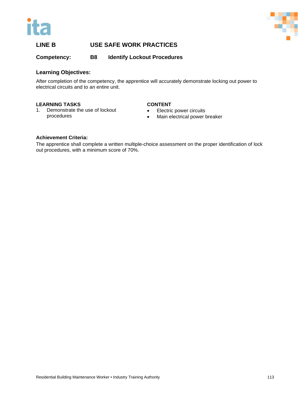



### **LINE B USE SAFE WORK PRACTICES**

**Competency: B8 Identify Lockout Procedures** 

#### **Learning Objectives:**

After completion of the competency, the apprentice will accurately demonstrate locking out power to electrical circuits and to an entire unit.

#### **LEARNING TASKS**

1. Demonstrate the use of lockout procedures

#### **CONTENT**

- Electric power circuits
- Main electrical power breaker

#### **Achievement Criteria:**

The apprentice shall complete a written multiple-choice assessment on the proper identification of lock out procedures, with a minimum score of 70%.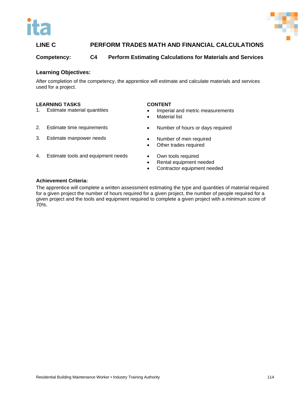



## **LINE C PERFORM TRADES MATH AND FINANCIAL CALCULATIONS**

**Competency: C4 Perform Estimating Calculations for Materials and Services**

#### **Learning Objectives:**

After completion of the competency, the apprentice will estimate and calculate materials and services used for a project.

#### **LEARNING TASKS**

1. Estimate material quantities

2. Estimate time requirements

3. Estimate manpower needs

#### **CONTENT**

- Imperial and metric measurements
- **Material list**
- Number of hours or days required
- Number of men required
- Other trades required
- 4. Estimate tools and equipment needs
- Own tools required
- Rental equipment needed
- Contractor equipment needed

#### **Achievement Criteria:**

The apprentice will complete a written assessment estimating the type and quantities of material required for a given project the number of hours required for a given project, the number of people required for a given project and the tools and equipment required to complete a given project with a minimum score of 70%.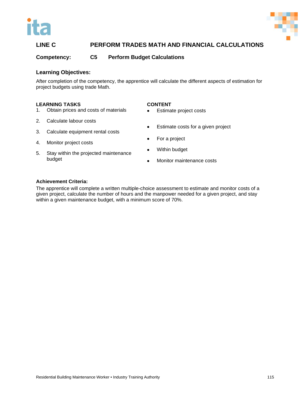



## **LINE C PERFORM TRADES MATH AND FINANCIAL CALCULATIONS**

**Competency: C5 Perform Budget Calculations**

#### **Learning Objectives:**

After completion of the competency, the apprentice will calculate the different aspects of estimation for project budgets using trade Math.

#### **LEARNING TASKS**

- 1. Obtain prices and costs of materials
- 2. Calculate labour costs
- 3. Calculate equipment rental costs
- 4. Monitor project costs
- 5. Stay within the projected maintenance budget
- **CONTENT**
- Estimate project costs
- Estimate costs for a given project
- For a project
- Within budget
- Monitor maintenance costs

#### **Achievement Criteria:**

The apprentice will complete a written multiple-choice assessment to estimate and monitor costs of a given project, calculate the number of hours and the manpower needed for a given project, and stay within a given maintenance budget, with a minimum score of 70%.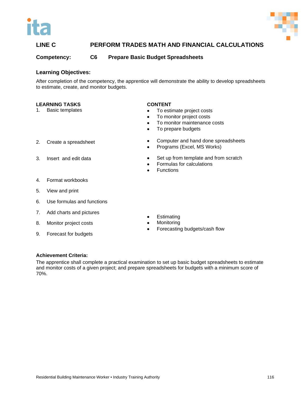



### **LINE C PERFORM TRADES MATH AND FINANCIAL CALCULATIONS**

**Competency: C6 Prepare Basic Budget Spreadsheets** 

#### **Learning Objectives:**

After completion of the competency, the apprentice will demonstrate the ability to develop spreadsheets to estimate, create, and monitor budgets.

#### **LEARNING TASKS**

1. Basic templates

#### **CONTENT**

- To estimate project costs
- To monitor project costs
- To monitor maintenance costs
- To prepare budgets

- 2. Create a spreadsheet
- 3. Insert and edit data
- Computer and hand done spreadsheets • Programs (Excel, MS Works)
- Set up from template and from scratch
- Formulas for calculations
- Functions

- 4. Format workbooks
- 5. View and print
- 6. Use formulas and functions
- 7. Add charts and pictures
- 8. Monitor project costs
- 9. Forecast for budgets
- Estimating
- **Monitoring**
- Forecasting budgets/cash flow

#### **Achievement Criteria:**

The apprentice shall complete a practical examination to set up basic budget spreadsheets to estimate and monitor costs of a given project; and prepare spreadsheets for budgets with a minimum score of 70%.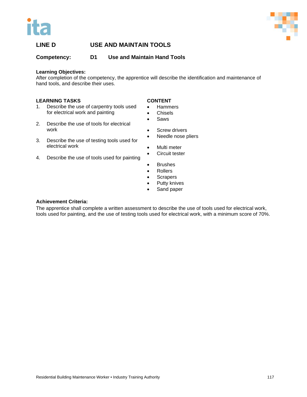



**Competency: D1 Use and Maintain Hand Tools**

#### **Learning Objectives:**

After completion of the competency, the apprentice will describe the identification and maintenance of hand tools, and describe their uses.

#### **LEARNING TASKS**

- 1. Describe the use of carpentry tools used for electrical work and painting
- 2. Describe the use of tools for electrical work
- 3. Describe the use of testing tools used for electrical work
- 4. Describe the use of tools used for painting

#### **CONTENT**

- Hammers
- Chisels
- Saws
- Screw drivers
- Needle nose pliers
- Multi meter
- Circuit tester
- Brushes
- Rollers
- Scrapers
- Putty knives
- Sand paper

#### **Achievement Criteria:**

The apprentice shall complete a written assessment to describe the use of tools used for electrical work, tools used for painting, and the use of testing tools used for electrical work, with a minimum score of 70%.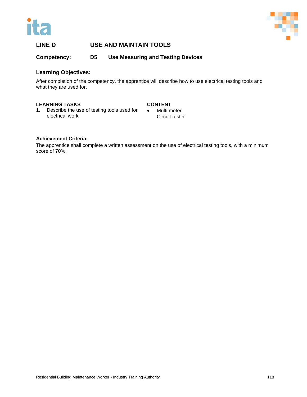



**Competency: D5 Use Measuring and Testing Devices**

#### **Learning Objectives:**

After completion of the competency, the apprentice will describe how to use electrical testing tools and what they are used for.

#### **LEARNING TASKS**

#### **CONTENT**

1. Describe the use of testing tools used for electrical work

• Multi meter Circuit tester

#### **Achievement Criteria:**

The apprentice shall complete a written assessment on the use of electrical testing tools, with a minimum score of 70%.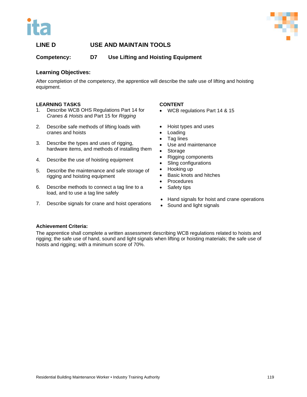



**Competency: D7 Use Lifting and Hoisting Equipment**

#### **Learning Objectives:**

After completion of the competency, the apprentice will describe the safe use of lifting and hoisting equipment.

#### **LEARNING TASKS**

- 1. Describe WCB OHS Regulations Part 14 for *Cranes & Hoists* and Part 15 for *Rigging*
- 2. Describe safe methods of lifting loads with cranes and hoists
- 3. Describe the types and uses of rigging, hardware items, and methods of installing them
- 4. Describe the use of hoisting equipment
- 5. Describe the maintenance and safe storage of rigging and hoisting equipment
- 6. Describe methods to connect a tag line to a load, and to use a tag line safely
- 7. Describe signals for crane and hoist operations

#### **CONTENT**

- WCB regulations Part 14 & 15
- Hoist types and uses
- Loading
- Tag lines
- Use and maintenance
- Storage
- Rigging components
- Sling configurations
- Hooking up
- Basic knots and hitches
- Procedures
- Safety tips
- Hand signals for hoist and crane operations
- Sound and light signals

#### **Achievement Criteria:**

The apprentice shall complete a written assessment describing WCB regulations related to hoists and rigging; the safe use of hand, sound and light signals when lifting or hoisting materials; the safe use of hoists and rigging; with a minimum score of 70%.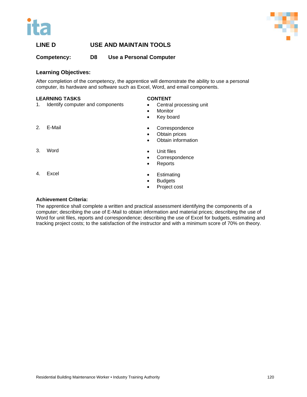



**Competency: D8 Use a Personal Computer**

#### **Learning Objectives:**

After completion of the competency, the apprentice will demonstrate the ability to use a personal computer, its hardware and software such as Excel, Word, and email components.

#### **LEARNING TASKS**

1. Identify computer and components

#### **CONTENT**

- Central processing unit
- **Monitor**
- Key board

2. E-Mail

3. Word

- Correspondence • Obtain prices
- Obtain information
- Unit files
- Correspondence
- Reports

4. Excel

- **Estimating**
- **Budgets**
- Project cost

#### **Achievement Criteria:**

The apprentice shall complete a written and practical assessment identifying the components of a computer; describing the use of E-Mail to obtain information and material prices; describing the use of Word for unit files, reports and correspondence; describing the use of Excel for budgets, estimating and tracking project costs; to the satisfaction of the instructor and with a minimum score of 70% on theory.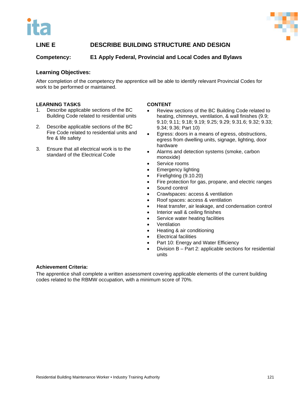



### **LINE E DESCRIBE BUILDING STRUCTURE AND DESIGN**

### **Competency: E1 Apply Federal, Provincial and Local Codes and Bylaws**

#### **Learning Objectives:**

After completion of the competency the apprentice will be able to identify relevant Provincial Codes for work to be performed or maintained.

#### **LEARNING TASKS**

- 1. Describe applicable sections of the BC Building Code related to residential units
- 2. Describe applicable sections of the BC Fire Code related to residential units and fire & life safety
- 3. Ensure that all electrical work is to the standard of the Electrical Code

#### **CONTENT**

- Review sections of the BC Building Code related to heating, chimneys, ventilation, & wall finishes (9.9; 9.10; 9.11; 9.18; 9.19; 9.25; 9.29; 9.31.6; 9.32; 9.33; 9.34; 9.36; Part 10)
- Egress: doors in a means of egress, obstructions, egress from dwelling units, signage, lighting, door hardware
- Alarms and detection systems (smoke, carbon monoxide)
- Service rooms
- Emergency lighting
- Firefighting (9.10.20)
- Fire protection for gas, propane, and electric ranges
- Sound control
- Crawlspaces: access & ventilation
- Roof spaces: access & ventilation
- Heat transfer, air leakage, and condensation control
- Interior wall & ceiling finishes
- Service water heating facilities
- **Ventilation**
- Heating & air conditioning
- **Electrical facilities**
- Part 10: Energy and Water Efficiency
- Division B Part 2: applicable sections for residential units

#### **Achievement Criteria:**

The apprentice shall complete a written assessment covering applicable elements of the current building codes related to the RBMW occupation, with a minimum score of 70%.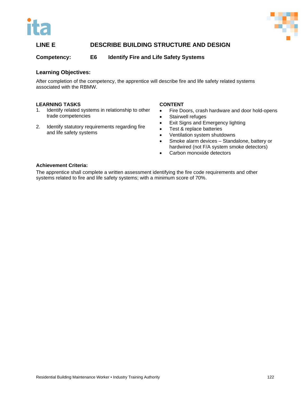



### **LINE E DESCRIBE BUILDING STRUCTURE AND DESIGN**

**Competency: E6 Identify Fire and Life Safety Systems**

#### **Learning Objectives:**

After completion of the competency, the apprentice will describe fire and life safety related systems associated with the RBMW.

#### **LEARNING TASKS**

- 1. Identify related systems in relationship to other trade competencies
- 2. Identify statutory requirements regarding fire and life safety systems

#### **CONTENT**

- Fire Doors, crash hardware and door hold-opens
- Stairwell refuges
- Exit Signs and Emergency lighting
- Test & replace batteries
- Ventilation system shutdowns
- Smoke alarm devices Standalone, battery or hardwired (not F/A system smoke detectors)
- Carbon monoxide detectors

#### **Achievement Criteria:**

The apprentice shall complete a written assessment identifying the fire code requirements and other systems related to fire and life safety systems; with a minimum score of 70%.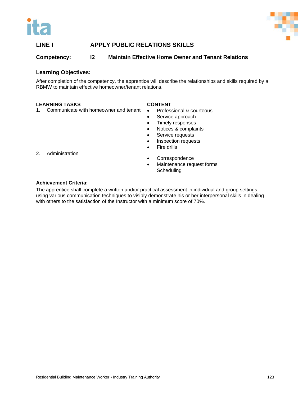



### **LINE I APPLY PUBLIC RELATIONS SKILLS**

### **Competency: I2 Maintain Effective Home Owner and Tenant Relations**

#### **Learning Objectives:**

After completion of the competency, the apprentice will describe the relationships and skills required by a RBMW to maintain effective homeowner/tenant relations.

#### **LEARNING TASKS**

#### **CONTENT**

- 1. Communicate with homeowner and tenant
- Professional & courteous
- Service approach
- Timely responses
- Notices & complaints
- Service requests
- Inspection requests
- **Fire drills**

2. Administration

- Correspondence
- Maintenance request forms **Scheduling**

#### **Achievement Criteria:**

The apprentice shall complete a written and/or practical assessment in individual and group settings, using various communication techniques to visibly demonstrate his or her interpersonal skills in dealing with others to the satisfaction of the Instructor with a minimum score of 70%.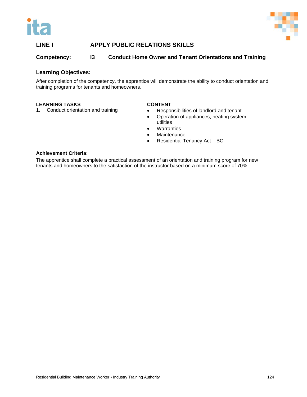



### **LINE I APPLY PUBLIC RELATIONS SKILLS**

### **Competency: I3 Conduct Home Owner and Tenant Orientations and Training**

#### **Learning Objectives:**

After completion of the competency, the apprentice will demonstrate the ability to conduct orientation and training programs for tenants and homeowners.

#### **LEARNING TASKS**

1. Conduct orientation and training

#### **CONTENT**

- Responsibilities of landlord and tenant
- Operation of appliances, heating system, utilities
- Warranties
- **Maintenance**
- Residential Tenancy Act BC

#### **Achievement Criteria:**

The apprentice shall complete a practical assessment of an orientation and training program for new tenants and homeowners to the satisfaction of the instructor based on a minimum score of 70%.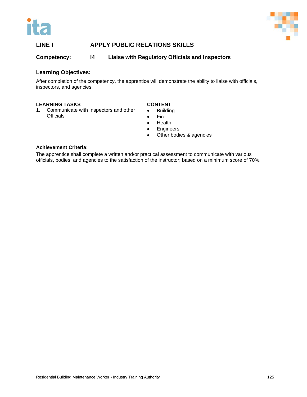



### **LINE I APPLY PUBLIC RELATIONS SKILLS**

### **Competency: I4 Liaise with Regulatory Officials and Inspectors**

#### **Learning Objectives:**

After completion of the competency, the apprentice will demonstrate the ability to liaise with officials, inspectors, and agencies.

#### **LEARNING TASKS**

1. Communicate with Inspectors and other **Officials** 

#### **CONTENT**

- Building
- Fire
- Health
- Engineers
- Other bodies & agencies

#### **Achievement Criteria:**

The apprentice shall complete a written and/or practical assessment to communicate with various officials, bodies, and agencies to the satisfaction of the instructor; based on a minimum score of 70%.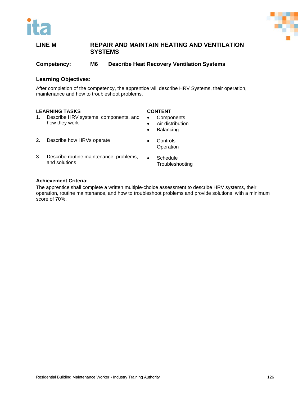

**Competency: M6 Describe Heat Recovery Ventilation Systems**

#### **Learning Objectives:**

After completion of the competency, the apprentice will describe HRV Systems, their operation, maintenance and how to troubleshoot problems.

#### **LEARNING TASKS**

- 1. Describe HRV systems, components, and how they work
- 2. Describe how HRVs operate
- 3. Describe routine maintenance, problems, and solutions
- **CONTENT**
- Components
- Air distribution
- Balancing
- Controls **Operation**
- Schedule **Troubleshooting**

#### **Achievement Criteria:**

The apprentice shall complete a written multiple-choice assessment to describe HRV systems, their operation, routine maintenance, and how to troubleshoot problems and provide solutions; with a minimum score of 70%.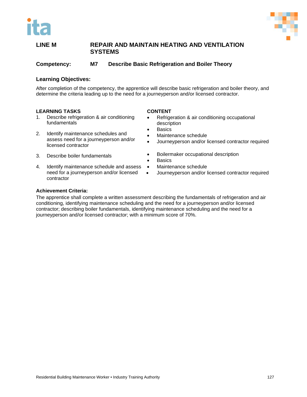

**Competency: M7 Describe Basic Refrigeration and Boiler Theory**

#### **Learning Objectives:**

After completion of the competency, the apprentice will describe basic refrigeration and boiler theory, and determine the criteria leading up to the need for a journeyperson and/or licensed contractor.

#### **LEARNING TASKS**

- 1. Describe refrigeration & air conditioning fundamentals
- 2. Identify maintenance schedules and assess need for a journeyperson and/or licensed contractor
- 3. Describe boiler fundamentals
- 4. Identify maintenance schedule and assess need for a journeyperson and/or licensed contractor

#### **CONTENT**

- Refrigeration & air conditioning occupational description
	- **Basics**
- Maintenance schedule
- Journeyperson and/or licensed contractor required
- Boilermaker occupational description
- Basics
- Maintenance schedule
- Journeyperson and/or licensed contractor required

#### **Achievement Criteria:**

The apprentice shall complete a written assessment describing the fundamentals of refrigeration and air conditioning, identifying maintenance scheduling and the need for a journeyperson and/or licensed contractor; describing boiler fundamentals, identifying maintenance scheduling and the need for a journeyperson and/or licensed contractor; with a minimum score of 70%.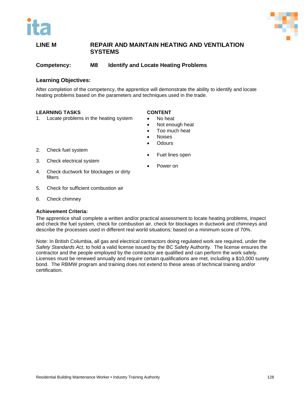

**Competency: M8 Identify and Locate Heating Problems**

#### **Learning Objectives:**

After completion of the competency, the apprentice will demonstrate the ability to identify and locate heating problems based on the parameters and techniques used in the trade.

#### **LEARNING TASKS**

1. Locate problems in the heating system

#### **CONTENT**

- No heat
- Not enough heat
- Too much heat
- Noises
- **Odours**

- 2. Check fuel system
- 3. Check electrical system
- Fuel lines open
- Power on
- 4. Check ductwork for blockages or dirty filters
- 5. Check for sufficient combustion air
- 6. Check chimney

#### **Achievement Criteria:**

The apprentice shall complete a written and/or practical assessment to locate heating problems, inspect and check the fuel system, check for combustion air, check for blockages in ductwork and chimneys and describe the processes used in different real world situations; based on a minimum score of 70%.

Note: In British Columbia, all gas and electrical contractors doing regulated work are required, under the *Safety Standards Act*, to hold a valid license issued by the BC Safety Authority. The license ensures the contractor and the people employed by the contractor are qualified and can perform the work safely. Licenses must be renewed annually and require certain qualifications are met, including a \$10,000 surety bond. The RBMW program and training does not extend to these areas of technical training and/or certification.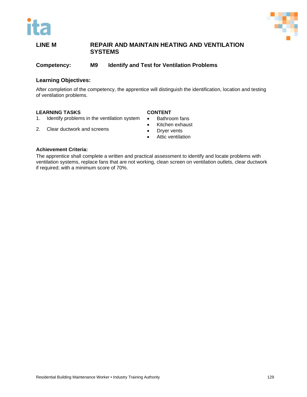



**Competency: M9 Identify and Test for Ventilation Problems**

#### **Learning Objectives:**

After completion of the competency, the apprentice will distinguish the identification, location and testing of ventilation problems.

#### **CONTENT**

- **LEARNING TASKS**<br>1. Identify problem Identify problems in the ventilation system
- 2. Clear ductwork and screens
- Bathroom fans
- Kitchen exhaust
- Dryer vents
- Attic ventilation

#### **Achievement Criteria:**

The apprentice shall complete a written and practical assessment to identify and locate problems with ventilation systems, replace fans that are not working, clean screen on ventilation outlets, clear ductwork if required; with a minimum score of 70%.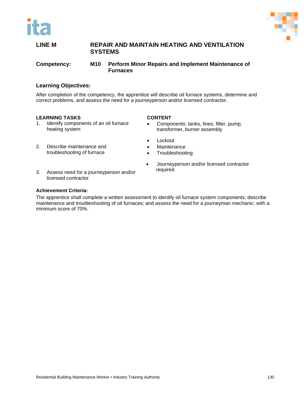



**Competency: M10 Perform Minor Repairs and Implement Maintenance of Furnaces** 

#### **Learning Objectives:**

After completion of the competency, the apprentice will describe oil furnace systems, determine and correct problems, and assess the need for a journeyperson and/or licensed contractor.

#### **LEARNING TASKS**

- 1. Identify components of an oil furnace heating system
- 2. Describe maintenance and troubleshooting of furnace
- 3. Assess need for a journeyperson and/or licensed contractor

#### **Achievement Criteria:**

The apprentice shall complete a written assessment to identify oil furnace system components; describe maintenance and troubleshooting of oil furnaces; and assess the need for a journeyman mechanic; with a minimum score of 70%.

### **CONTENT**

- Components: tanks, lines, filter, pump, transformer, burner assembly
- Lockout
- Maintenance
- Troubleshooting
- Journeyperson and/or licensed contractor required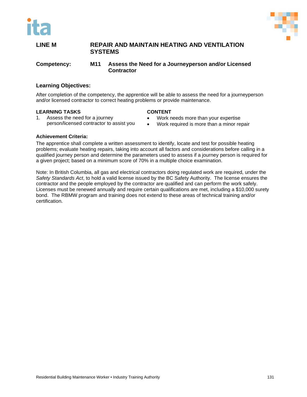



**Competency: M11 Assess the Need for a Journeyperson and/or Licensed Contractor**

#### **Learning Objectives:**

After completion of the competency, the apprentice will be able to assess the need for a journeyperson and/or licensed contractor to correct heating problems or provide maintenance.

#### **LEARNING TASKS**

#### **CONTENT**

- 1. Assess the need for a journey person/licensed contractor to assist you
- Work needs more than your expertise
- Work required is more than a minor repair

#### **Achievement Criteria:**

The apprentice shall complete a written assessment to identify, locate and test for possible heating problems; evaluate heating repairs, taking into account all factors and considerations before calling in a qualified journey person and determine the parameters used to assess if a journey person is required for a given project; based on a minimum score of 70% in a multiple choice examination.

Note: In British Columbia, all gas and electrical contractors doing regulated work are required, under the *Safety Standards Act*, to hold a valid license issued by the BC Safety Authority. The license ensures the contractor and the people employed by the contractor are qualified and can perform the work safely. Licenses must be renewed annually and require certain qualifications are met, including a \$10,000 surety bond. The RBMW program and training does not extend to these areas of technical training and/or certification.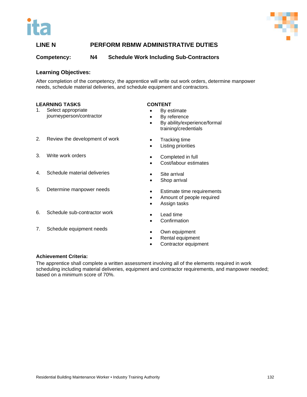



#### **Competency: N4 Schedule Work Including Sub-Contractors**

#### **Learning Objectives:**

After completion of the competency, the apprentice will write out work orders, determine manpower needs, schedule material deliveries, and schedule equipment and contractors.

#### **LEARNING TASKS**

- 1. Select appropriate journeyperson/contractor
- 2. Review the development of work
- 3. Write work orders
- 4. Schedule material deliveries
- 5. Determine manpower needs
- 6. Schedule sub-contractor work
- 7. Schedule equipment needs

#### **CONTENT**

- By estimate
- By reference
- By ability/experience/formal training/credentials
- Tracking time
- **Listing priorities**
- Completed in full
- Cost/labour estimates
- Site arrival
- Shop arrival
- **Estimate time requirements**
- Amount of people required
- Assign tasks
- Lead time
- Confirmation
- Own equipment
- Rental equipment
- Contractor equipment

#### **Achievement Criteria:**

The apprentice shall complete a written assessment involving all of the elements required in work scheduling including material deliveries, equipment and contractor requirements, and manpower needed; based on a minimum score of 70%.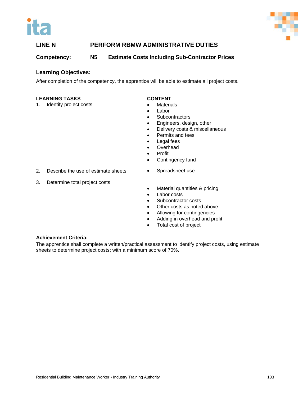



**Competency: N5 Estimate Costs Including Sub-Contractor Prices**

#### **Learning Objectives:**

After completion of the competency, the apprentice will be able to estimate all project costs.

#### **LEARNING TASKS**

1. Identify project costs

#### **CONTENT**

- Materials
- **Labor**
- Subcontractors
- Engineers, design, other
- Delivery costs & miscellaneous
- Permits and fees
- Legal fees
- Overhead
- Profit
- Contingency fund

• Spreadsheet use

- 2. Describe the use of estimate sheets
- 3. Determine total project costs
- Material quantities & pricing
- Labor costs
- Subcontractor costs
- Other costs as noted above
- Allowing for contingencies
- Adding in overhead and profit
- Total cost of project

#### **Achievement Criteria:**

The apprentice shall complete a written/practical assessment to identify project costs, using estimate sheets to determine project costs; with a minimum score of 70%.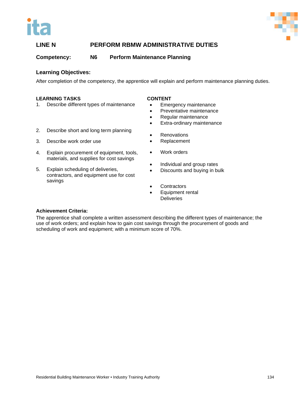



**Competency: N6 Perform Maintenance Planning**

#### **Learning Objectives:**

After completion of the competency, the apprentice will explain and perform maintenance planning duties.

#### **LEARNING TASKS**

1. Describe different types of maintenance

#### **CONTENT**

- Emergency maintenance
- Preventative maintenance
- Regular maintenance
- Extra-ordinary maintenance
- 2. Describe short and long term planning
- 3. Describe work order use
- 4. Explain procurement of equipment, tools, materials, and supplies for cost savings
- 5. Explain scheduling of deliveries, contractors, and equipment use for cost savings
- **Renovations**
- **Replacement**
- Work orders
- Individual and group rates
- Discounts and buying in bulk
- **Contractors**
- Equipment rental **Deliveries**

#### **Achievement Criteria:**

The apprentice shall complete a written assessment describing the different types of maintenance; the use of work orders; and explain how to gain cost savings through the procurement of goods and scheduling of work and equipment; with a minimum score of 70%.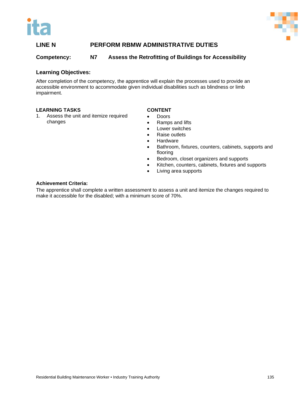



#### **Competency: N7 Assess the Retrofitting of Buildings for Accessibility**

#### **Learning Objectives:**

After completion of the competency, the apprentice will explain the processes used to provide an accessible environment to accommodate given individual disabilities such as blindness or limb impairment.

#### **LEARNING TASKS**

1. Assess the unit and itemize required changes

#### **CONTENT**

- Doors
- Ramps and lifts
- Lower switches
- Raise outlets
- Hardware
- Bathroom, fixtures, counters, cabinets, supports and flooring
- Bedroom, closet organizers and supports
- Kitchen, counters, cabinets, fixtures and supports
- Living area supports

#### **Achievement Criteria:**

The apprentice shall complete a written assessment to assess a unit and itemize the changes required to make it accessible for the disabled; with a minimum score of 70%.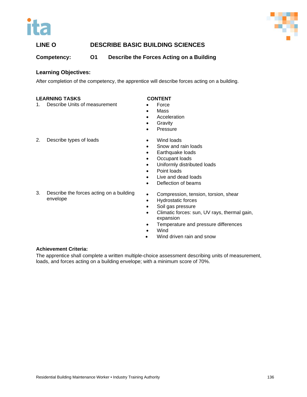



### **LINE O DESCRIBE BASIC BUILDING SCIENCES**

**Competency: O1 Describe the Forces Acting on a Building**

#### **Learning Objectives:**

After completion of the competency, the apprentice will describe forces acting on a building.

#### **LEARNING TASKS**

1. Describe Units of measurement

#### **CONTENT**

- Force
- Mass
- Acceleration
- Gravity
- Pressure

2. Describe types of loads

3. Describe the forces acting on a building envelope

#### • Wind loads

- Snow and rain loads
- Earthquake loads
- Occupant loads
- Uniformly distributed loads
- Point loads
- Live and dead loads
- Deflection of beams
- Compression, tension, torsion, shear
- Hydrostatic forces
- Soil gas pressure
- Climatic forces: sun, UV rays, thermal gain, expansion
- Temperature and pressure differences
- Wind
- Wind driven rain and snow

#### **Achievement Criteria:**

The apprentice shall complete a written multiple-choice assessment describing units of measurement, loads, and forces acting on a building envelope; with a minimum score of 70%.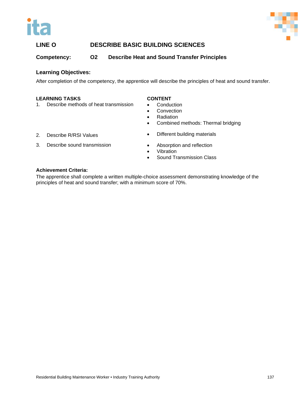



## **LINE O DESCRIBE BASIC BUILDING SCIENCES**

**Competency: O2 Describe Heat and Sound Transfer Principles**

#### **Learning Objectives:**

After completion of the competency, the apprentice will describe the principles of heat and sound transfer.

#### **LEARNING TASKS**

1. Describe methods of heat transmission

#### **CONTENT**

- Conduction
- **Convection**
- Radiation
- Combined methods: Thermal bridging

- 2. Describe R/RSI Values
- 3. Describe sound transmission
- Different building materials
- Absorption and reflection **Vibration**
- Sound Transmission Class

#### **Achievement Criteria:**

The apprentice shall complete a written multiple-choice assessment demonstrating knowledge of the principles of heat and sound transfer; with a minimum score of 70%.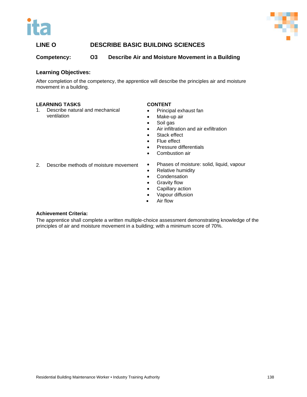



### **LINE O DESCRIBE BASIC BUILDING SCIENCES**

**Competency: O3 Describe Air and Moisture Movement in a Building**

#### **Learning Objectives:**

After completion of the competency, the apprentice will describe the principles air and moisture movement in a building.

#### **LEARNING TASKS**

1. Describe natural and mechanical ventilation

#### **CONTENT**

- Principal exhaust fan
- Make-up air
- Soil gas
- Air infiltration and air exfiltration
- Stack effect
- Flue effect
- Pressure differentials
- Combustion air
- 2. Describe methods of moisture movement
- Phases of moisture: solid, liquid, vapour
- Relative humidity
- Condensation
- Gravity flow
- Capillary action
- Vapour diffusion
- Air flow

#### **Achievement Criteria:**

The apprentice shall complete a written multiple-choice assessment demonstrating knowledge of the principles of air and moisture movement in a building; with a minimum score of 70%.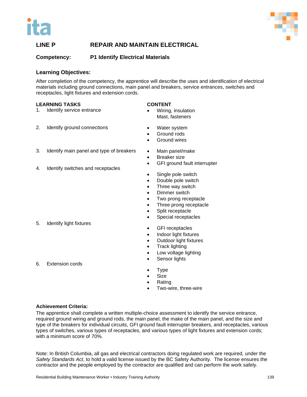



#### **Competency: P1 Identify Electrical Materials**

#### **Learning Objectives:**

After completion of the competency, the apprentice will describe the uses and identification of electrical materials including ground connections, main panel and breakers, service entrances, switches and receptacles, light fixtures and extension cords.

#### **LEARNING TASKS**

#### **CONTENT**

- 1. Identify service entrance
- 2. Identify ground connections
- 3. Identify main panel and type of breakers
- 4. Identify switches and receptacles

Water system

• Wiring, insulation Mast, fasteners

- Ground rods
- Ground wires
- Main panel/make
- Breaker size
- GFI ground fault interrupter
- Single pole switch
- Double pole switch
- Three way switch
- Dimmer switch
- Two prong receptacle
- Three prong receptacle
- Split receptacle
- Special receptacles
- GFI receptacles
- Indoor light fixtures
- Outdoor light fixtures
- Track lighting
- Low voltage lighting
- Sensor lights
- **Type**
- **Size**
- Rating
- Two-wire, three-wire

#### **Achievement Criteria:**

The apprentice shall complete a written multiple-choice assessment to identify the service entrance, required ground wiring and ground rods, the main panel, the make of the main panel, and the size and type of the breakers for individual circuits, GFI ground fault interrupter breakers, and receptacles, various types of switches, various types of receptacles, and various types of light fixtures and extension cords; with a minimum score of 70%.

Note: In British Columbia, all gas and electrical contractors doing regulated work are required, under the *Safety Standards Act*, to hold a valid license issued by the BC Safety Authority. The license ensures the contractor and the people employed by the contractor are qualified and can perform the work safely.

6. Extension cords

5. Identify light fixtures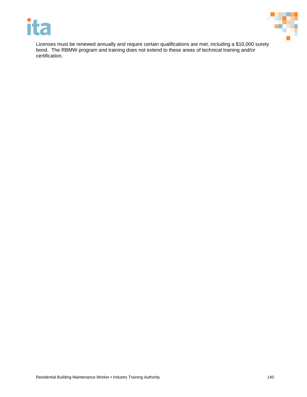



Licenses must be renewed annually and require certain qualifications are met, including a \$10,000 surety bond. The RBMW program and training does not extend to these areas of technical training and/or certification.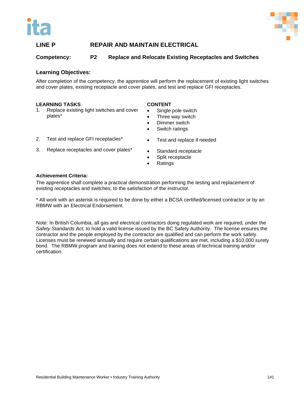



#### **Competency: P2 Replace and Relocate Existing Receptacles and Switches**

#### **Learning Objectives:**

After completion of the competency, the apprentice will perform the replacement of existing light switches and cover plates, existing receptacle and cover plates, and test and replace GFI receptacles.

#### **LEARNING TASKS**

1. Replace existing light switches and cover plates\*

#### **CONTENT**

- Single pole switch
- Three way switch Dimmer switch

Switch ratings

- 
- 3. Replace receptacles and cover plates\*

2. Test and replace GFI receptacles\*

- Test and replace if needed
- Standard receptacle
- Split receptacle
- Ratings

#### **Achievement Criteria:**

The apprentice shall complete a practical demonstration performing the testing and replacement of existing receptacles and switches; to the satisfaction of the instructor.

\* All work with an asterisk is required to be done by either a BCSA certified/licensed contractor or by an RBMW with an Electrical Endorsement.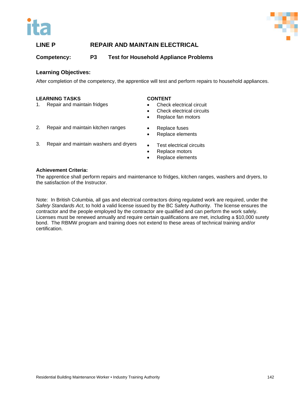



**Competency: P3 Test for Household Appliance Problems**

#### **Learning Objectives:**

After completion of the competency, the apprentice will test and perform repairs to household appliances.

#### **LEARNING TASKS**

1. Repair and maintain fridges

#### **CONTENT**

- Check electrical circuit
- Check electrical circuits
- Replace fan motors
- 2. Repair and maintain kitchen ranges
- Replace fuses • Replace elements
- 3. Repair and maintain washers and dryers
- Test electrical circuits
- Replace motors
- Replace elements

#### **Achievement Criteria:**

The apprentice shall perform repairs and maintenance to fridges, kitchen ranges, washers and dryers, to the satisfaction of the Instructor.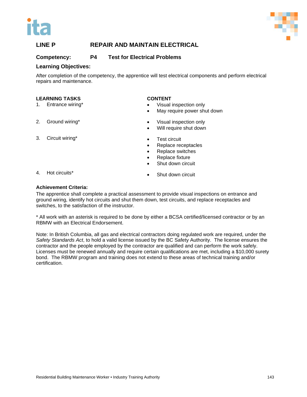



#### **Competency: P4 Test for Electrical Problems**

#### **Learning Objectives:**

After completion of the competency, the apprentice will test electrical components and perform electrical repairs and maintenance.

#### **LEARNING TASKS**

- 1. Entrance wiring\*
- 2. Ground wiring\*

#### 3. Circuit wiring\*

#### **CONTENT**

- Visual inspection only
- May require power shut down
- Visual inspection only
- Will require shut down
- Test circuit
- Replace receptacles
- Replace switches
- Replace fixture
- Shut down circuit

Shut down circuit

4. Hot circuits\*

#### **Achievement Criteria:**

The apprentice shall complete a practical assessment to provide visual inspections on entrance and ground wiring, identify hot circuits and shut them down, test circuits, and replace receptacles and switches, to the satisfaction of the instructor.

\* All work with an asterisk is required to be done by either a BCSA certified/licensed contractor or by an RBMW with an Electrical Endorsement.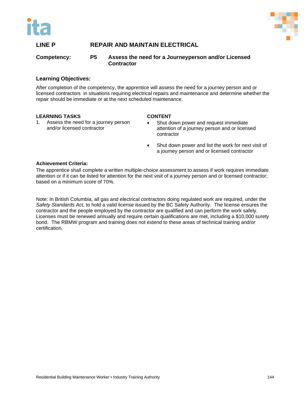



#### **Competency: P5 Assess the need for a Journeyperson and/or Licensed Contractor**

#### **Learning Objectives:**

After completion of the competency, the apprentice will assess the need for a journey person and or licensed contractors in situations requiring electrical repairs and maintenance and determine whether the repair should be immediate or at the next scheduled maintenance.

#### **LEARNING TASKS**

1. Assess the need for a journey person and/or licensed contractor

#### **CONTENT**

- Shut down power and request immediate attention of a journey person and or licensed contractor
- Shut down power and list the work for next visit of a journey person and or licensed contractor

#### **Achievement Criteria:**

The apprentice shall complete a written multiple-choice assessment to assess if work requires immediate attention or if it can be listed for attention for the next visit of a journey person and or licensed contractor; based on a minimum score of 70%.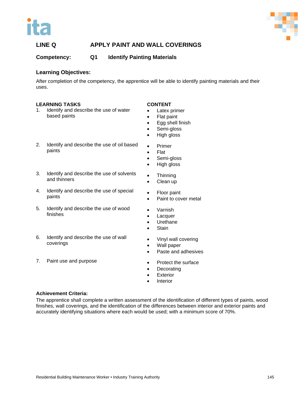



#### **Competency: Q1 Identify Painting Materials**

#### **Learning Objectives:**

After completion of the competency, the apprentice will be able to identify painting materials and their uses.

#### **LEARNING TASKS**

- 1. Identify and describe the use of water based paints
- 2. Identify and describe the use of oil based paints
- 3. Identify and describe the use of solvents and thinners
- 4. Identify and describe the use of special paints
- 5. Identify and describe the use of wood finishes
- 6. Identify and describe the use of wall coverings
- 7. Paint use and purpose
- **CONTENT**
- Latex primer
- Flat paint
- Egg shell finish
- Semi-gloss
- High gloss
- Primer
- Flat
- Semi-gloss
- High gloss
- Thinning
- Clean up
- Floor paint
- Paint to cover metal
- Varnish
- Lacquer
- Urethane
- Stain
- Vinyl wall covering
- Wall paper
- Paste and adhesives
- Protect the surface
- Decorating
- **Exterior**
- **Interior**

#### **Achievement Criteria:**

The apprentice shall complete a written assessment of the identification of different types of paints, wood finishes, wall coverings, and the identification of the differences between interior and exterior paints and accurately identifying situations where each would be used; with a minimum score of 70%.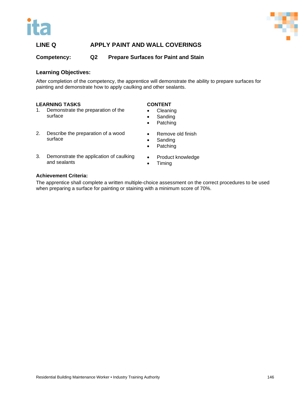



**Competency: Q2 Prepare Surfaces for Paint and Stain**

#### **Learning Objectives:**

After completion of the competency, the apprentice will demonstrate the ability to prepare surfaces for painting and demonstrate how to apply caulking and other sealants.

#### **LEARNING TASKS**

- 1. Demonstrate the preparation of the surface
- 2. Describe the preparation of a wood surface
- 3. Demonstrate the application of caulking and sealants
- **CONTENT**
- Cleaning
- **Sanding**
- Patching
- Remove old finish
- Sanding
- Patching
- Product knowledge
- Timing

#### **Achievement Criteria:**

The apprentice shall complete a written multiple-choice assessment on the correct procedures to be used when preparing a surface for painting or staining with a minimum score of 70%.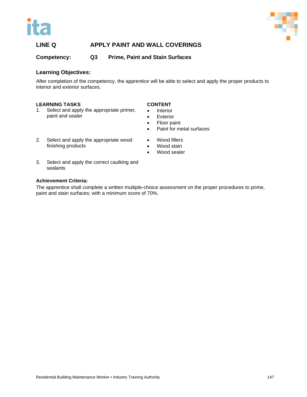



**Competency: Q3 Prime, Paint and Stain Surfaces**

#### **Learning Objectives:**

After completion of the competency, the apprentice will be able to select and apply the proper products to interior and exterior surfaces.

#### **LEARNING TASKS**

1. Select and apply the appropriate primer, paint and sealer

#### **CONTENT**

- Interior
- Exterior
- Floor paint

• Paint for metal surfaces

- 2. Select and apply the appropriate wood finishing products
- Wood sealer

• Wood fillers Wood stain

3. Select and apply the correct caulking and sealants

#### **Achievement Criteria:**

The apprentice shall complete a written multiple-choice assessment on the proper procedures to prime, paint and stain surfaces; with a minimum score of 70%.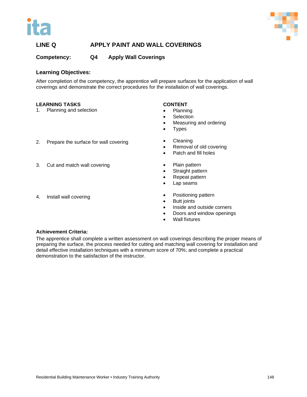



#### **Competency: Q4 Apply Wall Coverings**

#### **Learning Objectives:**

After completion of the competency, the apprentice will prepare surfaces for the application of wall coverings and demonstrate the correct procedures for the installation of wall coverings.

#### **LEARNING TASKS**

1. Planning and selection

2. Prepare the surface for wall covering

3. Cut and match wall covering

#### **CONTENT**

- Planning
- Selection
- Measuring and ordering
- Types
- Cleaning
	- Removal of old covering
	- Patch and fill holes
	- Plain pattern
	- Straight pattern
	- Repeat pattern
	- Lap seams
	- Positioning pattern
	- **Butt joints**
	- Inside and outside corners
	- Doors and window openings
	- Wall fixtures

#### **Achievement Criteria:**

4. Install wall covering

The apprentice shall complete a written assessment on wall coverings describing the proper means of preparing the surface, the process needed for cutting and matching wall covering for installation and detail effective installation techniques with a minimum score of 70%; and complete a practical demonstration to the satisfaction of the instructor.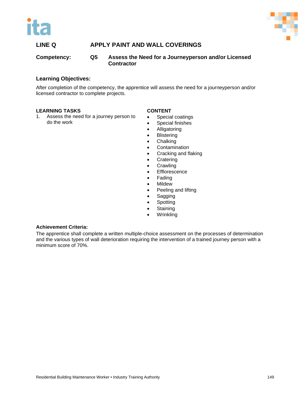



#### **Competency: Q5 Assess the Need for a Journeyperson and/or Licensed Contractor**

#### **Learning Objectives:**

After completion of the competency, the apprentice will assess the need for a journeyperson and/or licensed contractor to complete projects.

#### **LEARNING TASKS**

1. Assess the need for a journey person to do the work

#### **CONTENT**

- Special coatings
- Special finishes
- Alligatoring
- Blistering
- Chalking
- Contamination
- Cracking and flaking
- Cratering
- Crawling
- Efflorescence
- Fading
- Mildew
- Peeling and lifting
- Sagging
- **Spotting**
- Staining
- Wrinkling

#### **Achievement Criteria:**

The apprentice shall complete a written multiple-choice assessment on the processes of determination and the various types of wall deterioration requiring the intervention of a trained journey person with a minimum score of 70%.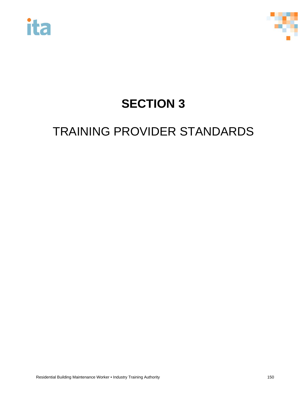



# **SECTION 3**

# TRAINING PROVIDER STANDARDS

Residential Building Maintenance Worker • Industry Training Authority 150 150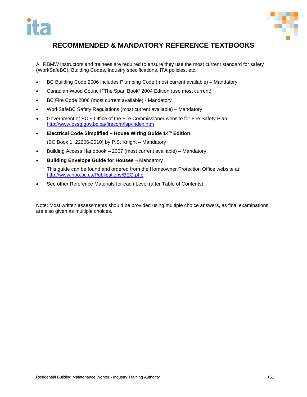

## **RECOMMENDED & MANDATORY REFERENCE TEXTBOOKS**

All RBMW instructors and trainees are required to ensure they use the most current standard for safety (WorkSafeBC), Building Codes, Industry specifications, ITA policies, etc.

- BC Building Code 2006 includes Plumbing Code (most current available) Mandatory
- Canadian Wood Council "The Span Book" 2004 Edition (use most current)
- BC Fire Code 2006 (most current available) Mandatory
- WorkSafeBC Safety Regulations (most current available) Mandatory
- Government of BC ~ Office of the Fire Commissioner website for Fire Safety Plan <http://www.pssg.gov.bc.ca/firecom/fsp/index.htm>
- **Electrical Code Simplified – House Wiring Guide 14th Edition**  (BC Book 1, 22206-2010) by P.S. Knight – Mandatory
- Building Access Handbook 2007 (most current available) Mandatory
- **Building Envelope Guide for Houses**  Mandatory

This guide can be found and ordered from the Homeowner Protection Office website at: <http://www.hpo.bc.ca/Publications/BEG.php>

See other Reference Materials for each Level (after Table of Contents)

Note: Most written assessments should be provided using multiple choice answers, as final examinations are also given as multiple choices.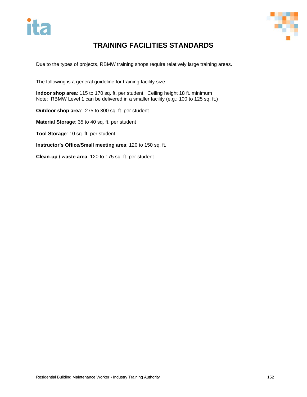

# **TRAINING FACILITIES STANDARDS**

Due to the types of projects, RBMW training shops require relatively large training areas.

The following is a general guideline for training facility size:

**Indoor shop area**: 115 to 170 sq. ft. per student. Ceiling height 18 ft. minimum Note: RBMW Level 1 can be delivered in a smaller facility (e.g.: 100 to 125 sq. ft.)

**Outdoor shop area**: 275 to 300 sq. ft. per student

**Material Storage**: 35 to 40 sq. ft. per student

**Tool Storage**: 10 sq. ft. per student

**Instructor's Office/Small meeting area**: 120 to 150 sq. ft.

**Clean-up / waste area**: 120 to 175 sq. ft. per student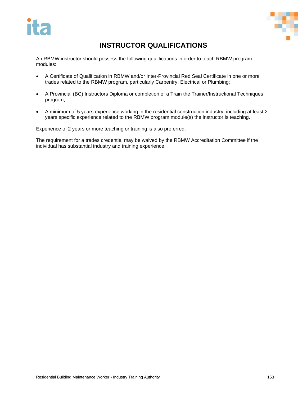



# **INSTRUCTOR QUALIFICATIONS**

An RBMW instructor should possess the following qualifications in order to teach RBMW program modules:

- A Certificate of Qualification in RBMW and/or Inter-Provincial Red Seal Certificate in one or more trades related to the RBMW program, particularly Carpentry, Electrical or Plumbing;
- A Provincial (BC) Instructors Diploma or completion of a Train the Trainer/Instructional Techniques program;
- A minimum of 5 years experience working in the residential construction industry, including at least 2 years specific experience related to the RBMW program module(s) the instructor is teaching.

Experience of 2 years or more teaching or training is also preferred.

The requirement for a trades credential may be waived by the RBMW Accreditation Committee if the individual has substantial industry and training experience.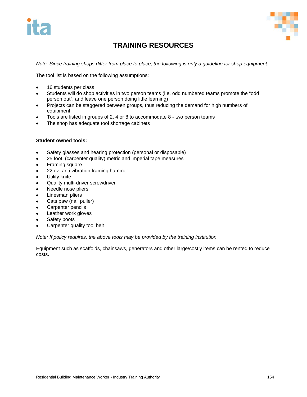



# **TRAINING RESOURCES**

*Note: Since training shops differ from place to place, the following is only a guideline for shop equipment.* 

The tool list is based on the following assumptions:

- 16 students per class
- Students will do shop activities in two person teams (i.e. odd numbered teams promote the "odd person out", and leave one person doing little learning)
- Projects can be staggered between groups, thus reducing the demand for high numbers of equipment
- Tools are listed in groups of 2, 4 or 8 to accommodate 8 two person teams
- The shop has adequate tool shortage cabinets

#### **Student owned tools:**

- Safety glasses and hearing protection (personal or disposable)
- 25 foot (carpenter quality) metric and imperial tape measures
- Framing square
- 22 oz. anti vibration framing hammer
- Utility knife
- Quality multi-driver screwdriver
- Needle nose pliers
- Linesman pliers
- Cats paw (nail puller)
- Carpenter pencils
- Leather work gloves
- Safety boots
- Carpenter quality tool belt

*Note: If policy requires, the above tools may be provided by the training institution.*

Equipment such as scaffolds, chainsaws, generators and other large/costly items can be rented to reduce costs.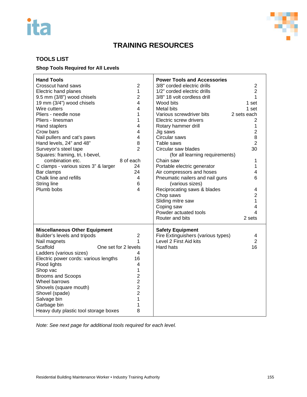# ita



# **TRAINING RESOURCES**

#### **TOOLS LIST**

#### **Shop Tools Required for All Levels**

| <b>Hand Tools</b><br><b>Crosscut hand saws</b><br>Electric hand planes<br>9.5 mm (3/8") wood chisels<br>19 mm (3/4") wood chisels<br>Wire cutters<br>Pliers - needle nose<br>Pliers - linesman<br>Hand staplers<br>Crow bars<br>Nail pullers and cat's paws<br>Hand levels, 24" and 48"<br>Surveyor's steel tape<br>Squares: framing, tri, t-bevel,<br>combination etc.<br>C clamps - various sizes 3" & larger<br>Bar clamps<br>Chalk line and refills<br><b>String line</b><br>Plumb bobs | $\overline{2}$<br>$\mathbf{1}$<br>$\overline{c}$<br>4<br>4<br>1<br>1<br>4<br>$\overline{4}$<br>4<br>8<br>$\overline{2}$<br>8 of each<br>24<br>24<br>4<br>6<br>4 | <b>Power Tools and Accessories</b><br>3/8" corded electric drills<br>1/2" corded electric drills<br>3/8" 18 volt cordless drill<br>Wood bits<br>Metal bits<br>Various screwdriver bits<br>Electric screw drivers<br>Rotary hammer drill<br>Jig saws<br>Circular saws<br>Table saws<br>Circular saw blades<br>(for all learning requirements)<br>Chain saw<br>Portable electric generator<br>Air compressors and hoses<br>Pneumatic nailers and nail guns<br>(various sizes)<br>Reciprocating saws & blades<br>Chop saws<br>Sliding mitre saw<br>Coping saw<br>Powder actuated tools<br>Router and bits | $\overline{2}$<br>$\overline{2}$<br>1<br>1 set<br>1 set<br>2 sets each<br>2<br>1<br>$\overline{c}$<br>8<br>$\overline{2}$<br>30<br>1<br>1<br>4<br>6<br>4<br>$\overline{2}$<br>$\mathbf{1}$<br>$\overline{\mathbf{4}}$<br>4<br>2 sets |
|---------------------------------------------------------------------------------------------------------------------------------------------------------------------------------------------------------------------------------------------------------------------------------------------------------------------------------------------------------------------------------------------------------------------------------------------------------------------------------------------|-----------------------------------------------------------------------------------------------------------------------------------------------------------------|--------------------------------------------------------------------------------------------------------------------------------------------------------------------------------------------------------------------------------------------------------------------------------------------------------------------------------------------------------------------------------------------------------------------------------------------------------------------------------------------------------------------------------------------------------------------------------------------------------|--------------------------------------------------------------------------------------------------------------------------------------------------------------------------------------------------------------------------------------|
| <b>Miscellaneous Other Equipment</b><br>Builder's levels and tripods<br>Nail magnets<br>Scaffold<br>Ladders (various sizes)<br>Electric power cords: various lengths<br>Flood lights<br>Shop vac<br><b>Brooms and Scoops</b><br>Wheel barrows<br>Shovels (square mouth)<br>Shovel (spade)<br>Salvage bin<br>Garbage bin<br>Heavy duty plastic tool storage boxes                                                                                                                            | $\overline{2}$<br>1<br>One set for 2 levels<br>4<br>16<br>4<br>1<br>$\overline{2}$<br>$\overline{2}$<br>$\overline{2}$<br>$\overline{2}$<br>1<br>1<br>8         | <b>Safety Equipment</b><br>Fire Extinguishers (various types)<br>Level 2 First Aid kits<br>Hard hats                                                                                                                                                                                                                                                                                                                                                                                                                                                                                                   | 4<br>$\overline{2}$<br>16                                                                                                                                                                                                            |

*Note: See next page for additional tools required for each level.*